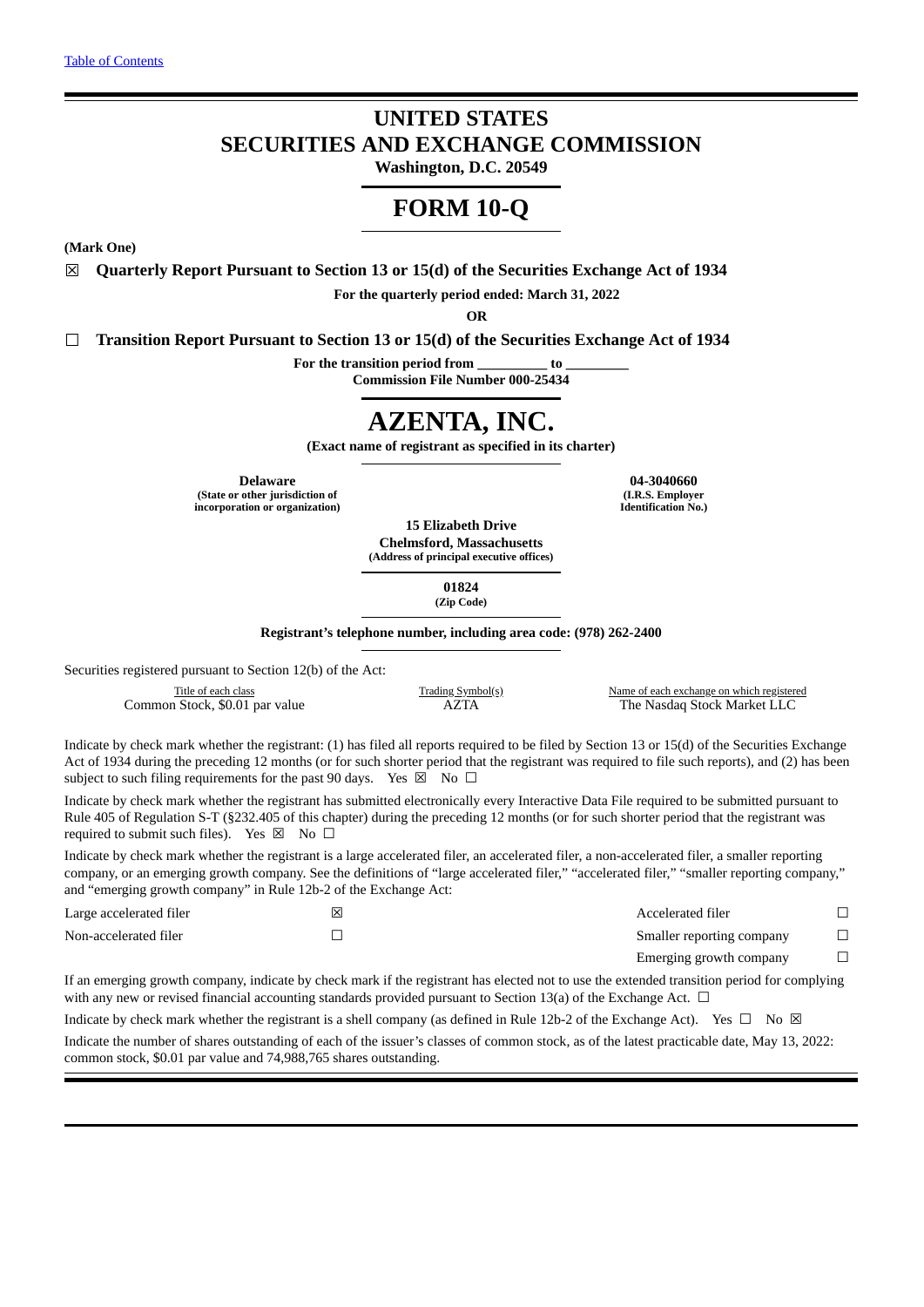# **UNITED STATES SECURITIES AND EXCHANGE COMMISSION**

**Washington, D.C. 20549**

# **FORM 10-Q**

**(Mark One)**

☒ **Quarterly Report Pursuant to Section 13 or 15(d) of the Securities Exchange Act of 1934**

**For the quarterly period ended: March 31, 2022**

**OR**

☐ **Transition Report Pursuant to Section 13 or 15(d) of the Securities Exchange Act of 1934**

**For the transition period from \_\_\_\_\_\_\_\_\_\_ to \_\_\_\_\_\_\_\_\_**

**Commission File Number 000-25434**

# **AZENTA, INC.**

**(Exact name of registrant as specified in its charter)**

**(State or other jurisdiction of (I.R.S. Employer incorporation or organization) Identification No.)**

**Delaware 04-3040660**

**15 Elizabeth Drive Chelmsford, Massachusetts**

**(Address of principal executive offices)**

**01824 (Zip Code)**

**Registrant's telephone number, including area code: (978) 262-2400**

Securities registered pursuant to Section 12(b) of the Act:

Common Stock, \$0.01 par value

Title of each class Class Trading Symbol(s) Name of each exchange on which registered<br>  $\Delta ZTA$  The Nasdaq Stock Market LLC

Indicate by check mark whether the registrant: (1) has filed all reports required to be filed by Section 13 or 15(d) of the Securities Exchange Act of 1934 during the preceding 12 months (or for such shorter period that the registrant was required to file such reports), and (2) has been subject to such filing requirements for the past 90 days. Yes  $\boxtimes$  No  $\Box$ 

Indicate by check mark whether the registrant has submitted electronically every Interactive Data File required to be submitted pursuant to Rule 405 of Regulation S-T (§232.405 of this chapter) during the preceding 12 months (or for such shorter period that the registrant was required to submit such files). Yes  $\boxtimes$  No  $\Box$ 

Indicate by check mark whether the registrant is a large accelerated filer, an accelerated filer, a non-accelerated filer, a smaller reporting company, or an emerging growth company. See the definitions of "large accelerated filer," "accelerated filer," "smaller reporting company," and "emerging growth company" in Rule 12b-2 of the Exchange Act:

| Large accelerated filer | ⊠ | Accelerated filer         |  |
|-------------------------|---|---------------------------|--|
| Non-accelerated filer   |   | Smaller reporting company |  |
|                         |   | Emerging growth company   |  |

If an emerging growth company, indicate by check mark if the registrant has elected not to use the extended transition period for complying with any new or revised financial accounting standards provided pursuant to Section 13(a) of the Exchange Act.  $\Box$ 

Indicate by check mark whether the registrant is a shell company (as defined in Rule 12b-2 of the Exchange Act). Yes  $\Box$  No  $\boxtimes$ 

Indicate the number of shares outstanding of each of the issuer's classes of common stock, as of the latest practicable date, May 13, 2022: common stock, \$0.01 par value and 74,988,765 shares outstanding.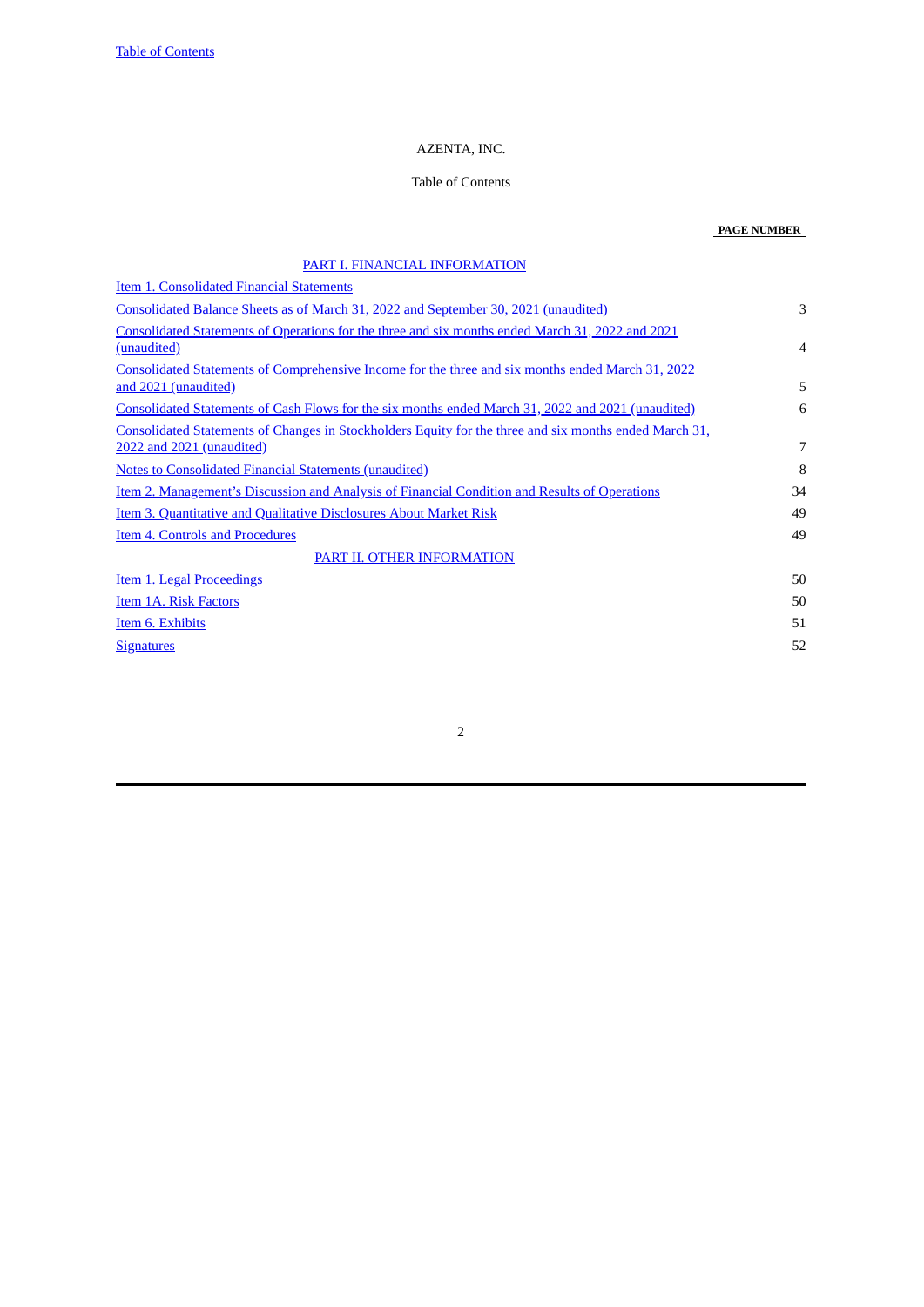# AZENTA, INC.

# Table of Contents

# **PAGE NUMBER**

<span id="page-1-0"></span>

| PART I. FINANCIAL INFORMATION                                                                                                       |                |
|-------------------------------------------------------------------------------------------------------------------------------------|----------------|
| <b>Item 1. Consolidated Financial Statements</b>                                                                                    |                |
| Consolidated Balance Sheets as of March 31, 2022 and September 30, 2021 (unaudited)                                                 | 3              |
| Consolidated Statements of Operations for the three and six months ended March 31, 2022 and 2021<br>(unaudited)                     | $\overline{4}$ |
| Consolidated Statements of Comprehensive Income for the three and six months ended March 31, 2022<br>and 2021 (unaudited)           | 5              |
| Consolidated Statements of Cash Flows for the six months ended March 31, 2022 and 2021 (unaudited)                                  | 6              |
| Consolidated Statements of Changes in Stockholders Equity for the three and six months ended March 31,<br>2022 and 2021 (unaudited) | 7              |
| <b>Notes to Consolidated Financial Statements (unaudited)</b>                                                                       | 8              |
| <b>Item 2. Management's Discussion and Analysis of Financial Condition and Results of Operations</b>                                | 34             |
| <b>Item 3. Quantitative and Qualitative Disclosures About Market Risk</b>                                                           | 49             |
| <b>Item 4. Controls and Procedures</b>                                                                                              | 49             |
| PART II. OTHER INFORMATION                                                                                                          |                |
| Item 1. Legal Proceedings                                                                                                           | 50             |
| <b>Item 1A. Risk Factors</b>                                                                                                        | 50             |
| Item 6. Exhibits                                                                                                                    | 51             |
| <b>Signatures</b>                                                                                                                   | 52             |
|                                                                                                                                     |                |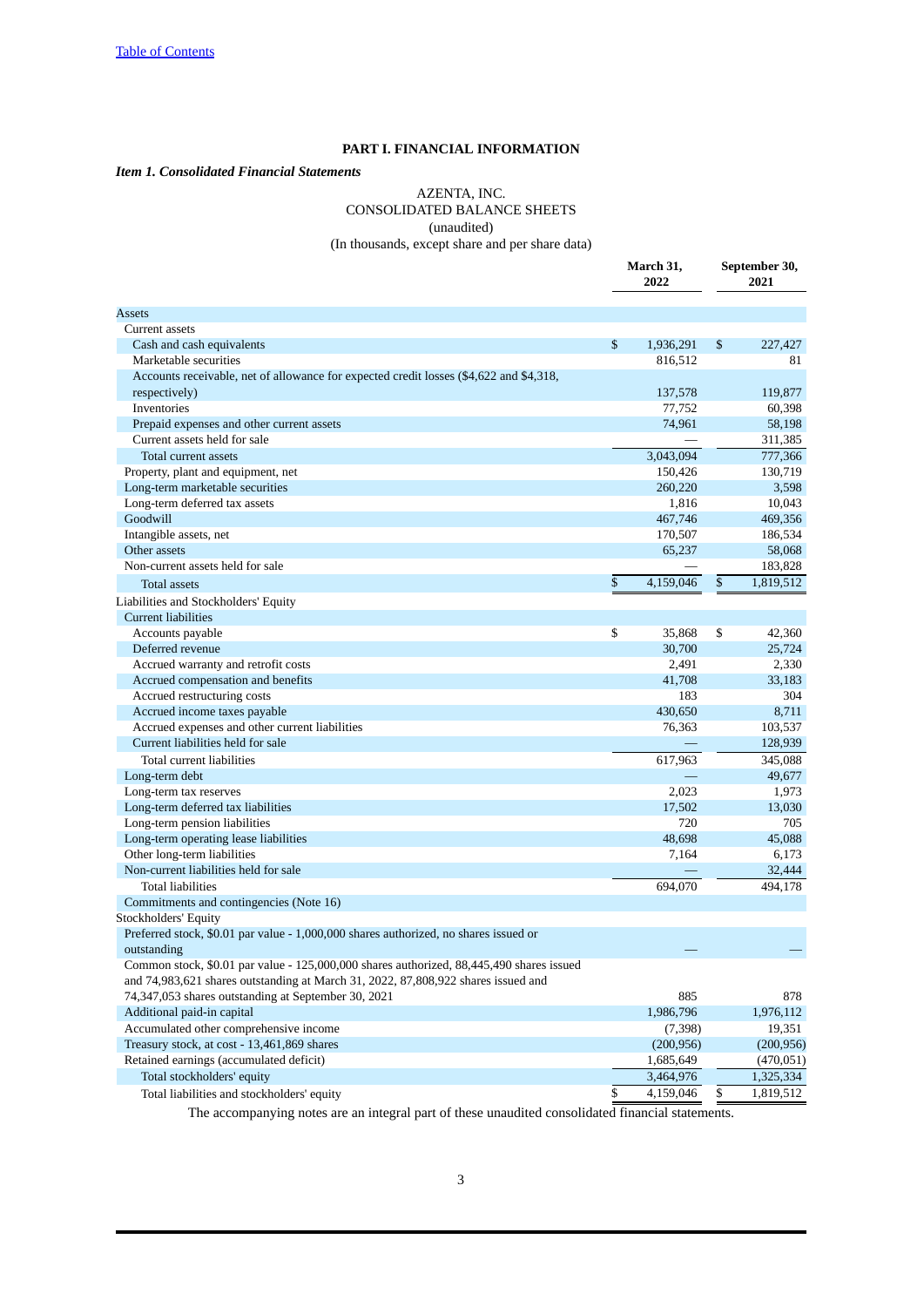# **PART I. FINANCIAL INFORMATION**

### <span id="page-2-2"></span><span id="page-2-1"></span><span id="page-2-0"></span>*Item 1. Consolidated Financial Statements*

# AZENTA, INC. CONSOLIDATED BALANCE SHEETS (unaudited) (In thousands, except share and per share data)

 **March 31, September 30, 2022 2021** Assets **Assets** and the contract of the contract of the contract of the contract of the contract of the contract of Current assets Cash and cash equivalents **6 1,936,291** \$ 227,427 Marketable securities 816,512 816,512 Accounts receivable, net of allowance for expected credit losses (\$4,622 and \$4,318, respectively) 137,578 119,877 Inventories 77,752 60,398 Prepaid expenses and other current assets **74,961** 58,198 Current assets held for sale — 311,385 Total current assets 3,043,094 777,366 Property, plant and equipment, net 150,426 130,719 Long-term marketable securities 260,220 3,598 Long-term deferred tax assets 1,816 10,043 Goodwill 467,746 469,356 Intangible assets, net 170,507 186,534 Other assets 65,237 58,068 Non-current assets held for sale extending the same mass of the sale dependence of the sale dependence of the sale  $\sim$  183,828 Total assets \$ 4,159,046 \$ 1,819,512 Liabilities and Stockholders' Equity Current liabilities Accounts payable **12,360 6** 42,360 Deferred revenue 30,700 25,724 Accrued warranty and retrofit costs 2,330 2,330 Accrued compensation and benefits **41,708** 33,183 Accrued restructuring costs 304 304 Accrued income taxes payable 6.711 Accrued expenses and other current liabilities **103,537** 103,537 103,537 Current liabilities held for sale — 128,939 Total current liabilities 617,963 345,088 Long-term debt — 49,677 Long-term tax reserves 2,023 1,973 Long-term deferred tax liabilities 17,502 13,030 Long-term pension liabilities 720 705 Long-term operating lease liabilities 48,698 45,088 Other long-term liabilities 6,173 Non-current liabilities held for sale expansion of the same state of the same state  $\sim$  32,444 Total liabilities 694,070 494,178 Commitments and contingencies (Note 16) Stockholders' Equity Preferred stock, \$0.01 par value - 1,000,000 shares authorized, no shares issued or outstanding  $-$ Common stock, \$0.01 par value - 125,000,000 shares authorized, 88,445,490 shares issued and 74,983,621 shares outstanding at March 31, 2022, 87,808,922 shares issued and 74,347,053 shares outstanding at September 30, 2021 885 878 Additional paid-in capital 1,976,112 and 1,976,112 and 1,986,796 1,976,112 Accumulated other comprehensive income (7,398) 19,351 Treasury stock, at cost - 13,461,869 shares (200,956) (200,956) Retained earnings (accumulated deficit) 1,685,649 (470,051) Total stockholders' equity 3,464,976 1,325,334 Total liabilities and stockholders' equity \$ 4,159,046 \$ 1,819,512

The accompanying notes are an integral part of these unaudited consolidated financial statements.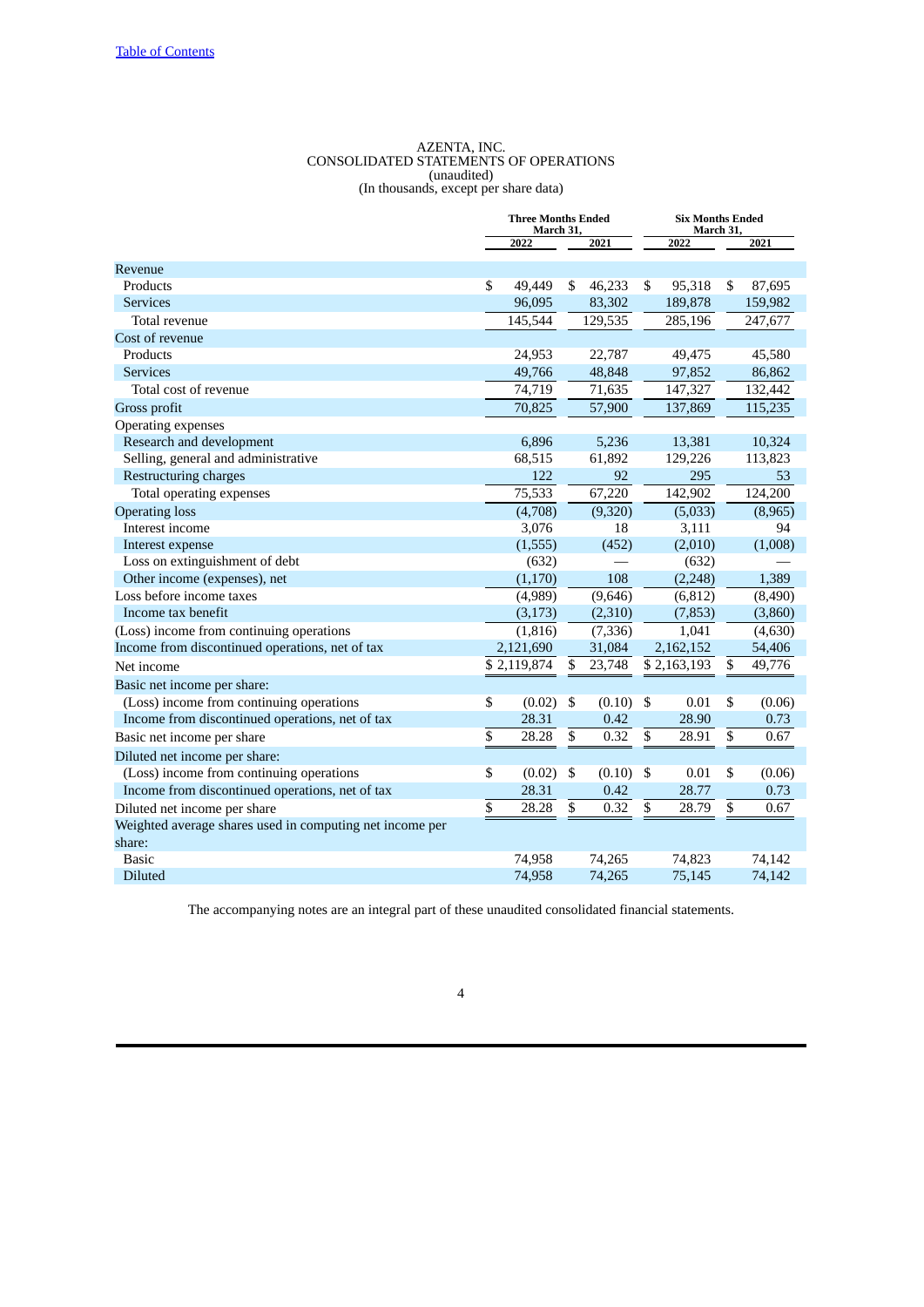#### AZENTA, INC. CONSOLIDATED STATEMENTS OF OPERATIONS (unaudited) (In thousands, except per share data)

<span id="page-3-0"></span>

|                                                          | <b>Three Months Ended</b><br>March 31, |             |     |          |     | <b>Six Months Ended</b><br>March 31, |    |         |
|----------------------------------------------------------|----------------------------------------|-------------|-----|----------|-----|--------------------------------------|----|---------|
|                                                          |                                        | 2022        |     | 2021     |     | 2022                                 |    | 2021    |
| Revenue                                                  |                                        |             |     |          |     |                                      |    |         |
| Products                                                 | S                                      | 49,449      | \$. | 46,233   | \$. | 95,318                               | \$ | 87,695  |
| <b>Services</b>                                          |                                        | 96,095      |     | 83,302   |     | 189,878                              |    | 159,982 |
| Total revenue                                            |                                        | 145,544     |     | 129,535  |     | 285,196                              |    | 247,677 |
| Cost of revenue                                          |                                        |             |     |          |     |                                      |    |         |
| Products                                                 |                                        | 24,953      |     | 22,787   |     | 49,475                               |    | 45,580  |
| <b>Services</b>                                          |                                        | 49,766      |     | 48,848   |     | 97,852                               |    | 86,862  |
| Total cost of revenue                                    |                                        | 74,719      |     | 71,635   |     | 147,327                              |    | 132,442 |
| Gross profit                                             |                                        | 70,825      |     | 57,900   |     | 137,869                              |    | 115,235 |
| Operating expenses                                       |                                        |             |     |          |     |                                      |    |         |
| Research and development                                 |                                        | 6,896       |     | 5,236    |     | 13,381                               |    | 10,324  |
| Selling, general and administrative                      |                                        | 68,515      |     | 61,892   |     | 129,226                              |    | 113,823 |
| Restructuring charges                                    |                                        | 122         |     | 92       |     | 295                                  |    | 53      |
| Total operating expenses                                 |                                        | 75,533      |     | 67,220   |     | 142,902                              |    | 124,200 |
| <b>Operating loss</b>                                    |                                        | (4,708)     |     | (9,320)  |     | (5,033)                              |    | (8,965) |
| Interest income                                          |                                        | 3,076       |     | 18       |     | 3,111                                |    | 94      |
| Interest expense                                         |                                        | (1,555)     |     | (452)    |     | (2,010)                              |    | (1,008) |
| Loss on extinguishment of debt                           |                                        | (632)       |     |          |     | (632)                                |    |         |
| Other income (expenses), net                             |                                        | (1, 170)    |     | 108      |     | (2, 248)                             |    | 1,389   |
| Loss before income taxes                                 |                                        | (4,989)     |     | (9,646)  |     | (6, 812)                             |    | (8,490) |
| Income tax benefit                                       |                                        | (3, 173)    |     | (2,310)  |     | (7, 853)                             |    | (3,860) |
| (Loss) income from continuing operations                 |                                        | (1, 816)    |     | (7, 336) |     | 1,041                                |    | (4,630) |
| Income from discontinued operations, net of tax          |                                        | 2,121,690   |     | 31,084   |     | 2,162,152                            |    | 54,406  |
| Net income                                               |                                        | \$2,119,874 | \$  | 23,748   |     | $\overline{$}2,163,193$              | \$ | 49,776  |
| Basic net income per share:                              |                                        |             |     |          |     |                                      |    |         |
| (Loss) income from continuing operations                 | \$                                     | (0.02)      | \$  | (0.10)   | \$  | 0.01                                 | \$ | (0.06)  |
| Income from discontinued operations, net of tax          |                                        | 28.31       |     | 0.42     |     | 28.90                                |    | 0.73    |
| Basic net income per share                               | \$                                     | 28.28       | \$  | 0.32     | \$  | 28.91                                | \$ | 0.67    |
| Diluted net income per share:                            |                                        |             |     |          |     |                                      |    |         |
| (Loss) income from continuing operations                 | \$                                     | (0.02)      | \$  | (0.10)   | \$  | 0.01                                 | \$ | (0.06)  |
| Income from discontinued operations, net of tax          |                                        | 28.31       |     | 0.42     |     | 28.77                                |    | 0.73    |
| Diluted net income per share                             | $\overline{\$}$                        | 28.28       | \$  | 0.32     | \$  | 28.79                                | \$ | 0.67    |
| Weighted average shares used in computing net income per |                                        |             |     |          |     |                                      |    |         |
| share:                                                   |                                        |             |     |          |     |                                      |    |         |
| <b>Basic</b>                                             |                                        | 74,958      |     | 74,265   |     | 74,823                               |    | 74,142  |
| <b>Diluted</b>                                           |                                        | 74,958      |     | 74,265   |     | 75,145                               |    | 74,142  |

The accompanying notes are an integral part of these unaudited consolidated financial statements.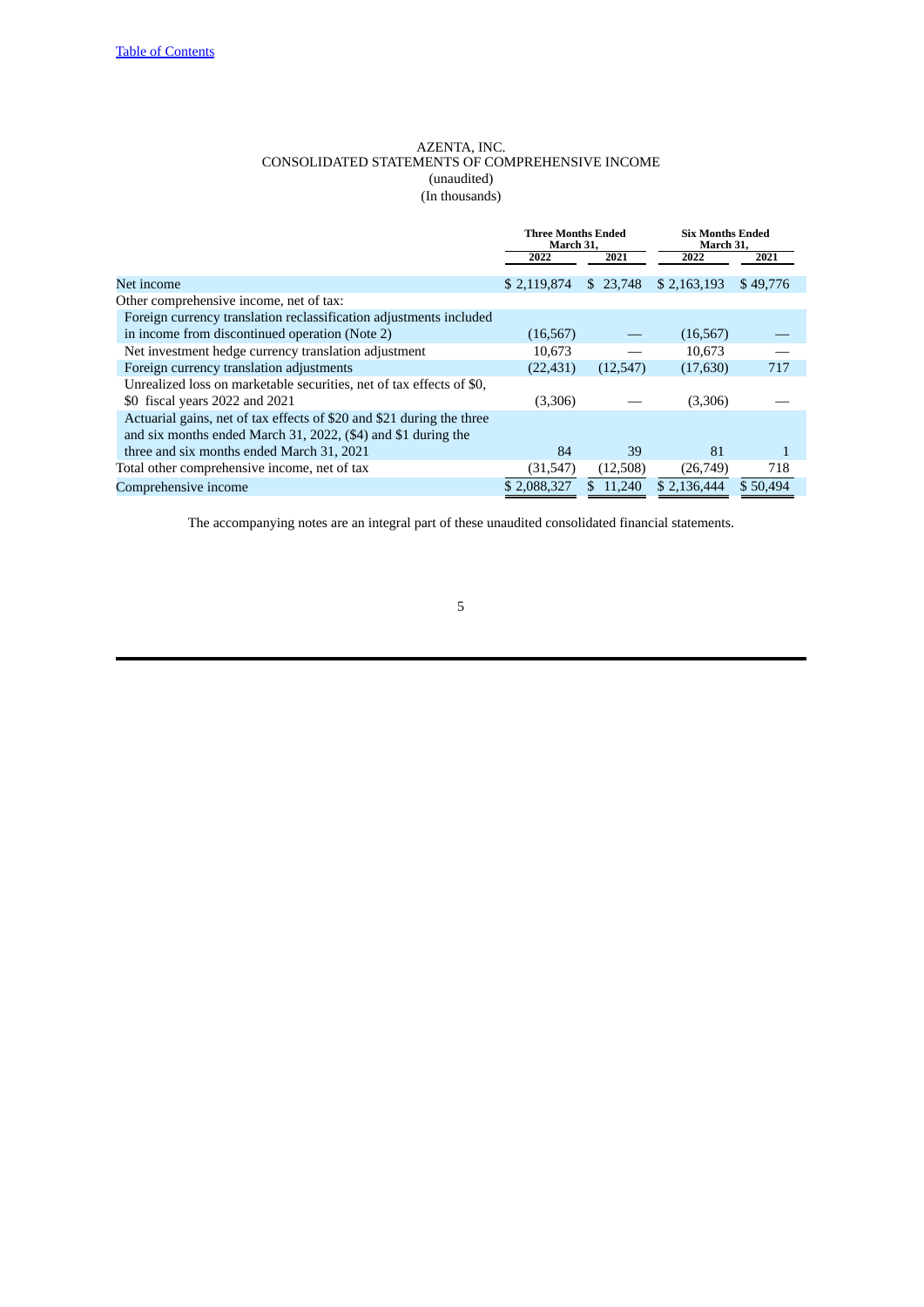# AZENTA, INC. CONSOLIDATED STATEMENTS OF COMPREHENSIVE INCOME (unaudited) (In thousands)

<span id="page-4-0"></span>

|                                                                       | <b>Three Months Ended</b><br>March 31, |          | <b>Six Months Ended</b><br>March 31, |          |  |
|-----------------------------------------------------------------------|----------------------------------------|----------|--------------------------------------|----------|--|
|                                                                       | 2022                                   | 2021     | 2022                                 | 2021     |  |
| Net income                                                            | \$2,119,874                            | \$23,748 | \$2,163,193                          | \$49,776 |  |
| Other comprehensive income, net of tax:                               |                                        |          |                                      |          |  |
| Foreign currency translation reclassification adjustments included    |                                        |          |                                      |          |  |
| in income from discontinued operation (Note 2)                        | (16, 567)                              |          | (16, 567)                            |          |  |
| Net investment hedge currency translation adjustment                  | 10,673                                 |          | 10.673                               |          |  |
| Foreign currency translation adjustments                              | (22, 431)                              | (12,547) | (17,630)                             | 717      |  |
| Unrealized loss on marketable securities, net of tax effects of \$0,  |                                        |          |                                      |          |  |
| \$0 fiscal years 2022 and 2021                                        | (3,306)                                |          | (3,306)                              |          |  |
| Actuarial gains, net of tax effects of \$20 and \$21 during the three |                                        |          |                                      |          |  |
| and six months ended March 31, 2022, (\$4) and \$1 during the         |                                        |          |                                      |          |  |
| three and six months ended March 31, 2021                             | 84                                     | 39       | 81                                   |          |  |
| Total other comprehensive income, net of tax                          | (31, 547)                              | (12,508) | (26,749)                             | 718      |  |
| Comprehensive income                                                  | \$2.088,327                            | 11.240   | \$2,136,444                          | \$50,494 |  |

The accompanying notes are an integral part of these unaudited consolidated financial statements.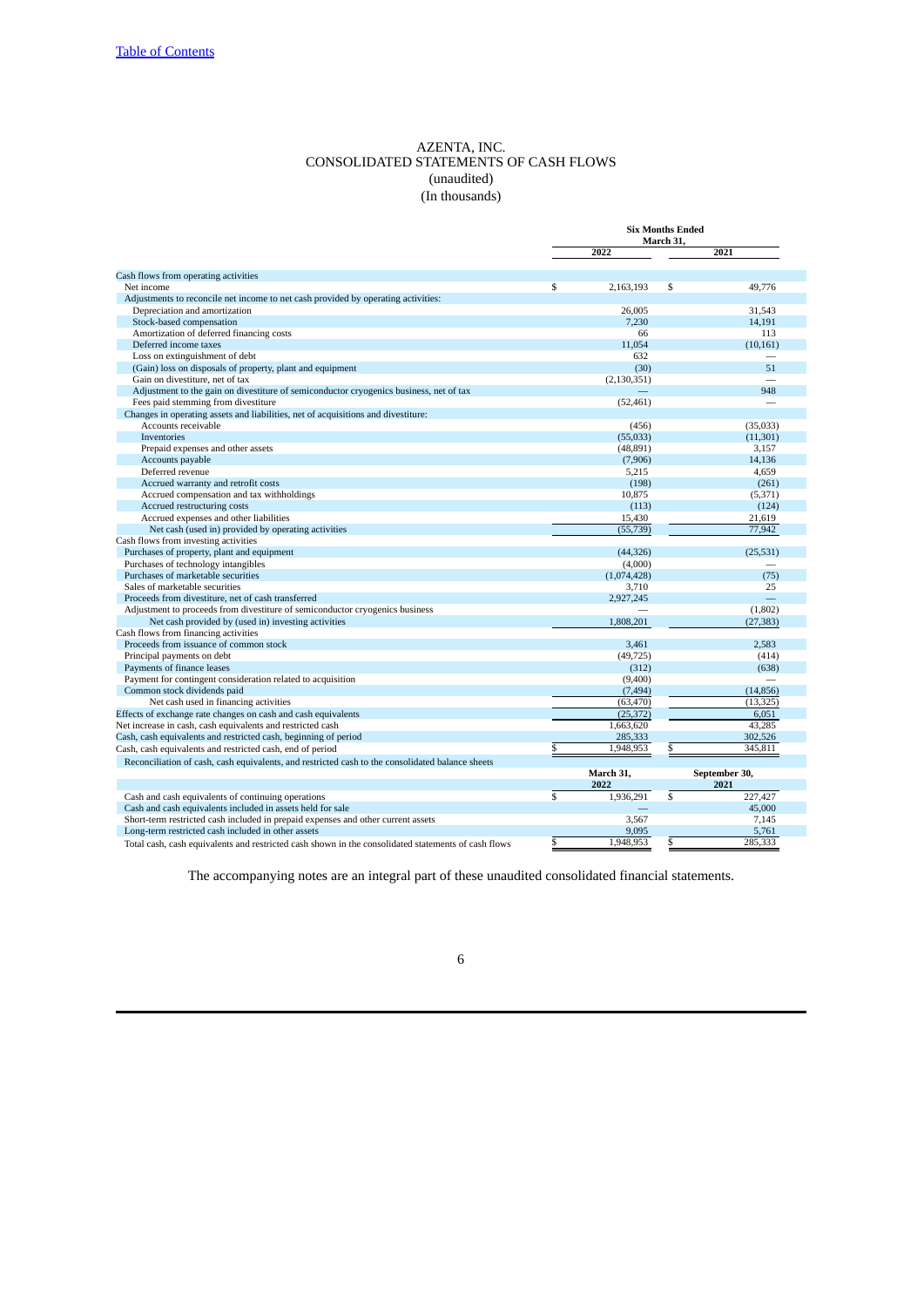# AZENTA, INC. CONSOLIDATED STATEMENTS OF CASH FLOWS (unaudited) (In thousands)

<span id="page-5-0"></span>

|                                                                                                      | <b>Six Months Ended</b><br>March 31, |                  |               |  |  |  |
|------------------------------------------------------------------------------------------------------|--------------------------------------|------------------|---------------|--|--|--|
|                                                                                                      |                                      | 2022             | 2021          |  |  |  |
| Cash flows from operating activities                                                                 |                                      |                  |               |  |  |  |
| Net income                                                                                           | \$                                   | 2,163,193        | \$<br>49,776  |  |  |  |
| Adjustments to reconcile net income to net cash provided by operating activities:                    |                                      |                  |               |  |  |  |
| Depreciation and amortization                                                                        |                                      | 26.005           | 31,543        |  |  |  |
| Stock-based compensation                                                                             |                                      | 7,230            | 14,191        |  |  |  |
| Amortization of deferred financing costs                                                             |                                      | 66               | 113           |  |  |  |
| Deferred income taxes                                                                                |                                      | 11,054           | (10, 161)     |  |  |  |
| Loss on extinguishment of debt                                                                       |                                      | 632              |               |  |  |  |
| (Gain) loss on disposals of property, plant and equipment                                            |                                      | (30)             | 51            |  |  |  |
| Gain on divestiture, net of tax                                                                      |                                      | (2, 130, 351)    |               |  |  |  |
| Adjustment to the gain on divestiture of semiconductor cryogenics business, net of tax               |                                      |                  | 948           |  |  |  |
| Fees paid stemming from divestiture                                                                  |                                      |                  |               |  |  |  |
| Changes in operating assets and liabilities, net of acquisitions and divestiture:                    |                                      | (52, 461)        |               |  |  |  |
| Accounts receivable                                                                                  |                                      | (456)            | (35,033)      |  |  |  |
| Inventories                                                                                          |                                      |                  |               |  |  |  |
| Prepaid expenses and other assets                                                                    |                                      | (55,033)         | (11, 301)     |  |  |  |
|                                                                                                      |                                      | (48, 891)        | 3,157         |  |  |  |
| Accounts payable<br>Deferred revenue                                                                 |                                      | (7,906)<br>5,215 | 14,136        |  |  |  |
|                                                                                                      |                                      |                  | 4,659         |  |  |  |
| Accrued warranty and retrofit costs                                                                  |                                      | (198)            | (261)         |  |  |  |
| Accrued compensation and tax withholdings                                                            |                                      | 10,875           | (5, 371)      |  |  |  |
| Accrued restructuring costs                                                                          |                                      | (113)            | (124)         |  |  |  |
| Accrued expenses and other liabilities                                                               |                                      | 15,430           | 21,619        |  |  |  |
| Net cash (used in) provided by operating activities                                                  |                                      | (55, 739)        | 77,942        |  |  |  |
| Cash flows from investing activities                                                                 |                                      |                  |               |  |  |  |
| Purchases of property, plant and equipment                                                           |                                      | (44, 326)        | (25, 531)     |  |  |  |
| Purchases of technology intangibles                                                                  |                                      | (4,000)          |               |  |  |  |
| Purchases of marketable securities                                                                   |                                      | (1,074,428)      | (75)          |  |  |  |
| Sales of marketable securities                                                                       |                                      | 3,710            | 25            |  |  |  |
| Proceeds from divestiture, net of cash transferred                                                   |                                      | 2,927,245        |               |  |  |  |
| Adjustment to proceeds from divestiture of semiconductor cryogenics business                         |                                      |                  | (1,802)       |  |  |  |
| Net cash provided by (used in) investing activities                                                  |                                      | 1,808,201        | (27, 383)     |  |  |  |
| Cash flows from financing activities                                                                 |                                      |                  |               |  |  |  |
| Proceeds from issuance of common stock                                                               |                                      | 3,461            | 2,583         |  |  |  |
| Principal payments on debt                                                                           |                                      | (49, 725)        | (414)         |  |  |  |
| Payments of finance leases                                                                           |                                      | (312)            | (638)         |  |  |  |
| Payment for contingent consideration related to acquisition                                          |                                      | (9,400)          |               |  |  |  |
| Common stock dividends paid                                                                          |                                      | (7, 494)         | (14, 856)     |  |  |  |
| Net cash used in financing activities                                                                |                                      | (63, 470)        | (13, 325)     |  |  |  |
| Effects of exchange rate changes on cash and cash equivalents                                        |                                      | (25, 372)        | 6,051         |  |  |  |
| Net increase in cash, cash equivalents and restricted cash                                           |                                      | 1,663,620        | 43,285        |  |  |  |
| Cash, cash equivalents and restricted cash, beginning of period                                      |                                      | 285,333          | 302,526       |  |  |  |
| Cash, cash equivalents and restricted cash, end of period                                            | \$                                   | 1,948,953        | 345,811<br>\$ |  |  |  |
| Reconciliation of cash, cash equivalents, and restricted cash to the consolidated balance sheets     |                                      |                  |               |  |  |  |
|                                                                                                      |                                      | March 31,        | September 30, |  |  |  |
|                                                                                                      |                                      | 2022             | 2021          |  |  |  |
| Cash and cash equivalents of continuing operations                                                   | $\mathbf{s}$                         | 1,936,291        | \$<br>227,427 |  |  |  |
| Cash and cash equivalents included in assets held for sale                                           |                                      |                  | 45,000        |  |  |  |
| Short-term restricted cash included in prepaid expenses and other current assets                     |                                      | 3.567            | 7,145         |  |  |  |
| Long-term restricted cash included in other assets                                                   |                                      | 9,095            | 5,761         |  |  |  |
| Total cash, cash equivalents and restricted cash shown in the sense lighted statements of cash flows | ¢                                    | 1 948 953        | ¢<br>285 333  |  |  |  |

equivalents and restricted cash shown in the cons

The accompanying notes are an integral part of these unaudited consolidated financial statements.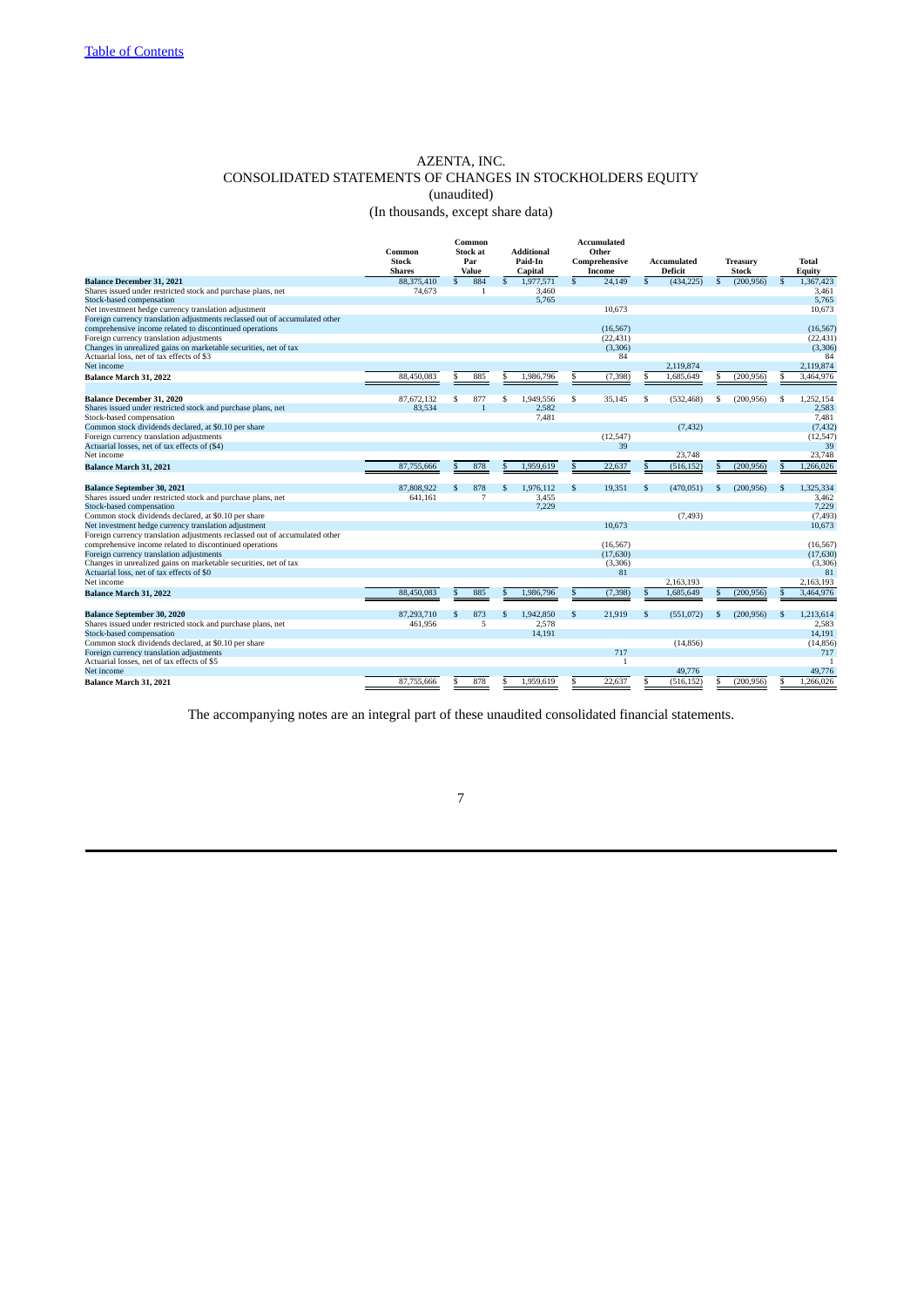# AZENTA, INC. CONSOLIDATED STATEMENTS OF CHANGES IN STOCKHOLDERS EQUITY (unaudited) (In thousands, except share data)

<span id="page-6-0"></span>

|                                                                             |               |              | Common          |               |                   |               | <b>Accumulated</b> |              |                    |              |              |    |                  |
|-----------------------------------------------------------------------------|---------------|--------------|-----------------|---------------|-------------------|---------------|--------------------|--------------|--------------------|--------------|--------------|----|------------------|
|                                                                             | Common        |              | <b>Stock at</b> |               | <b>Additional</b> |               | Other              |              |                    |              |              |    |                  |
|                                                                             | <b>Stock</b>  | Par          |                 |               | Paid-In           |               | Comprehensive      |              | <b>Accumulated</b> |              | Treasury     |    | <b>Total</b>     |
|                                                                             | <b>Shares</b> |              | Value           |               | <b>Capital</b>    |               | Income             |              | Deficit            |              | <b>Stock</b> |    | Equity           |
| <b>Balance December 31, 2021</b>                                            | 88,375,410    | $\mathbb{S}$ | 884             | $\mathcal{S}$ | 1.977.571         | $\mathcal{S}$ | 24.149             | $\mathbf{s}$ | (434.225)          | $\mathbf{s}$ | (200.956)    | s. | 1.367,423        |
| Shares issued under restricted stock and purchase plans, net                | 74,673        |              | $\mathbf{1}$    |               | 3,460             |               |                    |              |                    |              |              |    | 3,461            |
| Stock-based compensation                                                    |               |              |                 |               | 5,765             |               |                    |              |                    |              |              |    | 5,765            |
| Net investment hedge currency translation adjustment                        |               |              |                 |               |                   |               | 10.673             |              |                    |              |              |    | 10,673           |
| Foreign currency translation adjustments reclassed out of accumulated other |               |              |                 |               |                   |               |                    |              |                    |              |              |    |                  |
| comprehensive income related to discontinued operations                     |               |              |                 |               |                   |               | (16.567)           |              |                    |              |              |    | (16, 567)        |
| Foreign currency translation adjustments                                    |               |              |                 |               |                   |               | (22, 431)          |              |                    |              |              |    | (22, 431)        |
| Changes in unrealized gains on marketable securities, net of tax            |               |              |                 |               |                   |               | (3,306)            |              |                    |              |              |    | (3,306)          |
| Actuarial loss, net of tax effects of \$3                                   |               |              |                 |               |                   |               | 84                 |              |                    |              |              |    | 84               |
| Net income                                                                  |               |              |                 |               |                   |               |                    |              | 2,119,874          |              |              |    | 2,119,874        |
| Balance March 31, 2022                                                      | 88,450,083    |              | 885             |               | 1,986,796         |               | (7, 398)           |              | 1,685,649          |              | (200, 956)   |    | 3,464,976        |
|                                                                             |               |              |                 |               |                   |               |                    |              |                    |              |              |    |                  |
| <b>Balance December 31, 2020</b>                                            | 87.672.132    | \$           | 877             | Ś             | 1.949.556         | \$            | 35.145             | S            | (532, 468)         | S            | (200.956)    | S  | 1.252.154        |
| Shares issued under restricted stock and purchase plans, net                | 83,534        |              | $\overline{1}$  |               | 2,582             |               |                    |              |                    |              |              |    | 2,583            |
| Stock-based compensation                                                    |               |              |                 |               | 7.481             |               |                    |              |                    |              |              |    | 7.481            |
| Common stock dividends declared, at \$0.10 per share                        |               |              |                 |               |                   |               |                    |              | (7, 432)           |              |              |    | (7, 432)         |
| Foreign currency translation adjustments                                    |               |              |                 |               |                   |               | (12,547)           |              |                    |              |              |    | (12,547)         |
| Actuarial losses, net of tax effects of (\$4)                               |               |              |                 |               |                   |               | 39                 |              |                    |              |              |    | 39               |
|                                                                             |               |              |                 |               |                   |               |                    |              | 23,748             |              |              |    | 23,748           |
| Net income                                                                  |               |              |                 |               |                   |               |                    |              |                    |              |              |    |                  |
| <b>Balance March 31, 2021</b>                                               | 87,755,666    | £.           | 878             |               | 1,959,619         | .S            | 22,637             |              | (516, 152)         | S.           | (200, 956)   |    | 1,266,026        |
|                                                                             |               |              |                 |               |                   |               |                    |              |                    |              |              |    |                  |
| <b>Balance September 30, 2021</b>                                           | 87,808,922    |              | 878             |               | 1,976,112         | .S            | 19,351             |              | (470, 051)         | S            | (200, 956)   |    | 1,325,334        |
| Shares issued under restricted stock and purchase plans, net                | 641,161       |              | 7               |               | 3,455             |               |                    |              |                    |              |              |    | 3.462            |
| Stock-based compensation                                                    |               |              |                 |               | 7.229             |               |                    |              |                    |              |              |    | 7,229            |
| Common stock dividends declared, at \$0.10 per share                        |               |              |                 |               |                   |               |                    |              | (7, 493)           |              |              |    | (7, 493)         |
| Net investment hedge currency translation adjustment                        |               |              |                 |               |                   |               | 10.673             |              |                    |              |              |    | 10.673           |
| Foreign currency translation adjustments reclassed out of accumulated other |               |              |                 |               |                   |               |                    |              |                    |              |              |    |                  |
| comprehensive income related to discontinued operations                     |               |              |                 |               |                   |               | (16.567)           |              |                    |              |              |    | (16, 567)        |
| Foreign currency translation adjustments                                    |               |              |                 |               |                   |               | (17, 630)          |              |                    |              |              |    | (17, 630)        |
| Changes in unrealized gains on marketable securities, net of tax            |               |              |                 |               |                   |               | (3,306)            |              |                    |              |              |    | (3,306)          |
| Actuarial loss, net of tax effects of \$0                                   |               |              |                 |               |                   |               | 81                 |              |                    |              |              |    | 81               |
| Net income                                                                  |               |              |                 |               |                   |               |                    |              | 2.163.193          |              |              |    | 2.163.193        |
| <b>Balance March 31, 2022</b>                                               | 88,450,083    |              | 885             |               | 1,986,796         | .S            | (7, 398)           |              | 1,685,649          | S            | (200, 956)   | S. | 3,464,976        |
|                                                                             |               |              |                 |               |                   |               |                    |              |                    |              |              |    |                  |
| <b>Balance September 30, 2020</b>                                           | 87,293,710    | \$           | 873             |               | 1.942.850         | $\mathbf{s}$  | 21,919             | S            | (551,072)          | \$.          | (200.956)    | S  | 1,213,614        |
| Shares issued under restricted stock and purchase plans, net                | 461,956       |              | 5               |               | 2.578             |               |                    |              |                    |              |              |    | 2,583            |
| Stock-based compensation                                                    |               |              |                 |               | 14.191            |               |                    |              |                    |              |              |    | 14,191           |
| Common stock dividends declared, at \$0.10 per share                        |               |              |                 |               |                   |               |                    |              |                    |              |              |    |                  |
| Foreign currency translation adjustments                                    |               |              |                 |               |                   |               | 717                |              | (14, 856)          |              |              |    | (14, 856)<br>717 |
| Actuarial losses, net of tax effects of \$5                                 |               |              |                 |               |                   |               | $\overline{1}$     |              |                    |              |              |    | $\overline{1}$   |
|                                                                             |               |              |                 |               |                   |               |                    |              |                    |              |              |    |                  |
| Net income                                                                  |               |              |                 |               |                   |               |                    |              | 49,776             |              |              |    | 49,776           |
| Balance March 31, 2021                                                      | 87,755,666    |              | 878             |               | 1,959,619         |               | 22,637             |              | (516, 152)         | S            | (200, 956)   |    | 1.266.026        |

The accompanying notes are an integral part of these unaudited consolidated financial statements.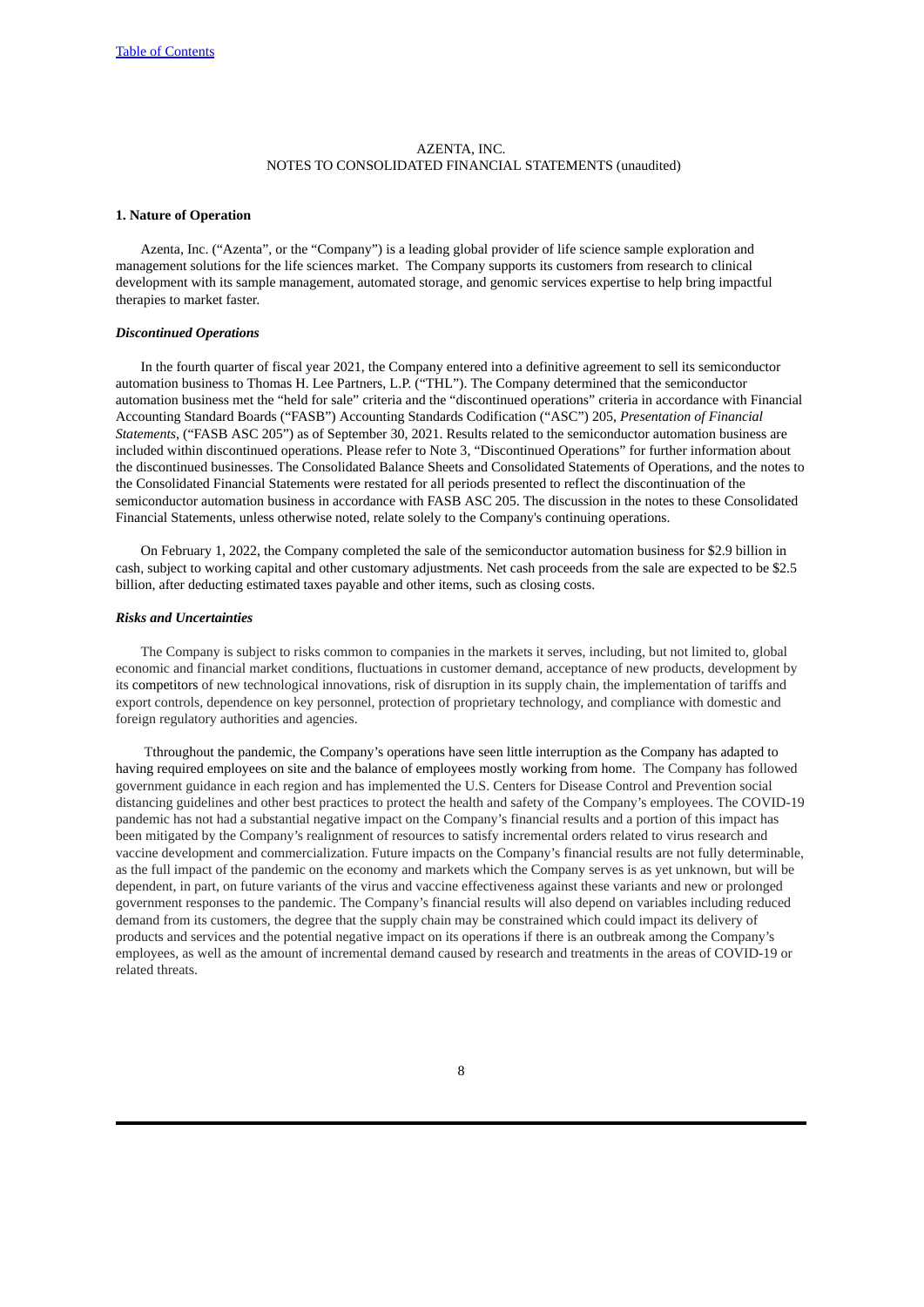# AZENTA, INC. NOTES TO CONSOLIDATED FINANCIAL STATEMENTS (unaudited)

### <span id="page-7-0"></span>**1. Nature of Operation**

Azenta, Inc. ("Azenta", or the "Company") is a leading global provider of life science sample exploration and management solutions for the life sciences market. The Company supports its customers from research to clinical development with its sample management, automated storage, and genomic services expertise to help bring impactful therapies to market faster.

# *Discontinued Operations*

In the fourth quarter of fiscal year 2021, the Company entered into a definitive agreement to sell its semiconductor automation business to Thomas H. Lee Partners, L.P. ("THL"). The Company determined that the semiconductor automation business met the "held for sale" criteria and the "discontinued operations" criteria in accordance with Financial Accounting Standard Boards ("FASB") Accounting Standards Codification ("ASC") 205, *Presentation of Financial Statements*, ("FASB ASC 205") as of September 30, 2021. Results related to the semiconductor automation business are included within discontinued operations. Please refer to Note 3, "Discontinued Operations" for further information about the discontinued businesses. The Consolidated Balance Sheets and Consolidated Statements of Operations, and the notes to the Consolidated Financial Statements were restated for all periods presented to reflect the discontinuation of the semiconductor automation business in accordance with FASB ASC 205. The discussion in the notes to these Consolidated Financial Statements, unless otherwise noted, relate solely to the Company's continuing operations.

On February 1, 2022, the Company completed the sale of the semiconductor automation business for \$2.9 billion in cash, subject to working capital and other customary adjustments. Net cash proceeds from the sale are expected to be \$2.5 billion, after deducting estimated taxes payable and other items, such as closing costs.

### *Risks and Uncertainties*

The Company is subject to risks common to companies in the markets it serves, including, but not limited to, global economic and financial market conditions, fluctuations in customer demand, acceptance of new products, development by its competitors of new technological innovations, risk of disruption in its supply chain, the implementation of tariffs and export controls, dependence on key personnel, protection of proprietary technology, and compliance with domestic and foreign regulatory authorities and agencies.

Tthroughout the pandemic, the Company's operations have seen little interruption as the Company has adapted to having required employees on site and the balance of employees mostly working from home. The Company has followed government guidance in each region and has implemented the U.S. Centers for Disease Control and Prevention social distancing guidelines and other best practices to protect the health and safety of the Company's employees. The COVID-19 pandemic has not had a substantial negative impact on the Company's financial results and a portion of this impact has been mitigated by the Company's realignment of resources to satisfy incremental orders related to virus research and vaccine development and commercialization. Future impacts on the Company's financial results are not fully determinable, as the full impact of the pandemic on the economy and markets which the Company serves is as yet unknown, but will be dependent, in part, on future variants of the virus and vaccine effectiveness against these variants and new or prolonged government responses to the pandemic. The Company's financial results will also depend on variables including reduced demand from its customers, the degree that the supply chain may be constrained which could impact its delivery of products and services and the potential negative impact on its operations if there is an outbreak among the Company's employees, as well as the amount of incremental demand caused by research and treatments in the areas of COVID-19 or related threats.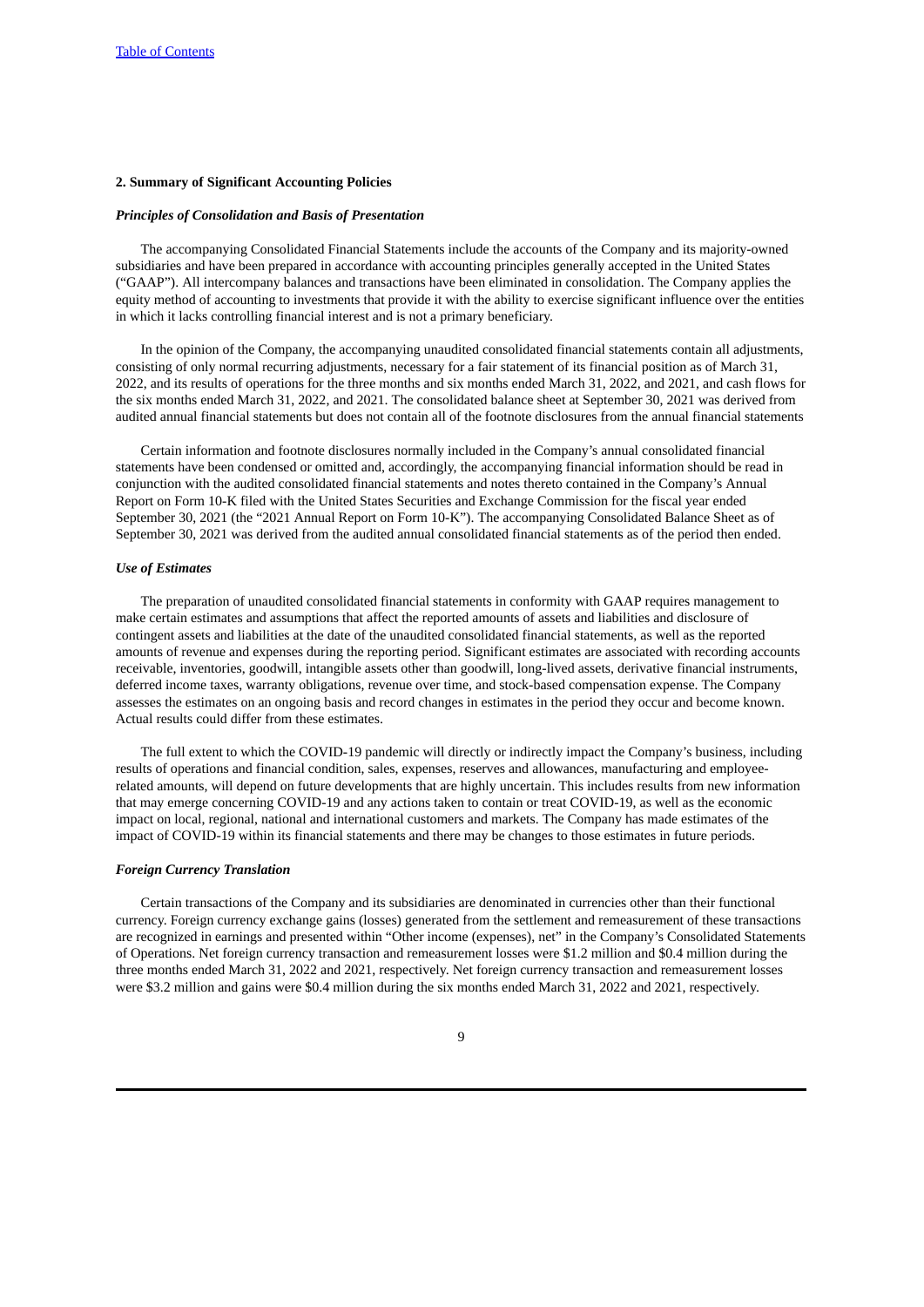# **2. Summary of Significant Accounting Policies**

### *Principles of Consolidation and Basis of Presentation*

The accompanying Consolidated Financial Statements include the accounts of the Company and its majority-owned subsidiaries and have been prepared in accordance with accounting principles generally accepted in the United States ("GAAP"). All intercompany balances and transactions have been eliminated in consolidation. The Company applies the equity method of accounting to investments that provide it with the ability to exercise significant influence over the entities in which it lacks controlling financial interest and is not a primary beneficiary.

In the opinion of the Company, the accompanying unaudited consolidated financial statements contain all adjustments, consisting of only normal recurring adjustments, necessary for a fair statement of its financial position as of March 31, 2022, and its results of operations for the three months and six months ended March 31, 2022, and 2021, and cash flows for the six months ended March 31, 2022, and 2021. The consolidated balance sheet at September 30, 2021 was derived from audited annual financial statements but does not contain all of the footnote disclosures from the annual financial statements

Certain information and footnote disclosures normally included in the Company's annual consolidated financial statements have been condensed or omitted and, accordingly, the accompanying financial information should be read in conjunction with the audited consolidated financial statements and notes thereto contained in the Company's Annual Report on Form 10-K filed with the United States Securities and Exchange Commission for the fiscal year ended September 30, 2021 (the "2021 Annual Report on Form 10-K"). The accompanying Consolidated Balance Sheet as of September 30, 2021 was derived from the audited annual consolidated financial statements as of the period then ended.

# *Use of Estimates*

The preparation of unaudited consolidated financial statements in conformity with GAAP requires management to make certain estimates and assumptions that affect the reported amounts of assets and liabilities and disclosure of contingent assets and liabilities at the date of the unaudited consolidated financial statements, as well as the reported amounts of revenue and expenses during the reporting period. Significant estimates are associated with recording accounts receivable, inventories, goodwill, intangible assets other than goodwill, long-lived assets, derivative financial instruments, deferred income taxes, warranty obligations, revenue over time, and stock-based compensation expense. The Company assesses the estimates on an ongoing basis and record changes in estimates in the period they occur and become known. Actual results could differ from these estimates.

The full extent to which the COVID-19 pandemic will directly or indirectly impact the Company's business, including results of operations and financial condition, sales, expenses, reserves and allowances, manufacturing and employeerelated amounts, will depend on future developments that are highly uncertain. This includes results from new information that may emerge concerning COVID-19 and any actions taken to contain or treat COVID-19, as well as the economic impact on local, regional, national and international customers and markets. The Company has made estimates of the impact of COVID-19 within its financial statements and there may be changes to those estimates in future periods.

### *Foreign Currency Translation*

Certain transactions of the Company and its subsidiaries are denominated in currencies other than their functional currency. Foreign currency exchange gains (losses) generated from the settlement and remeasurement of these transactions are recognized in earnings and presented within "Other income (expenses), net" in the Company's Consolidated Statements of Operations. Net foreign currency transaction and remeasurement losses were \$1.2 million and \$0.4 million during the three months ended March 31, 2022 and 2021, respectively. Net foreign currency transaction and remeasurement losses were \$3.2 million and gains were \$0.4 million during the six months ended March 31, 2022 and 2021, respectively.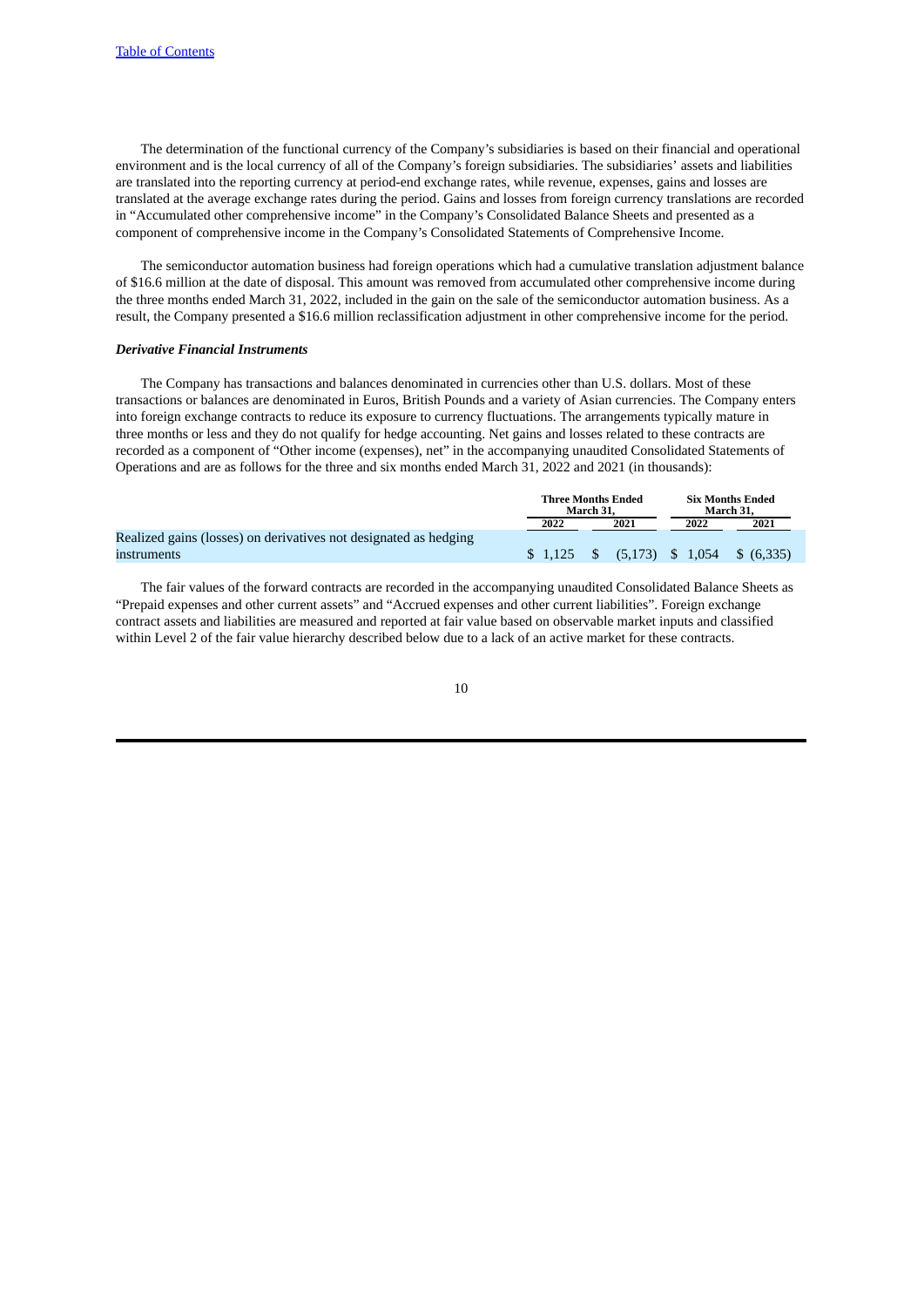The determination of the functional currency of the Company's subsidiaries is based on their financial and operational environment and is the local currency of all of the Company's foreign subsidiaries. The subsidiaries' assets and liabilities are translated into the reporting currency at period-end exchange rates, while revenue, expenses, gains and losses are translated at the average exchange rates during the period. Gains and losses from foreign currency translations are recorded in "Accumulated other comprehensive income" in the Company's Consolidated Balance Sheets and presented as a component of comprehensive income in the Company's Consolidated Statements of Comprehensive Income.

The semiconductor automation business had foreign operations which had a cumulative translation adjustment balance of \$16.6 million at the date of disposal. This amount was removed from accumulated other comprehensive income during the three months ended March 31, 2022, included in the gain on the sale of the semiconductor automation business. As a result, the Company presented a \$16.6 million reclassification adjustment in other comprehensive income for the period.

# *Derivative Financial Instruments*

The Company has transactions and balances denominated in currencies other than U.S. dollars. Most of these transactions or balances are denominated in Euros, British Pounds and a variety of Asian currencies. The Company enters into foreign exchange contracts to reduce its exposure to currency fluctuations. The arrangements typically mature in three months or less and they do not qualify for hedge accounting. Net gains and losses related to these contracts are recorded as a component of "Other income (expenses), net" in the accompanying unaudited Consolidated Statements of Operations and are as follows for the three and six months ended March 31, 2022 and 2021 (in thousands):

|                                                                  | Three Months Ended | March 31. |      |      | <b>Six Months Ended</b><br>March 31.                                                                                                                                                                                                                                                                                      |
|------------------------------------------------------------------|--------------------|-----------|------|------|---------------------------------------------------------------------------------------------------------------------------------------------------------------------------------------------------------------------------------------------------------------------------------------------------------------------------|
|                                                                  | 2022               |           | 2021 | 2022 | 2021                                                                                                                                                                                                                                                                                                                      |
| Realized gains (losses) on derivatives not designated as hedging |                    |           |      |      |                                                                                                                                                                                                                                                                                                                           |
| instruments                                                      |                    |           |      |      | $\frac{1}{2}$ \$ $\frac{1}{2}$ \$ $\frac{1}{2}$ \$ $\frac{1}{2}$ $\frac{1}{2}$ \$ $\frac{1}{2}$ $\frac{1}{2}$ $\frac{1}{2}$ $\frac{1}{2}$ $\frac{1}{2}$ $\frac{1}{2}$ $\frac{1}{2}$ $\frac{1}{2}$ $\frac{1}{2}$ $\frac{1}{2}$ $\frac{1}{2}$ $\frac{1}{2}$ $\frac{1}{2}$ $\frac{1}{2}$ $\frac{1}{2}$ $\frac{1}{2}$ $\frac$ |

The fair values of the forward contracts are recorded in the accompanying unaudited Consolidated Balance Sheets as "Prepaid expenses and other current assets" and "Accrued expenses and other current liabilities". Foreign exchange contract assets and liabilities are measured and reported at fair value based on observable market inputs and classified within Level 2 of the fair value hierarchy described below due to a lack of an active market for these contracts.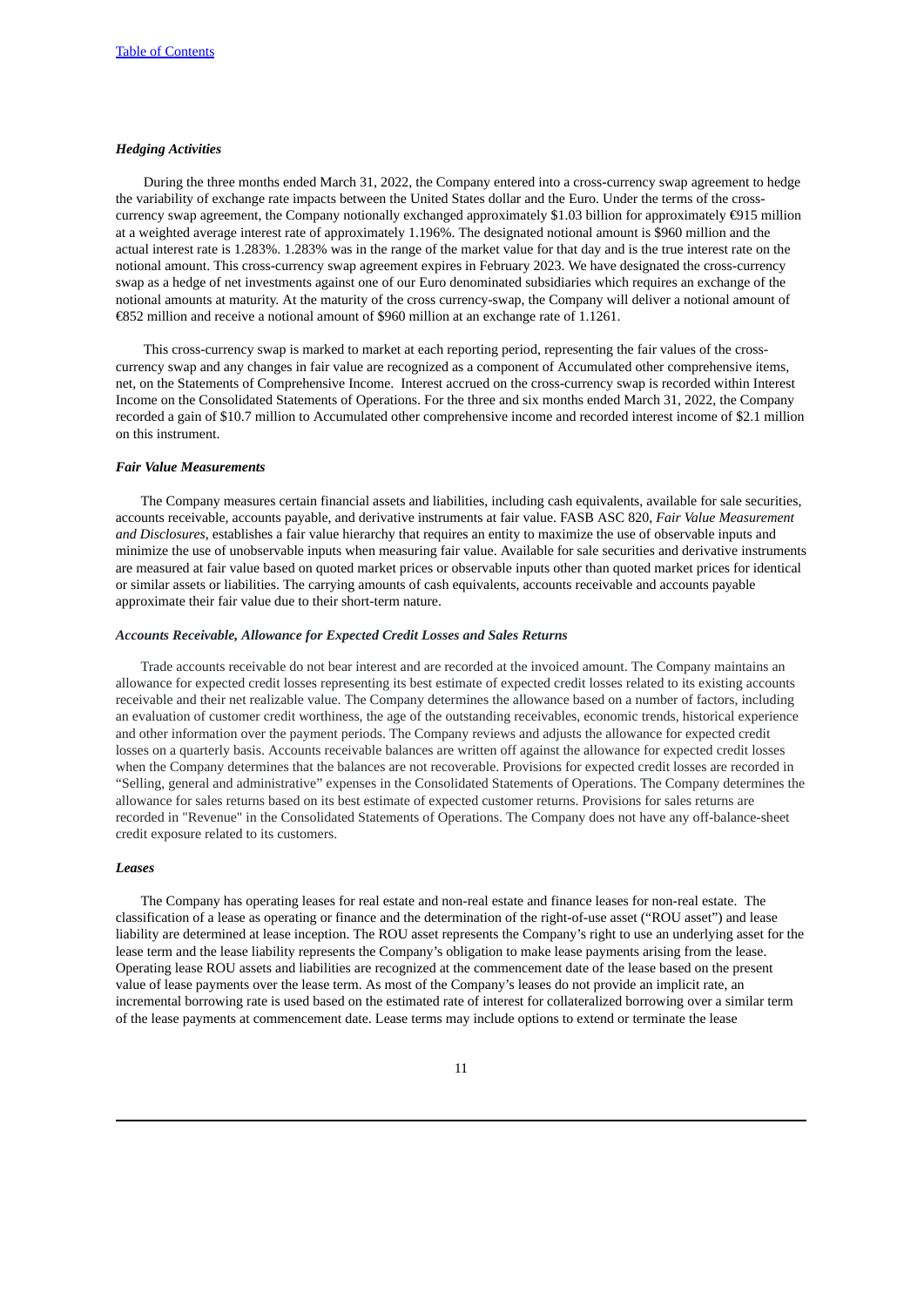# *Hedging Activities*

During the three months ended March 31, 2022, the Company entered into a cross-currency swap agreement to hedge the variability of exchange rate impacts between the United States dollar and the Euro. Under the terms of the crosscurrency swap agreement, the Company notionally exchanged approximately \$1.03 billion for approximately €915 million at a weighted average interest rate of approximately 1.196%. The designated notional amount is \$960 million and the actual interest rate is 1.283%. 1.283% was in the range of the market value for that day and is the true interest rate on the notional amount. This cross-currency swap agreement expires in February 2023. We have designated the cross-currency swap as a hedge of net investments against one of our Euro denominated subsidiaries which requires an exchange of the notional amounts at maturity. At the maturity of the cross currency-swap, the Company will deliver a notional amount of €852 million and receive a notional amount of \$960 million at an exchange rate of 1.1261.

This cross-currency swap is marked to market at each reporting period, representing the fair values of the crosscurrency swap and any changes in fair value are recognized as a component of Accumulated other comprehensive items, net, on the Statements of Comprehensive Income. Interest accrued on the cross-currency swap is recorded within Interest Income on the Consolidated Statements of Operations. For the three and six months ended March 31, 2022, the Company recorded a gain of \$10.7 million to Accumulated other comprehensive income and recorded interest income of \$2.1 million on this instrument.

# *Fair Value Measurements*

The Company measures certain financial assets and liabilities, including cash equivalents, available for sale securities, accounts receivable, accounts payable, and derivative instruments at fair value. FASB ASC 820, *Fair Value Measurement and Disclosures*, establishes a fair value hierarchy that requires an entity to maximize the use of observable inputs and minimize the use of unobservable inputs when measuring fair value. Available for sale securities and derivative instruments are measured at fair value based on quoted market prices or observable inputs other than quoted market prices for identical or similar assets or liabilities. The carrying amounts of cash equivalents, accounts receivable and accounts payable approximate their fair value due to their short-term nature.

### *Accounts Receivable, Allowance for Expected Credit Losses and Sales Returns*

Trade accounts receivable do not bear interest and are recorded at the invoiced amount. The Company maintains an allowance for expected credit losses representing its best estimate of expected credit losses related to its existing accounts receivable and their net realizable value. The Company determines the allowance based on a number of factors, including an evaluation of customer credit worthiness, the age of the outstanding receivables, economic trends, historical experience and other information over the payment periods. The Company reviews and adjusts the allowance for expected credit losses on a quarterly basis. Accounts receivable balances are written off against the allowance for expected credit losses when the Company determines that the balances are not recoverable. Provisions for expected credit losses are recorded in "Selling, general and administrative" expenses in the Consolidated Statements of Operations. The Company determines the allowance for sales returns based on its best estimate of expected customer returns. Provisions for sales returns are recorded in "Revenue" in the Consolidated Statements of Operations. The Company does not have any off-balance-sheet credit exposure related to its customers.

### *Leases*

The Company has operating leases for real estate and non-real estate and finance leases for non-real estate. The classification of a lease as operating or finance and the determination of the right-of-use asset ("ROU asset") and lease liability are determined at lease inception. The ROU asset represents the Company's right to use an underlying asset for the lease term and the lease liability represents the Company's obligation to make lease payments arising from the lease. Operating lease ROU assets and liabilities are recognized at the commencement date of the lease based on the present value of lease payments over the lease term. As most of the Company's leases do not provide an implicit rate, an incremental borrowing rate is used based on the estimated rate of interest for collateralized borrowing over a similar term of the lease payments at commencement date. Lease terms may include options to extend or terminate the lease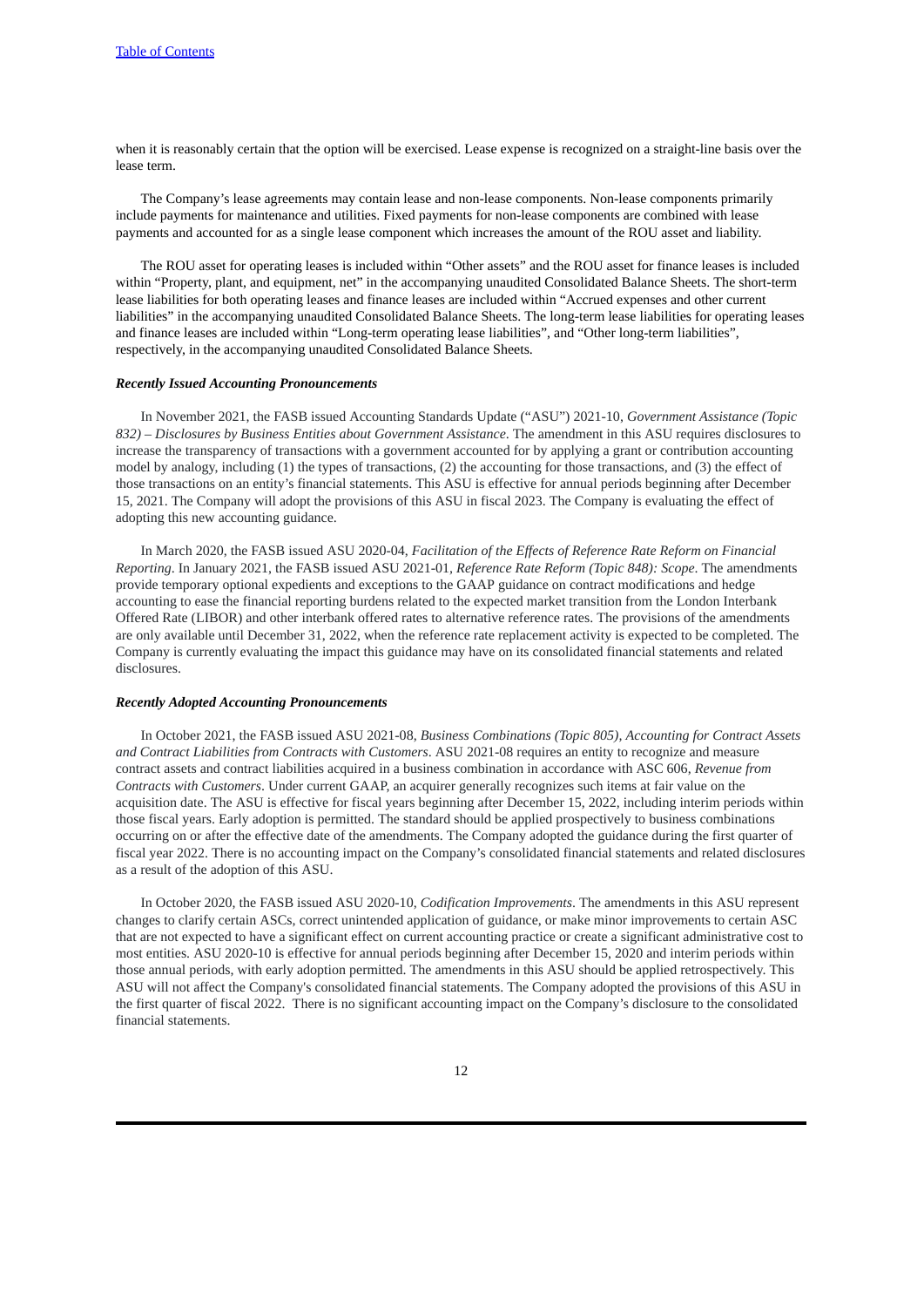when it is reasonably certain that the option will be exercised. Lease expense is recognized on a straight-line basis over the lease term.

The Company's lease agreements may contain lease and non-lease components. Non-lease components primarily include payments for maintenance and utilities. Fixed payments for non-lease components are combined with lease payments and accounted for as a single lease component which increases the amount of the ROU asset and liability.

The ROU asset for operating leases is included within "Other assets" and the ROU asset for finance leases is included within "Property, plant, and equipment, net" in the accompanying unaudited Consolidated Balance Sheets. The short-term lease liabilities for both operating leases and finance leases are included within "Accrued expenses and other current liabilities" in the accompanying unaudited Consolidated Balance Sheets. The long-term lease liabilities for operating leases and finance leases are included within "Long-term operating lease liabilities", and "Other long-term liabilities", respectively, in the accompanying unaudited Consolidated Balance Sheets.

# *Recently Issued Accounting Pronouncements*

In November 2021, the FASB issued Accounting Standards Update ("ASU") 2021-10, *Government Assistance (Topic 832) – Disclosures by Business Entities about Government Assistance*. The amendment in this ASU requires disclosures to increase the transparency of transactions with a government accounted for by applying a grant or contribution accounting model by analogy, including (1) the types of transactions, (2) the accounting for those transactions, and (3) the effect of those transactions on an entity's financial statements. This ASU is effective for annual periods beginning after December 15, 2021. The Company will adopt the provisions of this ASU in fiscal 2023. The Company is evaluating the effect of adopting this new accounting guidance.

In March 2020, the FASB issued ASU 2020-04, *Facilitation of the Effects of Reference Rate Reform on Financial Reporting*. In January 2021, the FASB issued ASU 2021-01*, Reference Rate Reform (Topic 848): Scope*. The amendments provide temporary optional expedients and exceptions to the GAAP guidance on contract modifications and hedge accounting to ease the financial reporting burdens related to the expected market transition from the London Interbank Offered Rate (LIBOR) and other interbank offered rates to alternative reference rates. The provisions of the amendments are only available until December 31, 2022, when the reference rate replacement activity is expected to be completed. The Company is currently evaluating the impact this guidance may have on its consolidated financial statements and related disclosures.

### *Recently Adopted Accounting Pronouncements*

In October 2021, the FASB issued ASU 2021-08, *Business Combinations (Topic 805), Accounting for Contract Assets and Contract Liabilities from Contracts with Customers*. ASU 2021-08 requires an entity to recognize and measure contract assets and contract liabilities acquired in a business combination in accordance with ASC 606, *Revenue from Contracts with Customers*. Under current GAAP, an acquirer generally recognizes such items at fair value on the acquisition date. The ASU is effective for fiscal years beginning after December 15, 2022, including interim periods within those fiscal years. Early adoption is permitted. The standard should be applied prospectively to business combinations occurring on or after the effective date of the amendments. The Company adopted the guidance during the first quarter of fiscal year 2022. There is no accounting impact on the Company's consolidated financial statements and related disclosures as a result of the adoption of this ASU.

In October 2020, the FASB issued ASU 2020-10, *Codification Improvements*. The amendments in this ASU represent changes to clarify certain ASCs, correct unintended application of guidance, or make minor improvements to certain ASC that are not expected to have a significant effect on current accounting practice or create a significant administrative cost to most entities. ASU 2020-10 is effective for annual periods beginning after December 15, 2020 and interim periods within those annual periods, with early adoption permitted. The amendments in this ASU should be applied retrospectively. This ASU will not affect the Company's consolidated financial statements. The Company adopted the provisions of this ASU in the first quarter of fiscal 2022. There is no significant accounting impact on the Company's disclosure to the consolidated financial statements.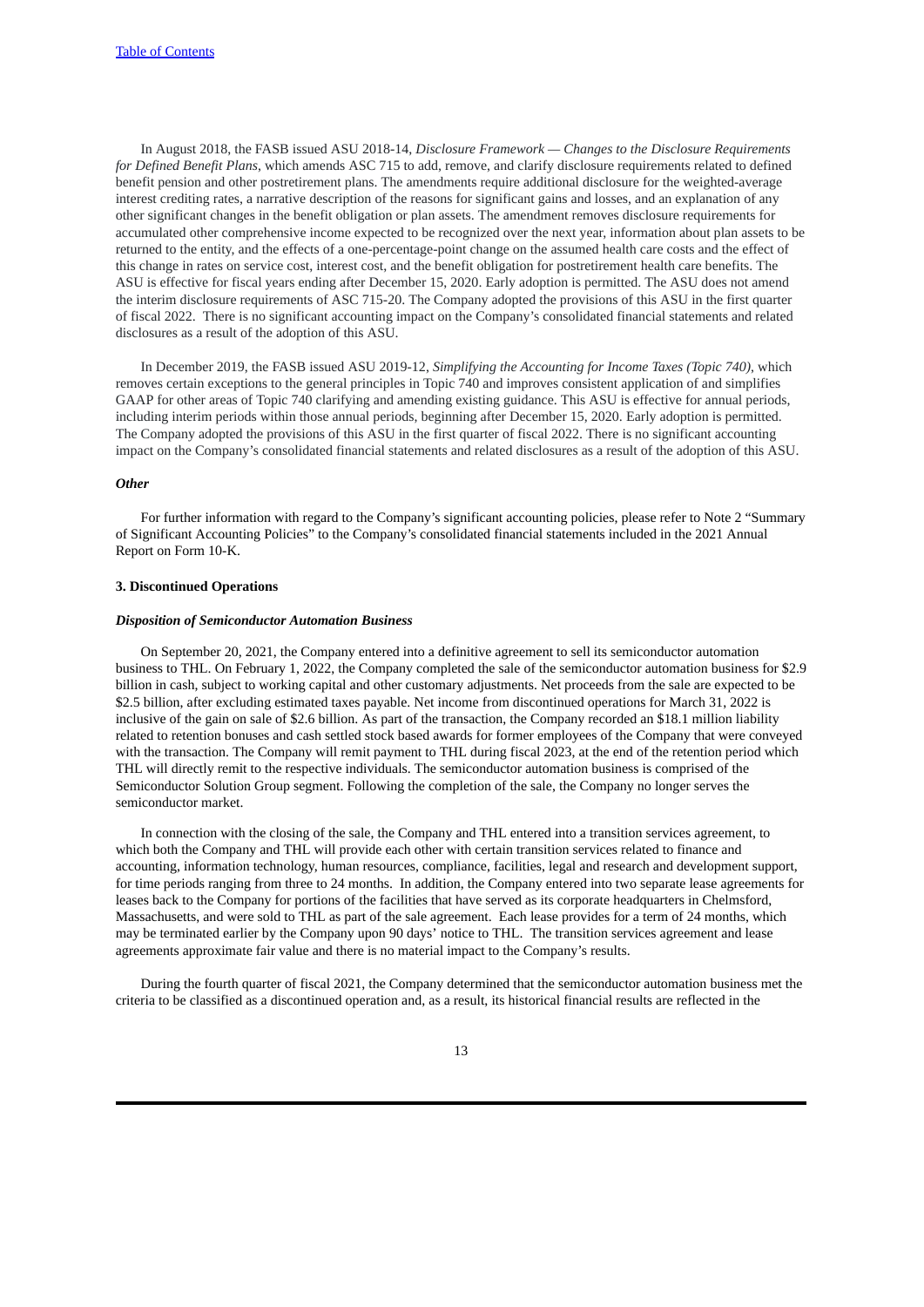In August 2018, the FASB issued ASU 2018-14, *Disclosure Framework — Changes to the Disclosure Requirements for Defined Benefit Plans*, which amends ASC 715 to add, remove, and clarify disclosure requirements related to defined benefit pension and other postretirement plans. The amendments require additional disclosure for the weighted-average interest crediting rates, a narrative description of the reasons for significant gains and losses, and an explanation of any other significant changes in the benefit obligation or plan assets. The amendment removes disclosure requirements for accumulated other comprehensive income expected to be recognized over the next year, information about plan assets to be returned to the entity, and the effects of a one-percentage-point change on the assumed health care costs and the effect of this change in rates on service cost, interest cost, and the benefit obligation for postretirement health care benefits. The ASU is effective for fiscal years ending after December 15, 2020. Early adoption is permitted. The ASU does not amend the interim disclosure requirements of ASC 715-20. The Company adopted the provisions of this ASU in the first quarter of fiscal 2022. There is no significant accounting impact on the Company's consolidated financial statements and related disclosures as a result of the adoption of this ASU.

In December 2019, the FASB issued ASU 2019-12, *Simplifying the Accounting for Income Taxes (Topic 740)*, which removes certain exceptions to the general principles in Topic 740 and improves consistent application of and simplifies GAAP for other areas of Topic 740 clarifying and amending existing guidance. This ASU is effective for annual periods, including interim periods within those annual periods, beginning after December 15, 2020. Early adoption is permitted. The Company adopted the provisions of this ASU in the first quarter of fiscal 2022. There is no significant accounting impact on the Company's consolidated financial statements and related disclosures as a result of the adoption of this ASU.

### *Other*

For further information with regard to the Company's significant accounting policies, please refer to Note 2 "Summary of Significant Accounting Policies" to the Company's consolidated financial statements included in the 2021 Annual Report on Form 10-K.

### **3. Discontinued Operations**

# *Disposition of Semiconductor Automation Business*

On September 20, 2021, the Company entered into a definitive agreement to sell its semiconductor automation business to THL. On February 1, 2022, the Company completed the sale of the semiconductor automation business for \$2.9 billion in cash, subject to working capital and other customary adjustments. Net proceeds from the sale are expected to be \$2.5 billion, after excluding estimated taxes payable. Net income from discontinued operations for March 31, 2022 is inclusive of the gain on sale of \$2.6 billion. As part of the transaction, the Company recorded an \$18.1 million liability related to retention bonuses and cash settled stock based awards for former employees of the Company that were conveyed with the transaction. The Company will remit payment to THL during fiscal 2023, at the end of the retention period which THL will directly remit to the respective individuals. The semiconductor automation business is comprised of the Semiconductor Solution Group segment. Following the completion of the sale, the Company no longer serves the semiconductor market.

In connection with the closing of the sale, the Company and THL entered into a transition services agreement, to which both the Company and THL will provide each other with certain transition services related to finance and accounting, information technology, human resources, compliance, facilities, legal and research and development support, for time periods ranging from three to 24 months. In addition, the Company entered into two separate lease agreements for leases back to the Company for portions of the facilities that have served as its corporate headquarters in Chelmsford, Massachusetts, and were sold to THL as part of the sale agreement. Each lease provides for a term of 24 months, which may be terminated earlier by the Company upon 90 days' notice to THL. The transition services agreement and lease agreements approximate fair value and there is no material impact to the Company's results.

During the fourth quarter of fiscal 2021, the Company determined that the semiconductor automation business met the criteria to be classified as a discontinued operation and, as a result, its historical financial results are reflected in the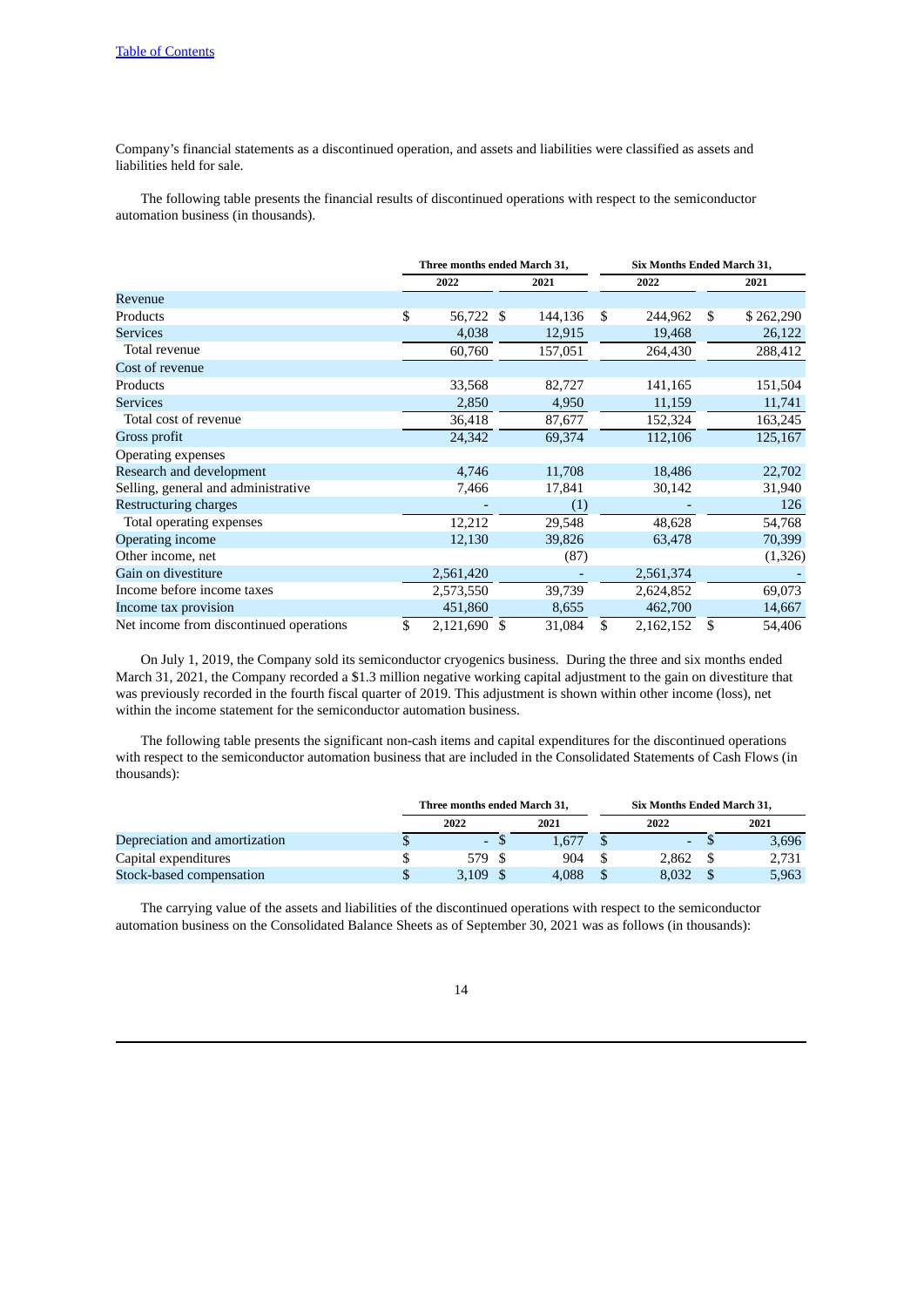Company's financial statements as a discontinued operation, and assets and liabilities were classified as assets and liabilities held for sale.

The following table presents the financial results of discontinued operations with respect to the semiconductor automation business (in thousands).

|                                         | Three months ended March 31, |               | <b>Six Months Ended March 31,</b> |    |           |    |           |  |
|-----------------------------------------|------------------------------|---------------|-----------------------------------|----|-----------|----|-----------|--|
|                                         | 2022                         |               | 2021                              |    | 2022      |    | 2021      |  |
| Revenue                                 |                              |               |                                   |    |           |    |           |  |
| Products                                | \$<br>56,722 \$              |               | 144,136                           | \$ | 244,962   | \$ | \$262,290 |  |
| <b>Services</b>                         | 4,038                        |               | 12,915                            |    | 19,468    |    | 26,122    |  |
| Total revenue                           | 60,760                       |               | 157,051                           |    | 264,430   |    | 288,412   |  |
| Cost of revenue                         |                              |               |                                   |    |           |    |           |  |
| Products                                | 33,568                       |               | 82,727                            |    | 141,165   |    | 151,504   |  |
| <b>Services</b>                         | 2,850                        |               | 4,950                             |    | 11,159    |    | 11,741    |  |
| Total cost of revenue                   | 36,418                       |               | 87,677                            |    | 152,324   |    | 163,245   |  |
| Gross profit                            | 24,342                       |               | 69,374                            |    | 112,106   |    | 125,167   |  |
| Operating expenses                      |                              |               |                                   |    |           |    |           |  |
| Research and development                | 4,746                        |               | 11,708                            |    | 18,486    |    | 22,702    |  |
| Selling, general and administrative     | 7,466                        |               | 17,841                            |    | 30,142    |    | 31,940    |  |
| Restructuring charges                   |                              |               | (1)                               |    |           |    | 126       |  |
| Total operating expenses                | 12,212                       |               | 29,548                            |    | 48,628    |    | 54,768    |  |
| <b>Operating income</b>                 | 12,130                       |               | 39,826                            |    | 63,478    |    | 70,399    |  |
| Other income, net                       |                              |               | (87)                              |    |           |    | (1,326)   |  |
| Gain on divestiture                     | 2,561,420                    |               |                                   |    | 2,561,374 |    |           |  |
| Income before income taxes              | 2,573,550                    |               | 39,739                            |    | 2,624,852 |    | 69,073    |  |
| Income tax provision                    | 451,860                      |               | 8,655                             |    | 462,700   |    | 14,667    |  |
| Net income from discontinued operations | \$<br>2,121,690              | <sup>\$</sup> | 31,084                            | \$ | 2,162,152 | \$ | 54,406    |  |

On July 1, 2019, the Company sold its semiconductor cryogenics business. During the three and six months ended March 31, 2021, the Company recorded a \$1.3 million negative working capital adjustment to the gain on divestiture that was previously recorded in the fourth fiscal quarter of 2019. This adjustment is shown within other income (loss), net within the income statement for the semiconductor automation business.

The following table presents the significant non-cash items and capital expenditures for the discontinued operations with respect to the semiconductor automation business that are included in the Consolidated Statements of Cash Flows (in thousands):

|                               | Three months ended March 31. |       |  | Six Months Ended March 31. |  |       |
|-------------------------------|------------------------------|-------|--|----------------------------|--|-------|
|                               | 2022                         | 2021  |  | 2022                       |  | 2021  |
| Depreciation and amortization |                              | 1.677 |  | $\sim$                     |  | 3,696 |
| Capital expenditures          | 579 S                        | 904   |  | 2.862                      |  | 2.731 |
| Stock-based compensation      | $3.109$ \$                   | 4.088 |  | 8.032                      |  | 5,963 |

The carrying value of the assets and liabilities of the discontinued operations with respect to the semiconductor automation business on the Consolidated Balance Sheets as of September 30, 2021 was as follows (in thousands):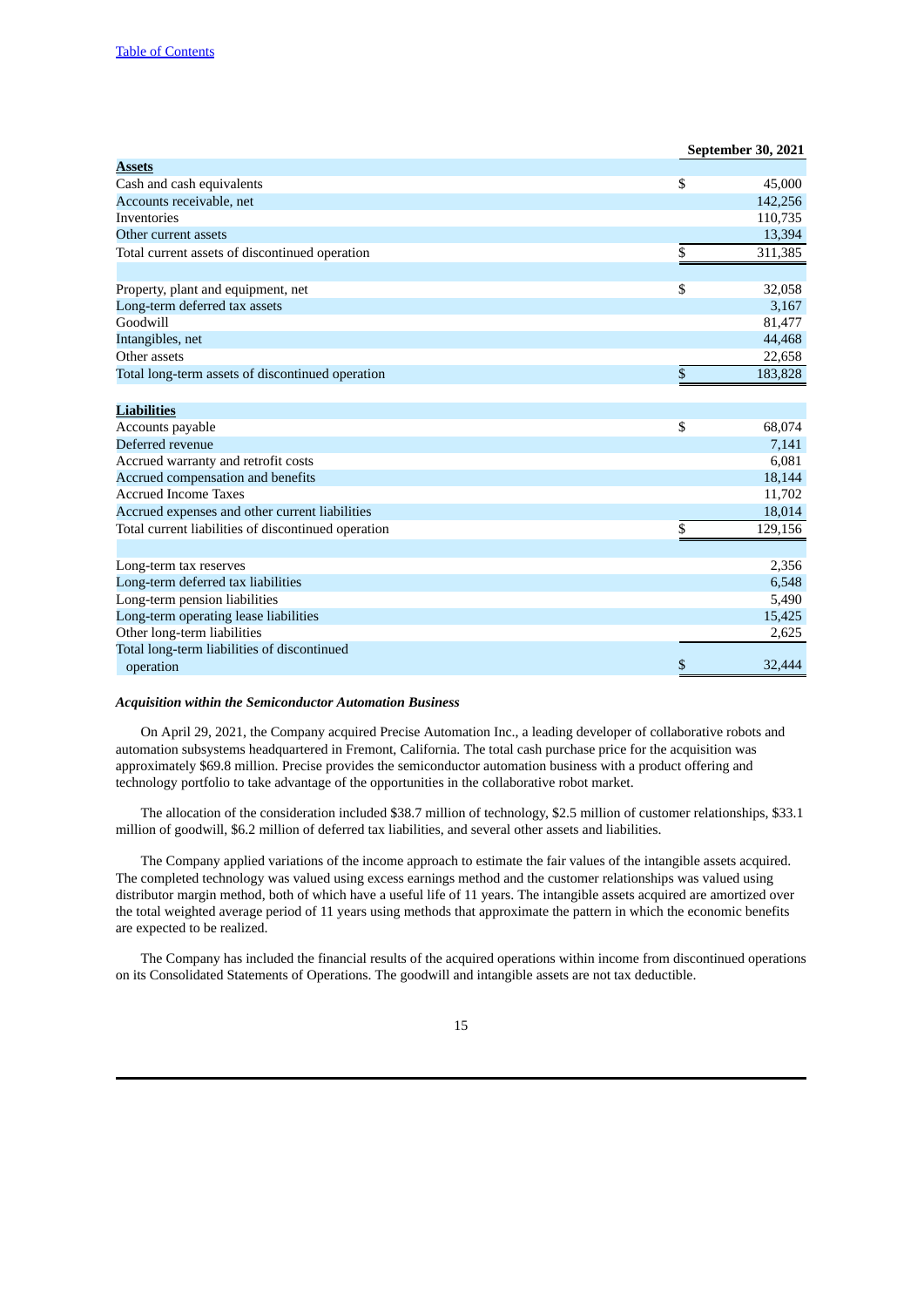|                                                     | September 30, 2021 |
|-----------------------------------------------------|--------------------|
| <b>Assets</b>                                       |                    |
| Cash and cash equivalents                           | \$<br>45,000       |
| Accounts receivable, net                            | 142,256            |
| <b>Inventories</b>                                  | 110,735            |
| Other current assets                                | 13,394             |
| Total current assets of discontinued operation      | \$<br>311,385      |
| Property, plant and equipment, net                  | \$<br>32,058       |
| Long-term deferred tax assets                       | 3,167              |
| Goodwill                                            | 81,477             |
| Intangibles, net                                    | 44,468             |
| Other assets                                        | 22,658             |
| Total long-term assets of discontinued operation    | \$<br>183,828      |
|                                                     |                    |
| <b>Liabilities</b>                                  |                    |
| Accounts payable                                    | \$<br>68,074       |
| Deferred revenue                                    | 7,141              |
| Accrued warranty and retrofit costs                 | 6,081              |
| Accrued compensation and benefits                   | 18,144             |
| <b>Accrued Income Taxes</b>                         | 11,702             |
| Accrued expenses and other current liabilities      | 18,014             |
| Total current liabilities of discontinued operation | \$<br>129,156      |
| Long-term tax reserves                              | 2,356              |
| Long-term deferred tax liabilities                  | 6,548              |
| Long-term pension liabilities                       | 5,490              |
| Long-term operating lease liabilities               | 15,425             |
| Other long-term liabilities                         | 2,625              |
| Total long-term liabilities of discontinued         |                    |
| operation                                           | \$<br>32,444       |

### *Acquisition within the Semiconductor Automation Business*

On April 29, 2021, the Company acquired Precise Automation Inc., a leading developer of collaborative robots and automation subsystems headquartered in Fremont, California. The total cash purchase price for the acquisition was approximately \$69.8 million. Precise provides the semiconductor automation business with a product offering and technology portfolio to take advantage of the opportunities in the collaborative robot market.

The allocation of the consideration included \$38.7 million of technology, \$2.5 million of customer relationships, \$33.1 million of goodwill, \$6.2 million of deferred tax liabilities, and several other assets and liabilities.

The Company applied variations of the income approach to estimate the fair values of the intangible assets acquired. The completed technology was valued using excess earnings method and the customer relationships was valued using distributor margin method, both of which have a useful life of 11 years. The intangible assets acquired are amortized over the total weighted average period of 11 years using methods that approximate the pattern in which the economic benefits are expected to be realized.

The Company has included the financial results of the acquired operations within income from discontinued operations on its Consolidated Statements of Operations. The goodwill and intangible assets are not tax deductible.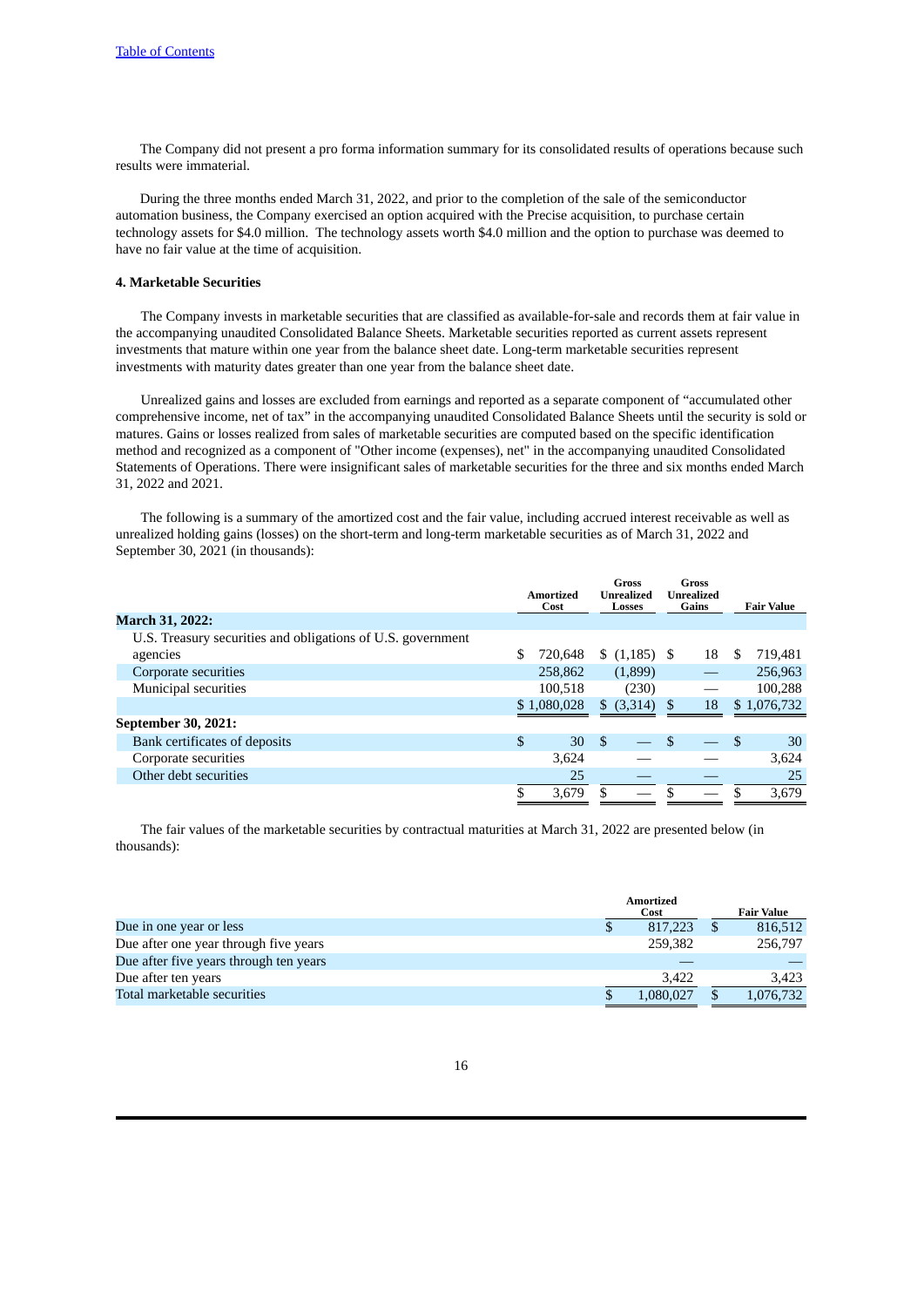The Company did not present a pro forma information summary for its consolidated results of operations because such results were immaterial.

During the three months ended March 31, 2022, and prior to the completion of the sale of the semiconductor automation business, the Company exercised an option acquired with the Precise acquisition, to purchase certain technology assets for \$4.0 million. The technology assets worth \$4.0 million and the option to purchase was deemed to have no fair value at the time of acquisition.

# **4. Marketable Securities**

The Company invests in marketable securities that are classified as available-for-sale and records them at fair value in the accompanying unaudited Consolidated Balance Sheets. Marketable securities reported as current assets represent investments that mature within one year from the balance sheet date. Long-term marketable securities represent investments with maturity dates greater than one year from the balance sheet date.

Unrealized gains and losses are excluded from earnings and reported as a separate component of "accumulated other comprehensive income, net of tax" in the accompanying unaudited Consolidated Balance Sheets until the security is sold or matures. Gains or losses realized from sales of marketable securities are computed based on the specific identification method and recognized as a component of "Other income (expenses), net" in the accompanying unaudited Consolidated Statements of Operations. There were insignificant sales of marketable securities for the three and six months ended March 31, 2022 and 2021.

The following is a summary of the amortized cost and the fair value, including accrued interest receivable as well as unrealized holding gains (losses) on the short-term and long-term marketable securities as of March 31, 2022 and September 30, 2021 (in thousands):

|                                                             | Amortized<br>Cost |             |      |            |     |    |   |             |  |  |  |  |  |  |  |  |  |  |  |  |  | Gross<br>Unrealized<br>Losses |  |  |  |  |  |  | <b>Gross</b><br>Unrealized<br>Gains |  | <b>Fair Value</b> |
|-------------------------------------------------------------|-------------------|-------------|------|------------|-----|----|---|-------------|--|--|--|--|--|--|--|--|--|--|--|--|--|-------------------------------|--|--|--|--|--|--|-------------------------------------|--|-------------------|
| <b>March 31, 2022:</b>                                      |                   |             |      |            |     |    |   |             |  |  |  |  |  |  |  |  |  |  |  |  |  |                               |  |  |  |  |  |  |                                     |  |                   |
| U.S. Treasury securities and obligations of U.S. government |                   |             |      |            |     |    |   |             |  |  |  |  |  |  |  |  |  |  |  |  |  |                               |  |  |  |  |  |  |                                     |  |                   |
| agencies                                                    |                   | 720.648     |      |            |     | 18 | S | 719,481     |  |  |  |  |  |  |  |  |  |  |  |  |  |                               |  |  |  |  |  |  |                                     |  |                   |
| Corporate securities                                        |                   | 258,862     |      | (1,899)    |     |    |   | 256,963     |  |  |  |  |  |  |  |  |  |  |  |  |  |                               |  |  |  |  |  |  |                                     |  |                   |
| Municipal securities                                        |                   | 100.518     |      | (230)      |     |    |   | 100,288     |  |  |  |  |  |  |  |  |  |  |  |  |  |                               |  |  |  |  |  |  |                                     |  |                   |
|                                                             |                   | \$1,080,028 |      | \$ (3,314) | \$. | 18 |   | \$1,076,732 |  |  |  |  |  |  |  |  |  |  |  |  |  |                               |  |  |  |  |  |  |                                     |  |                   |
| September 30, 2021:                                         |                   |             |      |            |     |    |   |             |  |  |  |  |  |  |  |  |  |  |  |  |  |                               |  |  |  |  |  |  |                                     |  |                   |
| Bank certificates of deposits                               | \$                | 30          | - \$ |            | \$  |    | S | 30          |  |  |  |  |  |  |  |  |  |  |  |  |  |                               |  |  |  |  |  |  |                                     |  |                   |
| Corporate securities                                        |                   | 3,624       |      |            |     |    |   | 3,624       |  |  |  |  |  |  |  |  |  |  |  |  |  |                               |  |  |  |  |  |  |                                     |  |                   |
| Other debt securities                                       |                   | 25          |      |            |     |    |   | 25          |  |  |  |  |  |  |  |  |  |  |  |  |  |                               |  |  |  |  |  |  |                                     |  |                   |
|                                                             |                   | 3,679       |      |            | \$  |    |   | 3,679       |  |  |  |  |  |  |  |  |  |  |  |  |  |                               |  |  |  |  |  |  |                                     |  |                   |

The fair values of the marketable securities by contractual maturities at March 31, 2022 are presented below (in thousands):

|                                        | <b>Amortized</b> |           |  |                   |
|----------------------------------------|------------------|-----------|--|-------------------|
|                                        |                  | Cost      |  | <b>Fair Value</b> |
| Due in one year or less                |                  | 817,223   |  | 816,512           |
| Due after one year through five years  |                  | 259.382   |  | 256,797           |
| Due after five years through ten years |                  |           |  |                   |
| Due after ten years                    |                  | 3.422     |  | 3.423             |
| Total marketable securities            |                  | 1,080,027 |  | 1,076,732         |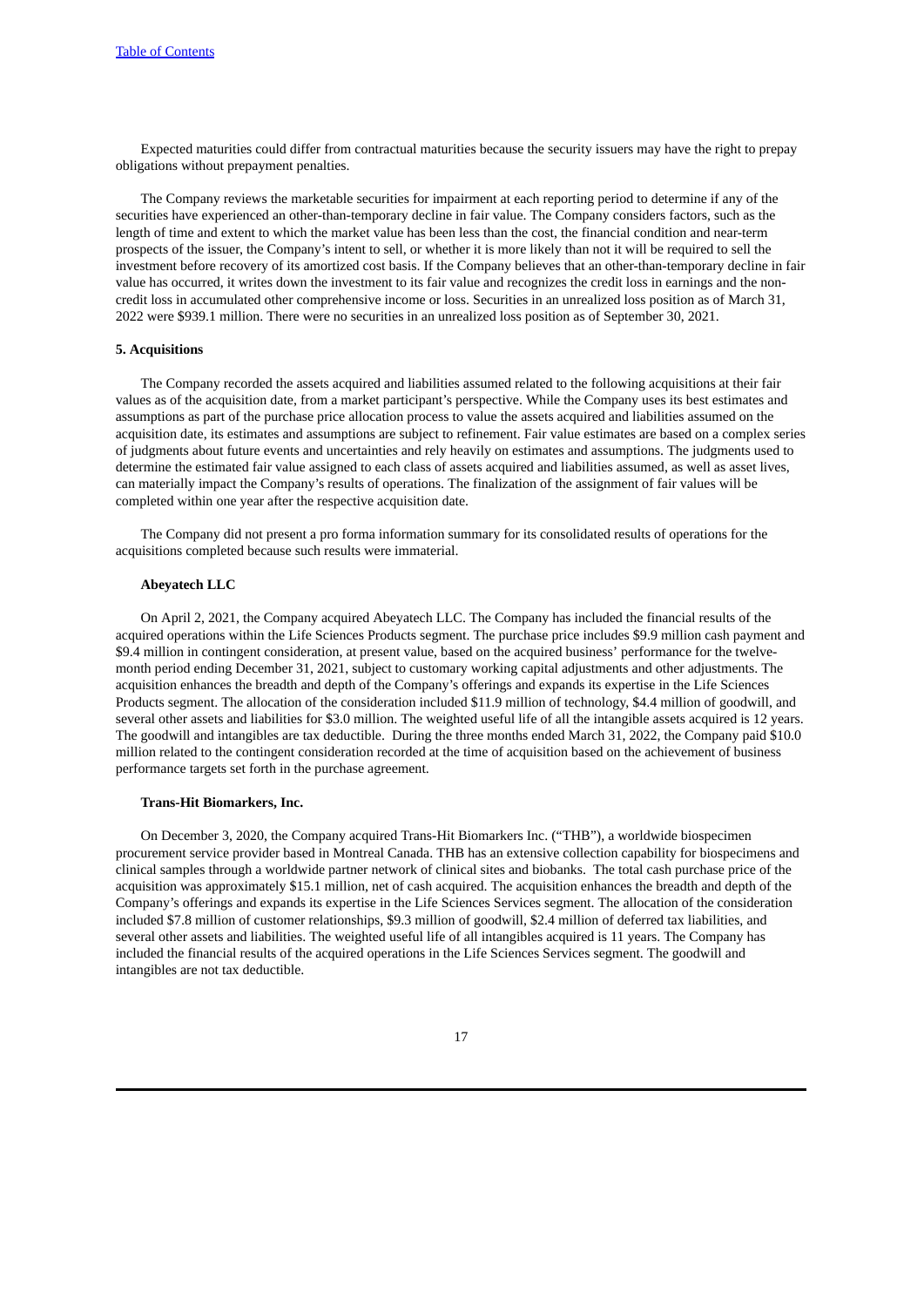Expected maturities could differ from contractual maturities because the security issuers may have the right to prepay obligations without prepayment penalties.

The Company reviews the marketable securities for impairment at each reporting period to determine if any of the securities have experienced an other-than-temporary decline in fair value. The Company considers factors, such as the length of time and extent to which the market value has been less than the cost, the financial condition and near-term prospects of the issuer, the Company's intent to sell, or whether it is more likely than not it will be required to sell the investment before recovery of its amortized cost basis. If the Company believes that an other-than-temporary decline in fair value has occurred, it writes down the investment to its fair value and recognizes the credit loss in earnings and the noncredit loss in accumulated other comprehensive income or loss. Securities in an unrealized loss position as of March 31, 2022 were \$939.1 million. There were no securities in an unrealized loss position as of September 30, 2021.

### **5. Acquisitions**

The Company recorded the assets acquired and liabilities assumed related to the following acquisitions at their fair values as of the acquisition date, from a market participant's perspective. While the Company uses its best estimates and assumptions as part of the purchase price allocation process to value the assets acquired and liabilities assumed on the acquisition date, its estimates and assumptions are subject to refinement. Fair value estimates are based on a complex series of judgments about future events and uncertainties and rely heavily on estimates and assumptions. The judgments used to determine the estimated fair value assigned to each class of assets acquired and liabilities assumed, as well as asset lives, can materially impact the Company's results of operations. The finalization of the assignment of fair values will be completed within one year after the respective acquisition date.

The Company did not present a pro forma information summary for its consolidated results of operations for the acquisitions completed because such results were immaterial.

# **Abeyatech LLC**

On April 2, 2021, the Company acquired Abeyatech LLC. The Company has included the financial results of the acquired operations within the Life Sciences Products segment. The purchase price includes \$9.9 million cash payment and \$9.4 million in contingent consideration, at present value, based on the acquired business' performance for the twelvemonth period ending December 31, 2021, subject to customary working capital adjustments and other adjustments. The acquisition enhances the breadth and depth of the Company's offerings and expands its expertise in the Life Sciences Products segment. The allocation of the consideration included \$11.9 million of technology, \$4.4 million of goodwill, and several other assets and liabilities for \$3.0 million. The weighted useful life of all the intangible assets acquired is 12 years. The goodwill and intangibles are tax deductible. During the three months ended March 31, 2022, the Company paid \$10.0 million related to the contingent consideration recorded at the time of acquisition based on the achievement of business performance targets set forth in the purchase agreement.

#### **Trans-Hit Biomarkers, Inc.**

On December 3, 2020, the Company acquired Trans-Hit Biomarkers Inc. ("THB"), a worldwide biospecimen procurement service provider based in Montreal Canada. THB has an extensive collection capability for biospecimens and clinical samples through a worldwide partner network of clinical sites and biobanks. The total cash purchase price of the acquisition was approximately \$15.1 million, net of cash acquired. The acquisition enhances the breadth and depth of the Company's offerings and expands its expertise in the Life Sciences Services segment. The allocation of the consideration included \$7.8 million of customer relationships, \$9.3 million of goodwill, \$2.4 million of deferred tax liabilities, and several other assets and liabilities. The weighted useful life of all intangibles acquired is 11 years. The Company has included the financial results of the acquired operations in the Life Sciences Services segment. The goodwill and intangibles are not tax deductible.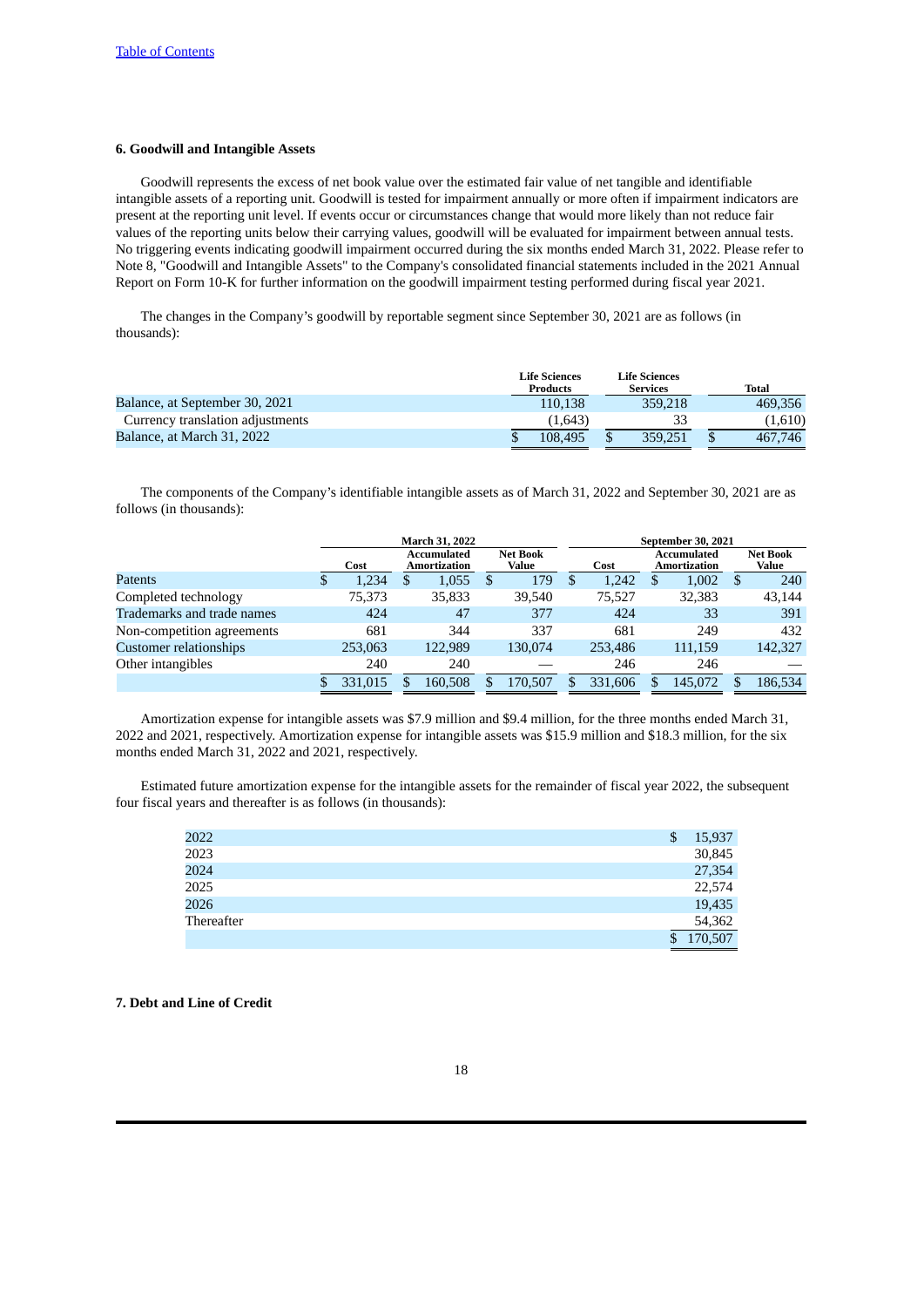# **6. Goodwill and Intangible Assets**

Goodwill represents the excess of net book value over the estimated fair value of net tangible and identifiable intangible assets of a reporting unit. Goodwill is tested for impairment annually or more often if impairment indicators are present at the reporting unit level. If events occur or circumstances change that would more likely than not reduce fair values of the reporting units below their carrying values, goodwill will be evaluated for impairment between annual tests. No triggering events indicating goodwill impairment occurred during the six months ended March 31, 2022. Please refer to Note 8, "Goodwill and Intangible Assets" to the Company's consolidated financial statements included in the 2021 Annual Report on Form 10-K for further information on the goodwill impairment testing performed during fiscal year 2021.

The changes in the Company's goodwill by reportable segment since September 30, 2021 are as follows (in thousands):

|                                  | <b>Life Sciences</b><br><b>Products</b> | <b>Life Sciences</b><br><b>Services</b> | Total   |
|----------------------------------|-----------------------------------------|-----------------------------------------|---------|
| Balance, at September 30, 2021   | 110.138                                 | 359,218                                 | 469.356 |
| Currency translation adjustments | (1.643)                                 |                                         | (1.610) |
| Balance, at March 31, 2022       | 108.495                                 | 359,251                                 | 467,746 |

The components of the Company's identifiable intangible assets as of March 31, 2022 and September 30, 2021 are as follows (in thousands):

|                               | <b>March 31, 2022</b> |   |                             |   |                          | <b>September 30, 2021</b> |         |  |                             |  |                          |
|-------------------------------|-----------------------|---|-----------------------------|---|--------------------------|---------------------------|---------|--|-----------------------------|--|--------------------------|
|                               | Cost                  |   | Accumulated<br>Amortization |   | <b>Net Book</b><br>Value |                           | Cost    |  | Accumulated<br>Amortization |  | <b>Net Book</b><br>Value |
| Patents                       | \$<br>1,234           | Ъ | 1,055                       | S | 179                      | S                         | 1.242   |  | 1,002                       |  | 240                      |
| Completed technology          | 75,373                |   | 35,833                      |   | 39.540                   |                           | 75.527  |  | 32,383                      |  | 43,144                   |
| Trademarks and trade names    | 424                   |   | 47                          |   | 377                      |                           | 424     |  | 33                          |  | 391                      |
| Non-competition agreements    | 681                   |   | 344                         |   | 337                      |                           | 681     |  | 249                         |  | 432                      |
| <b>Customer relationships</b> | 253,063               |   | 122,989                     |   | 130.074                  |                           | 253,486 |  | 111,159                     |  | 142,327                  |
| Other intangibles             | 240                   |   | 240                         |   |                          |                           | 246     |  | 246                         |  |                          |
|                               | 331,015               |   | 160,508                     |   | 170,507                  | S                         | 331,606 |  | 145,072                     |  | 186,534                  |

Amortization expense for intangible assets was \$7.9 million and \$9.4 million, for the three months ended March 31, 2022 and 2021, respectively. Amortization expense for intangible assets was \$15.9 million and \$18.3 million, for the six months ended March 31, 2022 and 2021, respectively.

Estimated future amortization expense for the intangible assets for the remainder of fiscal year 2022, the subsequent four fiscal years and thereafter is as follows (in thousands):

| 2022       | \$<br>15,937  |
|------------|---------------|
| 2023       | 30,845        |
| 2024       | 27,354        |
| 2025       | 22,574        |
| 2026       | 19,435        |
| Thereafter | 54,362        |
|            | \$<br>170,507 |

# **7. Debt and Line of Credit**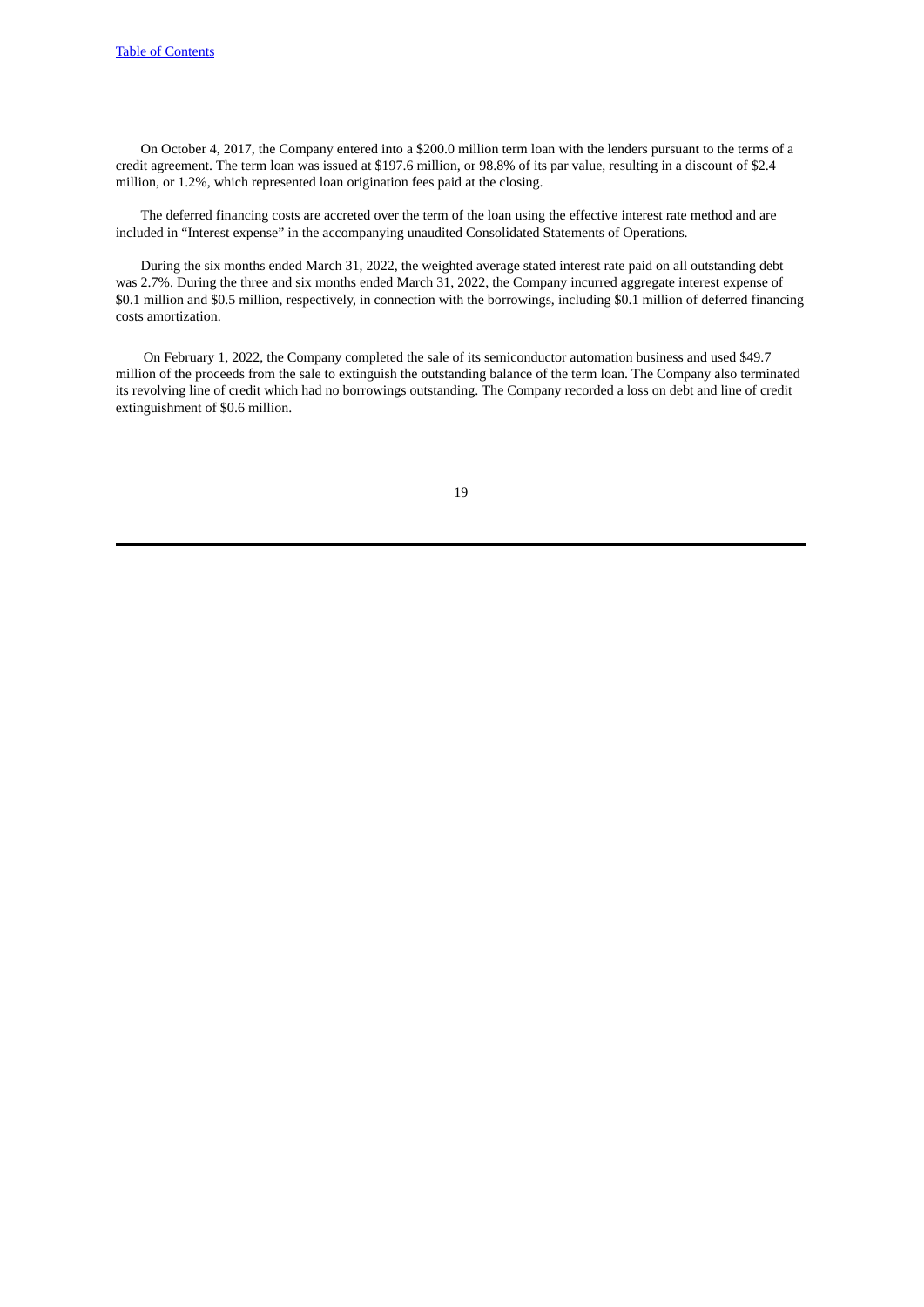On October 4, 2017, the Company entered into a \$200.0 million term loan with the lenders pursuant to the terms of a credit agreement. The term loan was issued at \$197.6 million, or 98.8% of its par value, resulting in a discount of \$2.4 million, or 1.2%, which represented loan origination fees paid at the closing.

The deferred financing costs are accreted over the term of the loan using the effective interest rate method and are included in "Interest expense" in the accompanying unaudited Consolidated Statements of Operations.

During the six months ended March 31, 2022, the weighted average stated interest rate paid on all outstanding debt was 2.7%. During the three and six months ended March 31, 2022, the Company incurred aggregate interest expense of \$0.1 million and \$0.5 million, respectively, in connection with the borrowings, including \$0.1 million of deferred financing costs amortization.

On February 1, 2022, the Company completed the sale of its semiconductor automation business and used \$49.7 million of the proceeds from the sale to extinguish the outstanding balance of the term loan. The Company also terminated its revolving line of credit which had no borrowings outstanding. The Company recorded a loss on debt and line of credit extinguishment of \$0.6 million.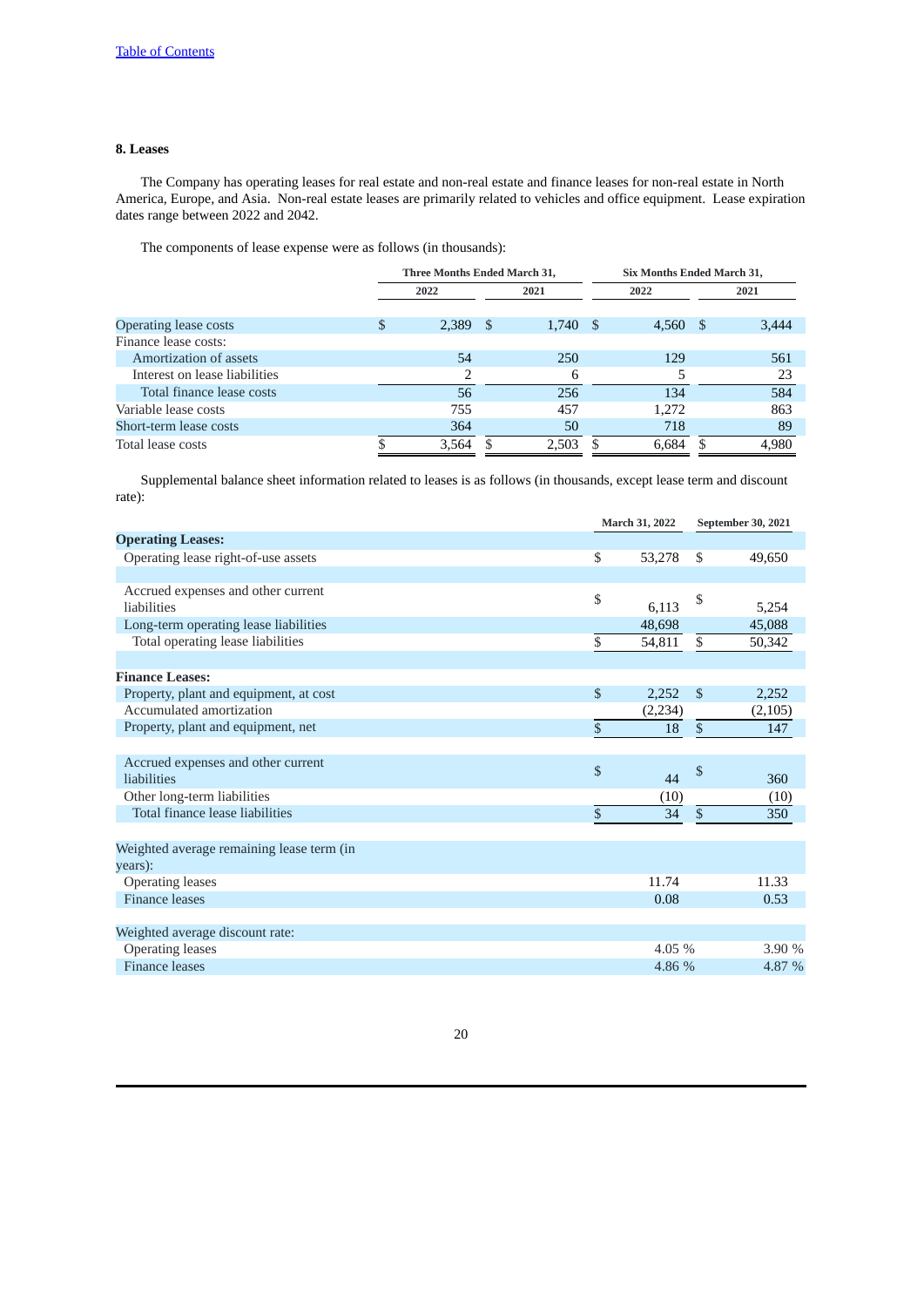# **8. Leases**

The Company has operating leases for real estate and non-real estate and finance leases for non-real estate in North America, Europe, and Asia. Non-real estate leases are primarily related to vehicles and office equipment. Lease expiration dates range between 2022 and 2042.

The components of lease expense were as follows (in thousands):

|                               |   | Three Months Ended March 31, |  |       |      | Six Months Ended March 31, |  |       |  |
|-------------------------------|---|------------------------------|--|-------|------|----------------------------|--|-------|--|
|                               |   | 2022                         |  | 2021  | 2022 |                            |  | 2021  |  |
| Operating lease costs         | S | $2,389$ \$                   |  | 1,740 | - S  | 4,560 \$                   |  | 3,444 |  |
| Finance lease costs:          |   |                              |  |       |      |                            |  |       |  |
| Amortization of assets        |   | 54                           |  | 250   |      | 129                        |  | 561   |  |
| Interest on lease liabilities |   |                              |  | 6     |      |                            |  | 23    |  |
| Total finance lease costs     |   | 56                           |  | 256   |      | 134                        |  | 584   |  |
| Variable lease costs          |   | 755                          |  | 457   |      | 1.272                      |  | 863   |  |
| Short-term lease costs        |   | 364                          |  | 50    |      | 718                        |  | 89    |  |
| Total lease costs             |   | 3.564                        |  | 2.503 |      | 6.684                      |  | 4.980 |  |

Supplemental balance sheet information related to leases is as follows (in thousands, except lease term and discount rate):

|                                                      |                 | March 31, 2022 |                 | September 30, 2021 |
|------------------------------------------------------|-----------------|----------------|-----------------|--------------------|
| <b>Operating Leases:</b>                             |                 |                |                 |                    |
| Operating lease right-of-use assets                  | \$              | 53,278         | \$              | 49,650             |
|                                                      |                 |                |                 |                    |
| Accrued expenses and other current<br>liabilities    | \$              | 6,113          | \$              | 5,254              |
| Long-term operating lease liabilities                |                 | 48.698         |                 | 45,088             |
| Total operating lease liabilities                    | \$              | 54,811         | \$              | 50,342             |
|                                                      |                 |                |                 |                    |
| <b>Finance Leases:</b>                               |                 |                |                 |                    |
| Property, plant and equipment, at cost               | $\mathbb{S}$    | 2,252          | $\mathbb{S}$    | 2,252              |
| Accumulated amortization                             |                 | (2, 234)       |                 | (2,105)            |
| Property, plant and equipment, net                   | \$              | 18             | $\overline{\$}$ | 147                |
|                                                      |                 |                |                 |                    |
| Accrued expenses and other current<br>liabilities    | \$              | 44             | \$              | 360                |
| Other long-term liabilities                          |                 | (10)           |                 | (10)               |
| Total finance lease liabilities                      | $\overline{\$}$ | 34             | $\overline{\$}$ | 350                |
|                                                      |                 |                |                 |                    |
| Weighted average remaining lease term (in<br>years): |                 |                |                 |                    |
| <b>Operating leases</b>                              |                 | 11.74          |                 | 11.33              |
| <b>Finance leases</b>                                |                 | 0.08           |                 | 0.53               |
|                                                      |                 |                |                 |                    |
| Weighted average discount rate:                      |                 |                |                 |                    |
| <b>Operating leases</b>                              |                 | 4.05 %         |                 | 3.90 %             |
| <b>Finance leases</b>                                |                 | 4.86 %         |                 | 4.87 %             |
|                                                      |                 |                |                 |                    |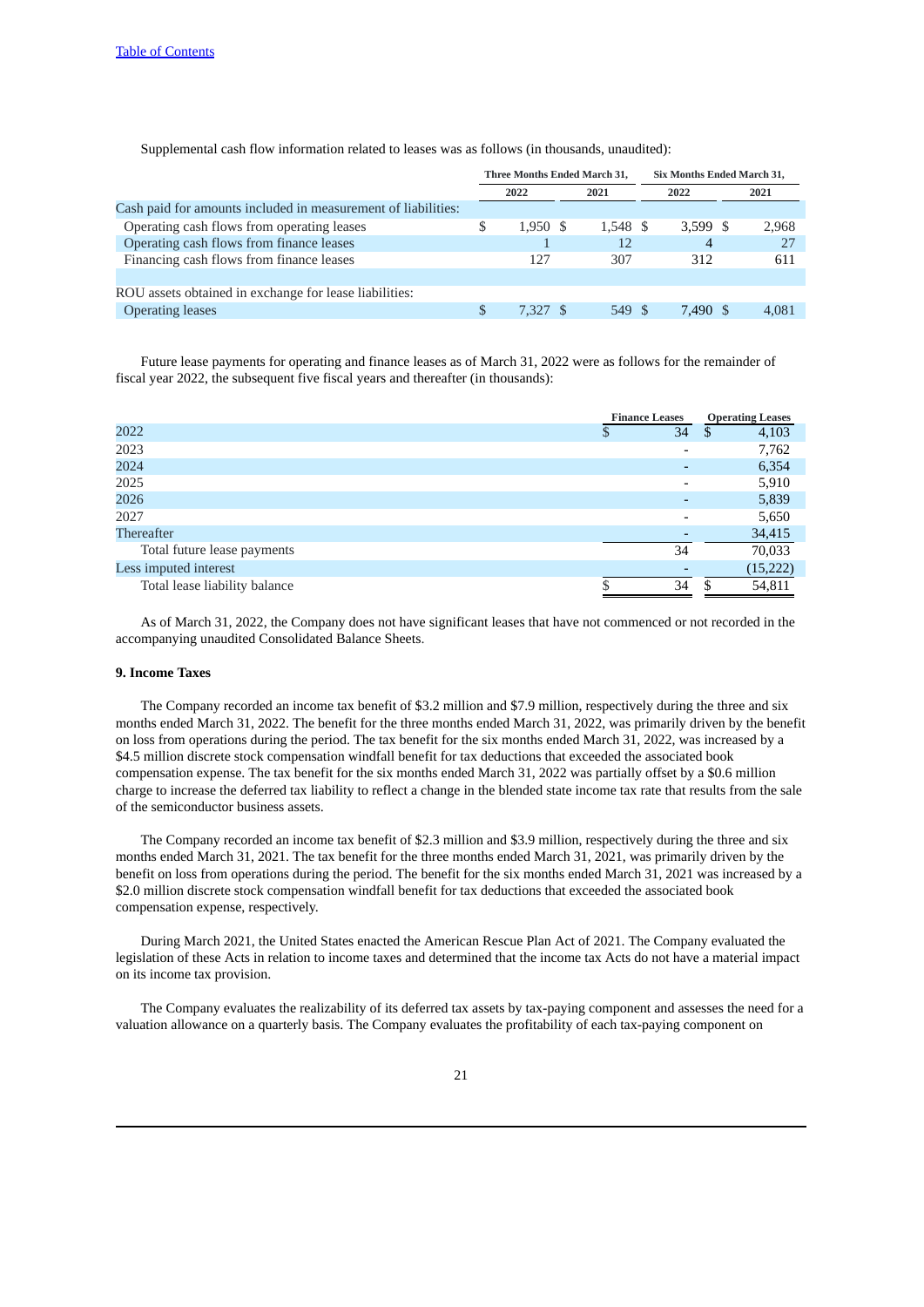**Three Months Ended March 31, Six Months Ended March 31, 2022 2021 2022 2021** Cash paid for amounts included in measurement of liabilities: Operating cash flows from operating leases \$ 1,950 \$ 1,548 \$ 3,599 \$ 2,968 Operating cash flows from finance leases 1 12 4 27 Financing cash flows from finance leases 127 307 312 611 ROU assets obtained in exchange for lease liabilities: Operating leases 6 549 \$ 7,327 \$ 549 \$ 7,490 \$ 4,081

Supplemental cash flow information related to leases was as follows (in thousands, unaudited):

Future lease payments for operating and finance leases as of March 31, 2022 were as follows for the remainder of fiscal year 2022, the subsequent five fiscal years and thereafter (in thousands):

|                               | <b>Finance Leases</b>    | <b>Operating Leases</b> |
|-------------------------------|--------------------------|-------------------------|
| 2022                          | 34                       | 4,103<br>S              |
| 2023                          | $\overline{\phantom{0}}$ | 7,762                   |
| 2024                          |                          | 6,354                   |
| 2025                          |                          | 5,910                   |
| 2026                          |                          | 5,839                   |
| 2027                          | -                        | 5,650                   |
| Thereafter                    |                          | 34,415                  |
| Total future lease payments   | 34                       | 70,033                  |
| Less imputed interest         |                          | (15, 222)               |
| Total lease liability balance | 34                       | 54,811                  |

As of March 31, 2022, the Company does not have significant leases that have not commenced or not recorded in the accompanying unaudited Consolidated Balance Sheets.

# **9. Income Taxes**

The Company recorded an income tax benefit of \$3.2 million and \$7.9 million, respectively during the three and six months ended March 31, 2022. The benefit for the three months ended March 31, 2022, was primarily driven by the benefit on loss from operations during the period. The tax benefit for the six months ended March 31, 2022, was increased by a \$4.5 million discrete stock compensation windfall benefit for tax deductions that exceeded the associated book compensation expense. The tax benefit for the six months ended March 31, 2022 was partially offset by a \$0.6 million charge to increase the deferred tax liability to reflect a change in the blended state income tax rate that results from the sale of the semiconductor business assets.

The Company recorded an income tax benefit of \$2.3 million and \$3.9 million, respectively during the three and six months ended March 31, 2021. The tax benefit for the three months ended March 31, 2021, was primarily driven by the benefit on loss from operations during the period. The benefit for the six months ended March 31, 2021 was increased by a \$2.0 million discrete stock compensation windfall benefit for tax deductions that exceeded the associated book compensation expense, respectively.

During March 2021, the United States enacted the American Rescue Plan Act of 2021. The Company evaluated the legislation of these Acts in relation to income taxes and determined that the income tax Acts do not have a material impact on its income tax provision.

The Company evaluates the realizability of its deferred tax assets by tax-paying component and assesses the need for a valuation allowance on a quarterly basis. The Company evaluates the profitability of each tax-paying component on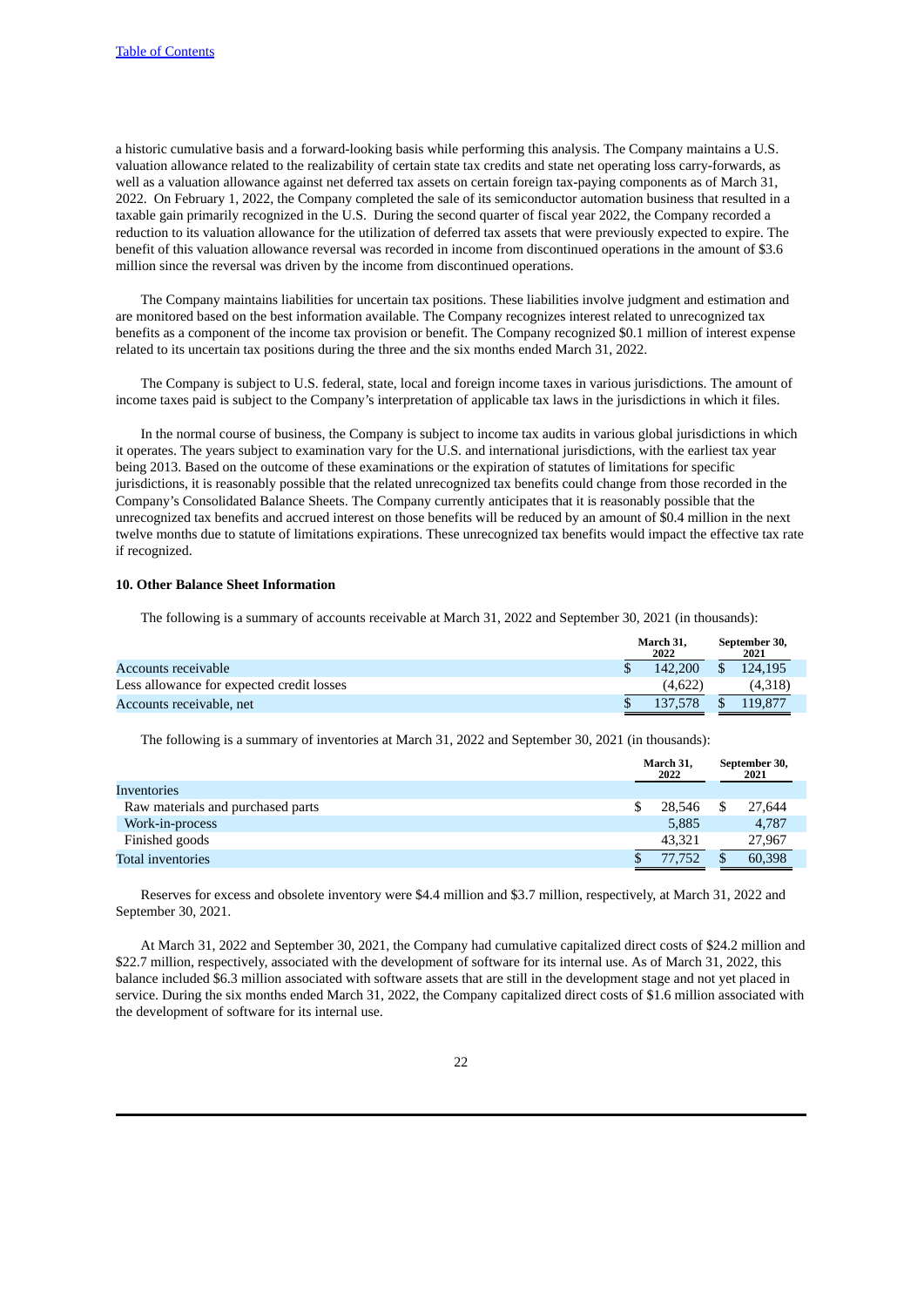a historic cumulative basis and a forward-looking basis while performing this analysis. The Company maintains a U.S. valuation allowance related to the realizability of certain state tax credits and state net operating loss carry-forwards, as well as a valuation allowance against net deferred tax assets on certain foreign tax-paying components as of March 31, 2022. On February 1, 2022, the Company completed the sale of its semiconductor automation business that resulted in a taxable gain primarily recognized in the U.S. During the second quarter of fiscal year 2022, the Company recorded a reduction to its valuation allowance for the utilization of deferred tax assets that were previously expected to expire. The benefit of this valuation allowance reversal was recorded in income from discontinued operations in the amount of \$3.6 million since the reversal was driven by the income from discontinued operations.

The Company maintains liabilities for uncertain tax positions. These liabilities involve judgment and estimation and are monitored based on the best information available. The Company recognizes interest related to unrecognized tax benefits as a component of the income tax provision or benefit. The Company recognized \$0.1 million of interest expense related to its uncertain tax positions during the three and the six months ended March 31, 2022.

The Company is subject to U.S. federal, state, local and foreign income taxes in various jurisdictions. The amount of income taxes paid is subject to the Company's interpretation of applicable tax laws in the jurisdictions in which it files.

In the normal course of business, the Company is subject to income tax audits in various global jurisdictions in which it operates. The years subject to examination vary for the U.S. and international jurisdictions, with the earliest tax year being 2013. Based on the outcome of these examinations or the expiration of statutes of limitations for specific jurisdictions, it is reasonably possible that the related unrecognized tax benefits could change from those recorded in the Company's Consolidated Balance Sheets. The Company currently anticipates that it is reasonably possible that the unrecognized tax benefits and accrued interest on those benefits will be reduced by an amount of \$0.4 million in the next twelve months due to statute of limitations expirations. These unrecognized tax benefits would impact the effective tax rate if recognized.

# **10. Other Balance Sheet Information**

The following is a summary of accounts receivable at March 31, 2022 and September 30, 2021 (in thousands):

|                                           | March 31.<br>2022 |               | September 30,<br>2021 |
|-------------------------------------------|-------------------|---------------|-----------------------|
| Accounts receivable                       | 142.200           | <sup>\$</sup> | 124.195               |
| Less allowance for expected credit losses | (4.622)           |               | (4.318)               |
| Accounts receivable, net                  | 137.578           |               | 119.877               |

The following is a summary of inventories at March 31, 2022 and September 30, 2021 (in thousands):

|                                   | March 31,<br>2022 |    | September 30,<br>2021 |
|-----------------------------------|-------------------|----|-----------------------|
| Inventories                       |                   |    |                       |
| Raw materials and purchased parts | 28.546            | \$ | 27,644                |
| Work-in-process                   | 5,885             |    | 4,787                 |
| Finished goods                    | 43.321            |    | 27,967                |
| Total inventories                 | 77.752            | S  | 60,398                |

Reserves for excess and obsolete inventory were \$4.4 million and \$3.7 million, respectively, at March 31, 2022 and September 30, 2021.

At March 31, 2022 and September 30, 2021, the Company had cumulative capitalized direct costs of \$24.2 million and \$22.7 million, respectively, associated with the development of software for its internal use. As of March 31, 2022, this balance included \$6.3 million associated with software assets that are still in the development stage and not yet placed in service. During the six months ended March 31, 2022, the Company capitalized direct costs of \$1.6 million associated with the development of software for its internal use.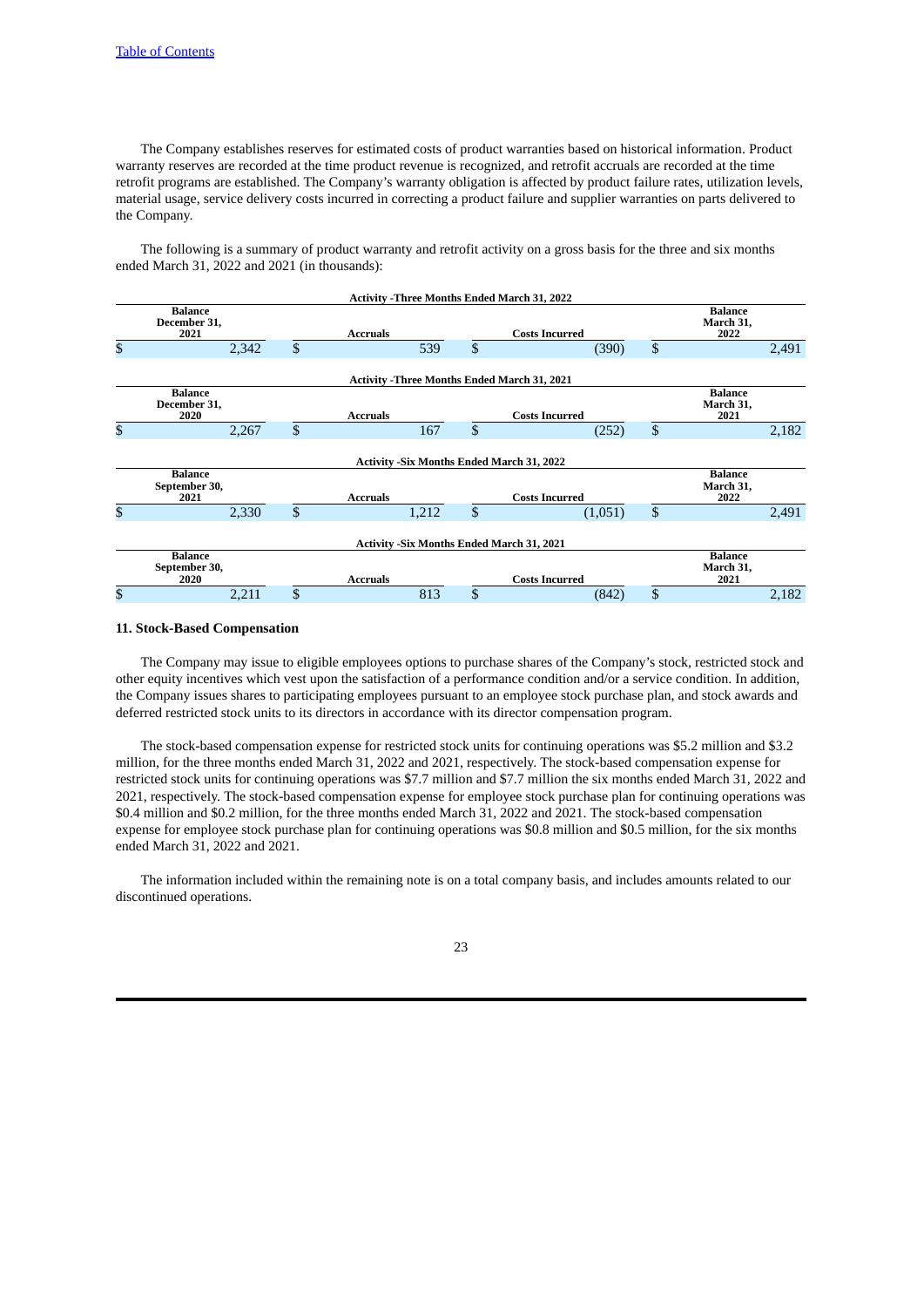The Company establishes reserves for estimated costs of product warranties based on historical information. Product warranty reserves are recorded at the time product revenue is recognized, and retrofit accruals are recorded at the time retrofit programs are established. The Company's warranty obligation is affected by product failure rates, utilization levels, material usage, service delivery costs incurred in correcting a product failure and supplier warranties on parts delivered to the Company.

The following is a summary of product warranty and retrofit activity on a gross basis for the three and six months ended March 31, 2022 and 2021 (in thousands):

|              |                                         |       |              |                 |       |                | <b>Activity - Three Months Ended March 31, 2022</b> |                                     |       |
|--------------|-----------------------------------------|-------|--------------|-----------------|-------|----------------|-----------------------------------------------------|-------------------------------------|-------|
|              | <b>Balance</b><br>December 31,<br>2021  |       |              | <b>Accruals</b> |       |                | <b>Balance</b><br>March 31,<br>2022                 |                                     |       |
| $\mathbb{S}$ |                                         | 2,342 | $\mathbb{S}$ |                 | 539   | \$             | (390)                                               | \$                                  | 2,491 |
|              |                                         |       |              |                 |       |                | <b>Activity - Three Months Ended March 31, 2021</b> |                                     |       |
|              | <b>Balance</b><br>December 31,<br>2020  |       |              | <b>Accruals</b> |       |                | <b>Costs Incurred</b>                               | <b>Balance</b><br>March 31,<br>2021 |       |
| \$           |                                         | 2,267 | $\mathbb{S}$ |                 | 167   | \$             | (252)                                               | \$                                  | 2,182 |
|              |                                         |       |              |                 |       |                | <b>Activity -Six Months Ended March 31, 2022</b>    |                                     |       |
|              | <b>Balance</b><br>September 30,<br>2021 |       |              | <b>Accruals</b> |       |                | <b>Costs Incurred</b>                               | <b>Balance</b><br>March 31,<br>2022 |       |
| \$           |                                         | 2,330 | \$           |                 | 1,212 | \$             | (1,051)                                             | \$                                  | 2,491 |
|              |                                         |       |              |                 |       |                | <b>Activity -Six Months Ended March 31, 2021</b>    |                                     |       |
|              | <b>Balance</b><br>September 30,<br>2020 |       |              | <b>Accruals</b> |       |                | <b>Costs Incurred</b>                               | <b>Balance</b><br>March 31,<br>2021 |       |
| \$           |                                         | 2,211 | \$           |                 | 813   | $\mathfrak{S}$ | (842)                                               | \$                                  | 2,182 |

# **11. Stock-Based Compensation**

The Company may issue to eligible employees options to purchase shares of the Company's stock, restricted stock and other equity incentives which vest upon the satisfaction of a performance condition and/or a service condition. In addition, the Company issues shares to participating employees pursuant to an employee stock purchase plan, and stock awards and deferred restricted stock units to its directors in accordance with its director compensation program.

The stock-based compensation expense for restricted stock units for continuing operations was \$5.2 million and \$3.2 million, for the three months ended March 31, 2022 and 2021, respectively. The stock-based compensation expense for restricted stock units for continuing operations was \$7.7 million and \$7.7 million the six months ended March 31, 2022 and 2021, respectively. The stock-based compensation expense for employee stock purchase plan for continuing operations was \$0.4 million and \$0.2 million, for the three months ended March 31, 2022 and 2021. The stock-based compensation expense for employee stock purchase plan for continuing operations was \$0.8 million and \$0.5 million, for the six months ended March 31, 2022 and 2021.

The information included within the remaining note is on a total company basis, and includes amounts related to our discontinued operations.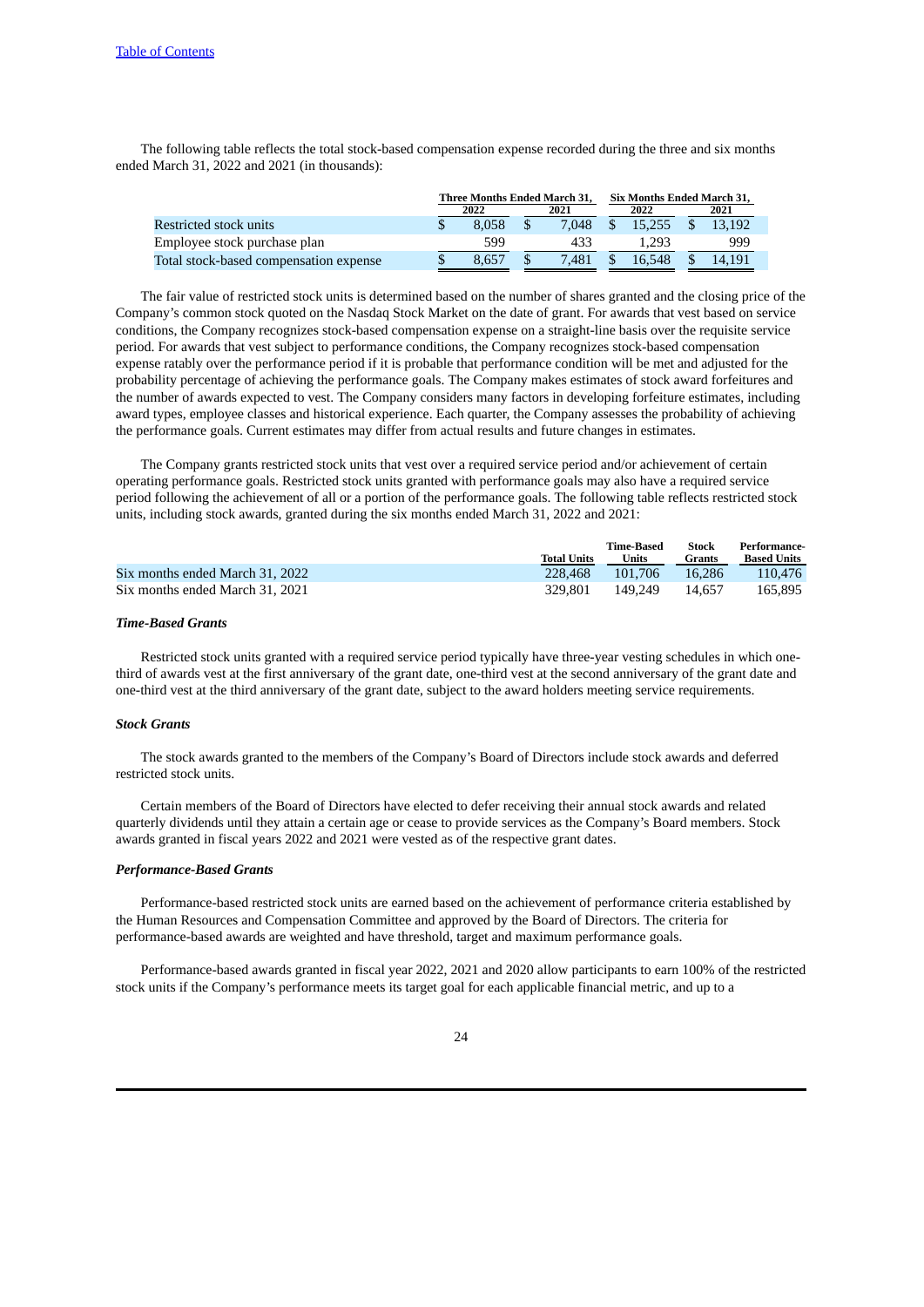The following table reflects the total stock-based compensation expense recorded during the three and six months ended March 31, 2022 and 2021 (in thousands):

|                                        | <b>Three Months Ended March 31.</b> |              |  |       |  | Six Months Ended March 31. |      |        |  |
|----------------------------------------|-------------------------------------|--------------|--|-------|--|----------------------------|------|--------|--|
|                                        |                                     | 2022<br>2021 |  |       |  | 2022                       | 2021 |        |  |
| Restricted stock units                 |                                     | 8.058        |  | 7.048 |  | 15.255                     |      | 13.192 |  |
| Employee stock purchase plan           |                                     | 599          |  | 433   |  | 1.293                      |      | 999    |  |
| Total stock-based compensation expense |                                     | 8.657        |  | 7.481 |  | 16.548                     |      | 14.191 |  |

The fair value of restricted stock units is determined based on the number of shares granted and the closing price of the Company's common stock quoted on the Nasdaq Stock Market on the date of grant. For awards that vest based on service conditions, the Company recognizes stock-based compensation expense on a straight-line basis over the requisite service period. For awards that vest subject to performance conditions, the Company recognizes stock-based compensation expense ratably over the performance period if it is probable that performance condition will be met and adjusted for the probability percentage of achieving the performance goals. The Company makes estimates of stock award forfeitures and the number of awards expected to vest. The Company considers many factors in developing forfeiture estimates, including award types, employee classes and historical experience. Each quarter, the Company assesses the probability of achieving the performance goals. Current estimates may differ from actual results and future changes in estimates.

The Company grants restricted stock units that vest over a required service period and/or achievement of certain operating performance goals. Restricted stock units granted with performance goals may also have a required service period following the achievement of all or a portion of the performance goals. The following table reflects restricted stock units, including stock awards, granted during the six months ended March 31, 2022 and 2021:

|                                 | <b>Total Units</b> | Time-Based<br>Units | Stock<br>Grants | Performance-<br><b>Based Units</b> |
|---------------------------------|--------------------|---------------------|-----------------|------------------------------------|
| Six months ended March 31, 2022 | 228,468            | 101.706             | 16.286          | 110.476                            |
| Six months ended March 31, 2021 | 329.801            | 149.249             | 14.657          | 165.895                            |

# *Time-Based Grants*

Restricted stock units granted with a required service period typically have three-year vesting schedules in which onethird of awards vest at the first anniversary of the grant date, one-third vest at the second anniversary of the grant date and one-third vest at the third anniversary of the grant date, subject to the award holders meeting service requirements.

# *Stock Grants*

The stock awards granted to the members of the Company's Board of Directors include stock awards and deferred restricted stock units.

Certain members of the Board of Directors have elected to defer receiving their annual stock awards and related quarterly dividends until they attain a certain age or cease to provide services as the Company's Board members. Stock awards granted in fiscal years 2022 and 2021 were vested as of the respective grant dates.

### *Performance-Based Grants*

Performance-based restricted stock units are earned based on the achievement of performance criteria established by the Human Resources and Compensation Committee and approved by the Board of Directors. The criteria for performance-based awards are weighted and have threshold, target and maximum performance goals.

Performance-based awards granted in fiscal year 2022, 2021 and 2020 allow participants to earn 100% of the restricted stock units if the Company's performance meets its target goal for each applicable financial metric, and up to a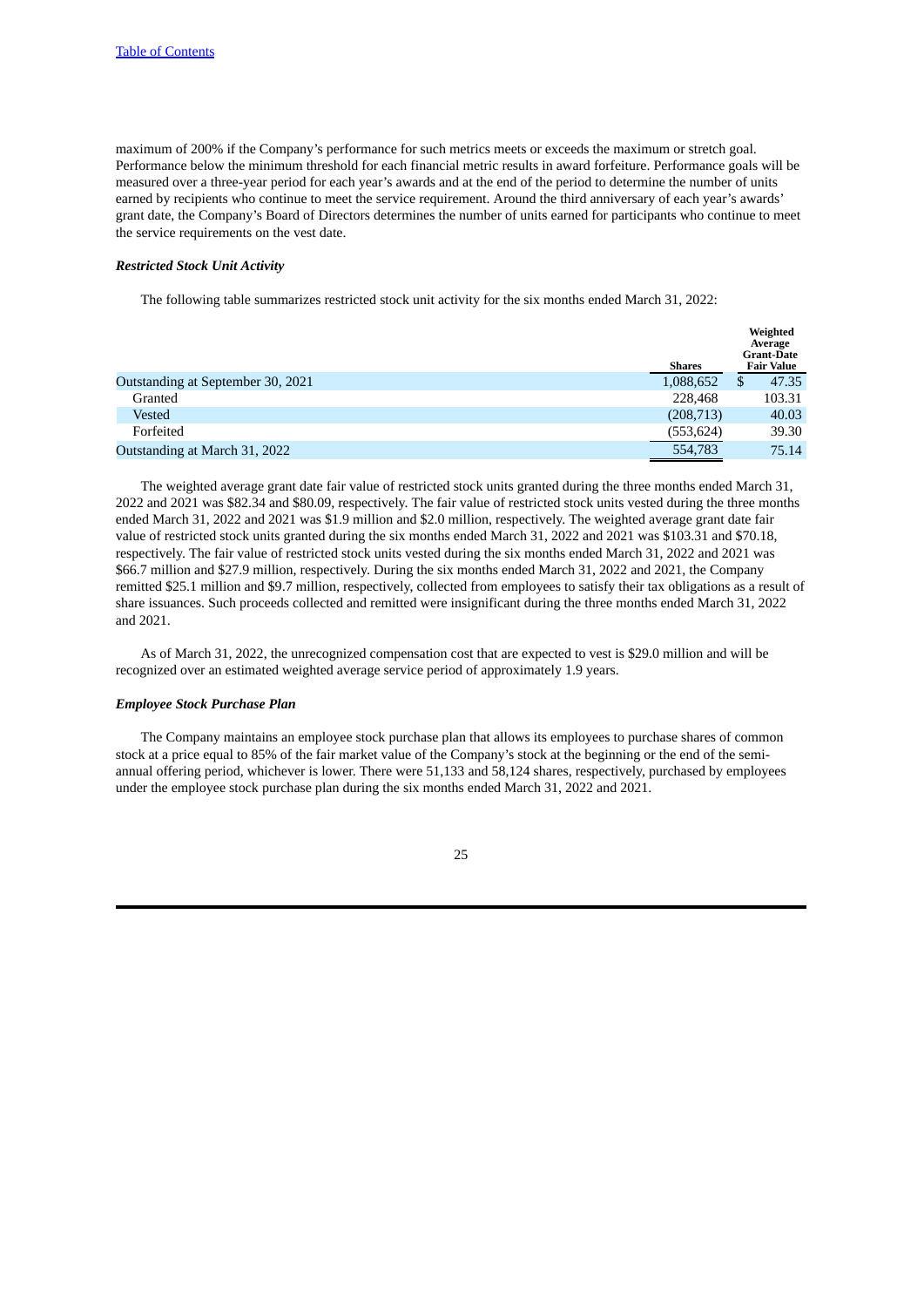maximum of 200% if the Company's performance for such metrics meets or exceeds the maximum or stretch goal. Performance below the minimum threshold for each financial metric results in award forfeiture. Performance goals will be measured over a three-year period for each year's awards and at the end of the period to determine the number of units earned by recipients who continue to meet the service requirement. Around the third anniversary of each year's awards' grant date, the Company's Board of Directors determines the number of units earned for participants who continue to meet the service requirements on the vest date.

# *Restricted Stock Unit Activity*

The following table summarizes restricted stock unit activity for the six months ended March 31, 2022:

|                                   | <b>Shares</b> | Weighted<br>Average<br><b>Grant-Date</b><br><b>Fair Value</b> |
|-----------------------------------|---------------|---------------------------------------------------------------|
| Outstanding at September 30, 2021 | 1,088,652     | 47.35<br>\$                                                   |
| Granted                           | 228,468       | 103.31                                                        |
| Vested                            | (208, 713)    | 40.03                                                         |
| Forfeited                         | (553, 624)    | 39.30                                                         |
| Outstanding at March 31, 2022     | 554,783       | 75.14                                                         |

The weighted average grant date fair value of restricted stock units granted during the three months ended March 31, 2022 and 2021 was \$82.34 and \$80.09, respectively. The fair value of restricted stock units vested during the three months ended March 31, 2022 and 2021 was \$1.9 million and \$2.0 million, respectively. The weighted average grant date fair value of restricted stock units granted during the six months ended March 31, 2022 and 2021 was \$103.31 and \$70.18, respectively. The fair value of restricted stock units vested during the six months ended March 31, 2022 and 2021 was \$66.7 million and \$27.9 million, respectively. During the six months ended March 31, 2022 and 2021, the Company remitted \$25.1 million and \$9.7 million, respectively, collected from employees to satisfy their tax obligations as a result of share issuances. Such proceeds collected and remitted were insignificant during the three months ended March 31, 2022 and 2021.

As of March 31, 2022, the unrecognized compensation cost that are expected to vest is \$29.0 million and will be recognized over an estimated weighted average service period of approximately 1.9 years.

### *Employee Stock Purchase Plan*

The Company maintains an employee stock purchase plan that allows its employees to purchase shares of common stock at a price equal to 85% of the fair market value of the Company's stock at the beginning or the end of the semiannual offering period, whichever is lower. There were 51,133 and 58,124 shares, respectively, purchased by employees under the employee stock purchase plan during the six months ended March 31, 2022 and 2021.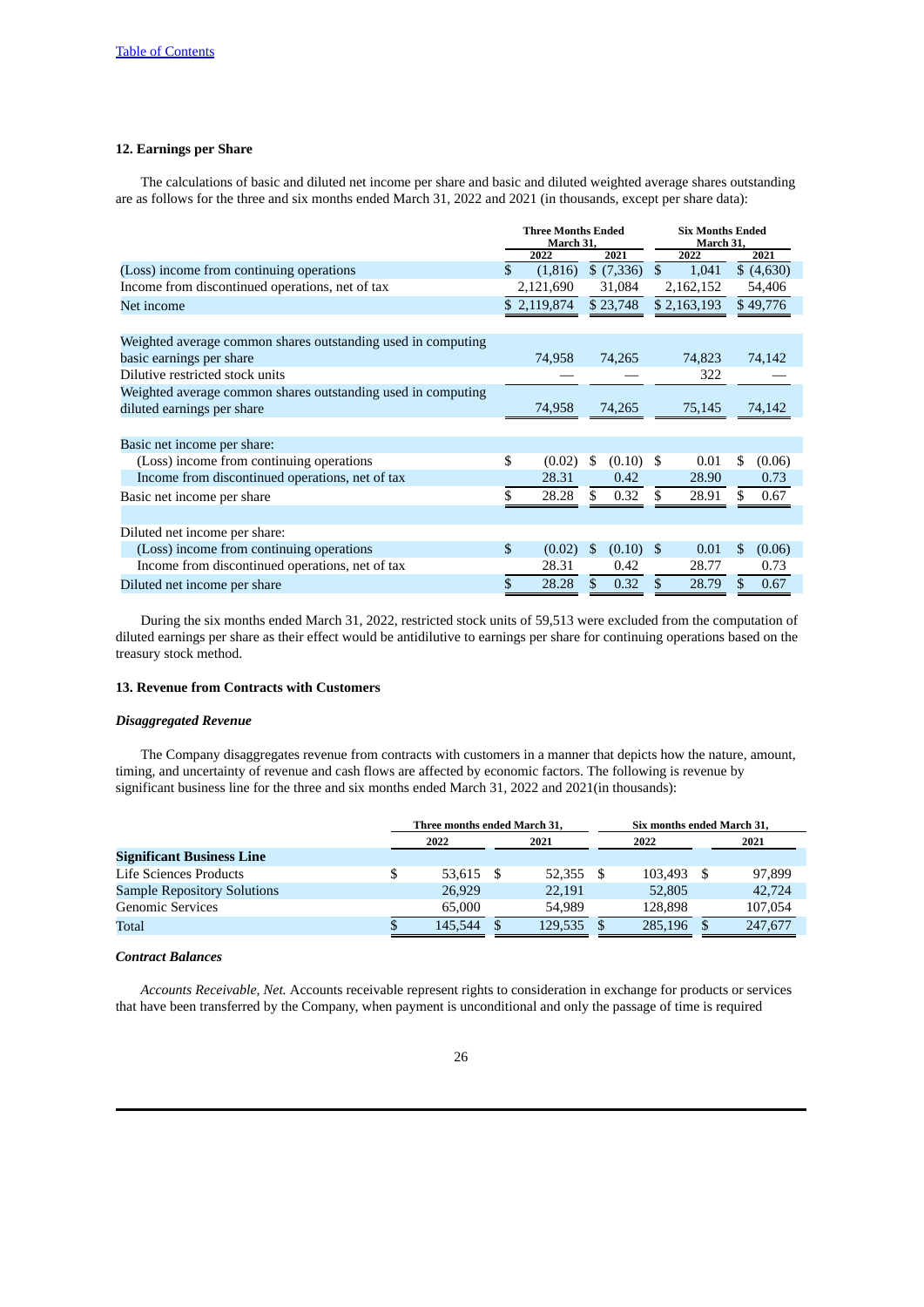# **12. Earnings per Share**

The calculations of basic and diluted net income per share and basic and diluted weighted average shares outstanding are as follows for the three and six months ended March 31, 2022 and 2021 (in thousands, except per share data):

|                                                              | <b>Three Months Ended</b><br>March 31, |                   |                | <b>Six Months Ended</b><br>March 31, |    |            |
|--------------------------------------------------------------|----------------------------------------|-------------------|----------------|--------------------------------------|----|------------|
|                                                              | 2022                                   | 2021              |                | 2022                                 |    | 2021       |
| (Loss) income from continuing operations                     | \$<br>(1,816)                          | \$(7,336)         | $\mathfrak{S}$ | 1,041                                |    | \$ (4,630) |
| Income from discontinued operations, net of tax              | 2,121,690                              | 31,084            |                | 2,162,152                            |    | 54,406     |
| Net income                                                   | \$2,119,874                            | \$23,748          |                | \$2,163,193                          |    | \$49,776   |
|                                                              |                                        |                   |                |                                      |    |            |
| Weighted average common shares outstanding used in computing |                                        |                   |                |                                      |    |            |
| basic earnings per share                                     | 74,958                                 | 74,265            |                | 74,823                               |    | 74,142     |
| Dilutive restricted stock units                              |                                        |                   |                | 322                                  |    |            |
| Weighted average common shares outstanding used in computing |                                        |                   |                |                                      |    |            |
| diluted earnings per share                                   | 74,958                                 | 74,265            |                | 75,145                               |    | 74,142     |
|                                                              |                                        |                   |                |                                      |    |            |
| Basic net income per share:                                  |                                        |                   |                |                                      |    |            |
| (Loss) income from continuing operations                     | \$<br>(0.02)                           | \$<br>$(0.10)$ \$ |                | 0.01                                 | S  | (0.06)     |
| Income from discontinued operations, net of tax              | 28.31                                  | 0.42              |                | 28.90                                |    | 0.73       |
| Basic net income per share                                   | \$<br>28.28                            | \$<br>0.32        | \$.            | 28.91                                | S  | 0.67       |
|                                                              |                                        |                   |                |                                      |    |            |
| Diluted net income per share:                                |                                        |                   |                |                                      |    |            |
| (Loss) income from continuing operations                     | \$<br>(0.02)                           | \$<br>$(0.10)$ \$ |                | 0.01                                 | \$ | (0.06)     |
| Income from discontinued operations, net of tax              | 28.31                                  | 0.42              |                | 28.77                                |    | 0.73       |
| Diluted net income per share                                 | \$<br>28.28                            | \$<br>0.32        | \$             | 28.79                                | \$ | 0.67       |

During the six months ended March 31, 2022, restricted stock units of 59,513 were excluded from the computation of diluted earnings per share as their effect would be antidilutive to earnings per share for continuing operations based on the treasury stock method.

### **13. Revenue from Contracts with Customers**

# *Disaggregated Revenue*

The Company disaggregates revenue from contracts with customers in a manner that depicts how the nature, amount, timing, and uncertainty of revenue and cash flows are affected by economic factors. The following is revenue by significant business line for the three and six months ended March 31, 2022 and 2021(in thousands):

|                                    | Three months ended March 31, |           | Six months ended March 31, |         |
|------------------------------------|------------------------------|-----------|----------------------------|---------|
|                                    | 2022                         | 2021      | 2022                       | 2021    |
| <b>Significant Business Line</b>   |                              |           |                            |         |
| Life Sciences Products             | \$<br>53.615                 | 52,355 \$ | 103.493                    | 97,899  |
| <b>Sample Repository Solutions</b> | 26,929                       | 22.191    | 52,805                     | 42,724  |
| <b>Genomic Services</b>            | 65,000                       | 54.989    | 128,898                    | 107,054 |
| Total                              | \$<br>145,544                | 129.535   | 285,196                    | 247,677 |

# *Contract Balances*

*Accounts Receivable, Net.* Accounts receivable represent rights to consideration in exchange for products or services that have been transferred by the Company, when payment is unconditional and only the passage of time is required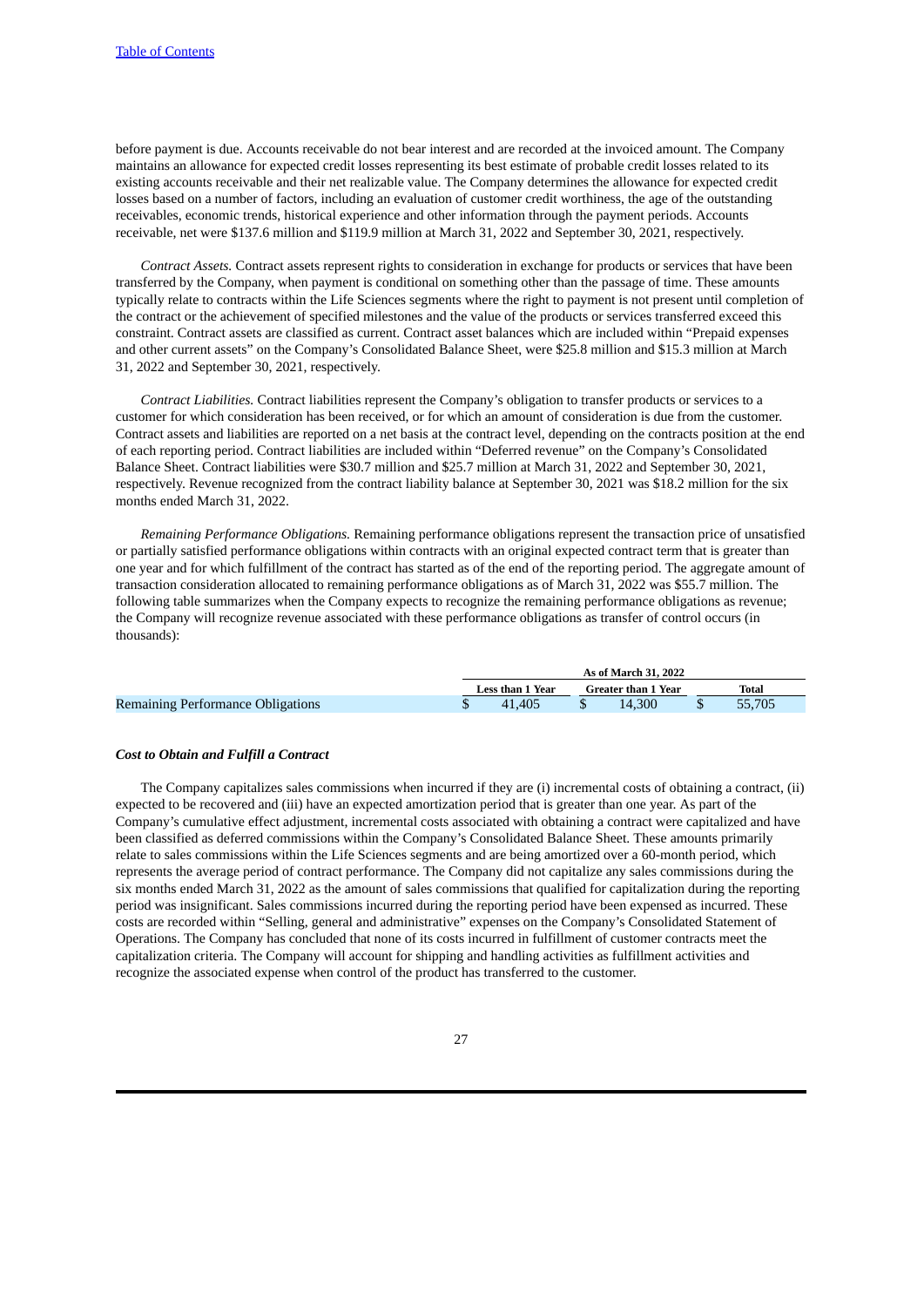before payment is due. Accounts receivable do not bear interest and are recorded at the invoiced amount. The Company maintains an allowance for expected credit losses representing its best estimate of probable credit losses related to its existing accounts receivable and their net realizable value. The Company determines the allowance for expected credit losses based on a number of factors, including an evaluation of customer credit worthiness, the age of the outstanding receivables, economic trends, historical experience and other information through the payment periods. Accounts receivable, net were \$137.6 million and \$119.9 million at March 31, 2022 and September 30, 2021, respectively.

*Contract Assets.* Contract assets represent rights to consideration in exchange for products or services that have been transferred by the Company, when payment is conditional on something other than the passage of time. These amounts typically relate to contracts within the Life Sciences segments where the right to payment is not present until completion of the contract or the achievement of specified milestones and the value of the products or services transferred exceed this constraint. Contract assets are classified as current. Contract asset balances which are included within "Prepaid expenses and other current assets" on the Company's Consolidated Balance Sheet, were \$25.8 million and \$15.3 million at March 31, 2022 and September 30, 2021, respectively.

*Contract Liabilities.* Contract liabilities represent the Company's obligation to transfer products or services to a customer for which consideration has been received, or for which an amount of consideration is due from the customer. Contract assets and liabilities are reported on a net basis at the contract level, depending on the contracts position at the end of each reporting period. Contract liabilities are included within "Deferred revenue" on the Company's Consolidated Balance Sheet. Contract liabilities were \$30.7 million and \$25.7 million at March 31, 2022 and September 30, 2021, respectively. Revenue recognized from the contract liability balance at September 30, 2021 was \$18.2 million for the six months ended March 31, 2022.

*Remaining Performance Obligations.* Remaining performance obligations represent the transaction price of unsatisfied or partially satisfied performance obligations within contracts with an original expected contract term that is greater than one year and for which fulfillment of the contract has started as of the end of the reporting period. The aggregate amount of transaction consideration allocated to remaining performance obligations as of March 31, 2022 was \$55.7 million. The following table summarizes when the Company expects to recognize the remaining performance obligations as revenue; the Company will recognize revenue associated with these performance obligations as transfer of control occurs (in thousands):

|                                   |                  | As of March 31, 2022 |        |
|-----------------------------------|------------------|----------------------|--------|
|                                   | Less than 1 Year | Greater than 1 Year  | Total  |
| Remaining Performance Obligations | 41.405           | 14.300               | 55,705 |

### *Cost to Obtain and Fulfill a Contract*

The Company capitalizes sales commissions when incurred if they are (i) incremental costs of obtaining a contract, (ii) expected to be recovered and (iii) have an expected amortization period that is greater than one year. As part of the Company's cumulative effect adjustment, incremental costs associated with obtaining a contract were capitalized and have been classified as deferred commissions within the Company's Consolidated Balance Sheet. These amounts primarily relate to sales commissions within the Life Sciences segments and are being amortized over a 60-month period, which represents the average period of contract performance. The Company did not capitalize any sales commissions during the six months ended March 31, 2022 as the amount of sales commissions that qualified for capitalization during the reporting period was insignificant. Sales commissions incurred during the reporting period have been expensed as incurred. These costs are recorded within "Selling, general and administrative" expenses on the Company's Consolidated Statement of Operations. The Company has concluded that none of its costs incurred in fulfillment of customer contracts meet the capitalization criteria. The Company will account for shipping and handling activities as fulfillment activities and recognize the associated expense when control of the product has transferred to the customer.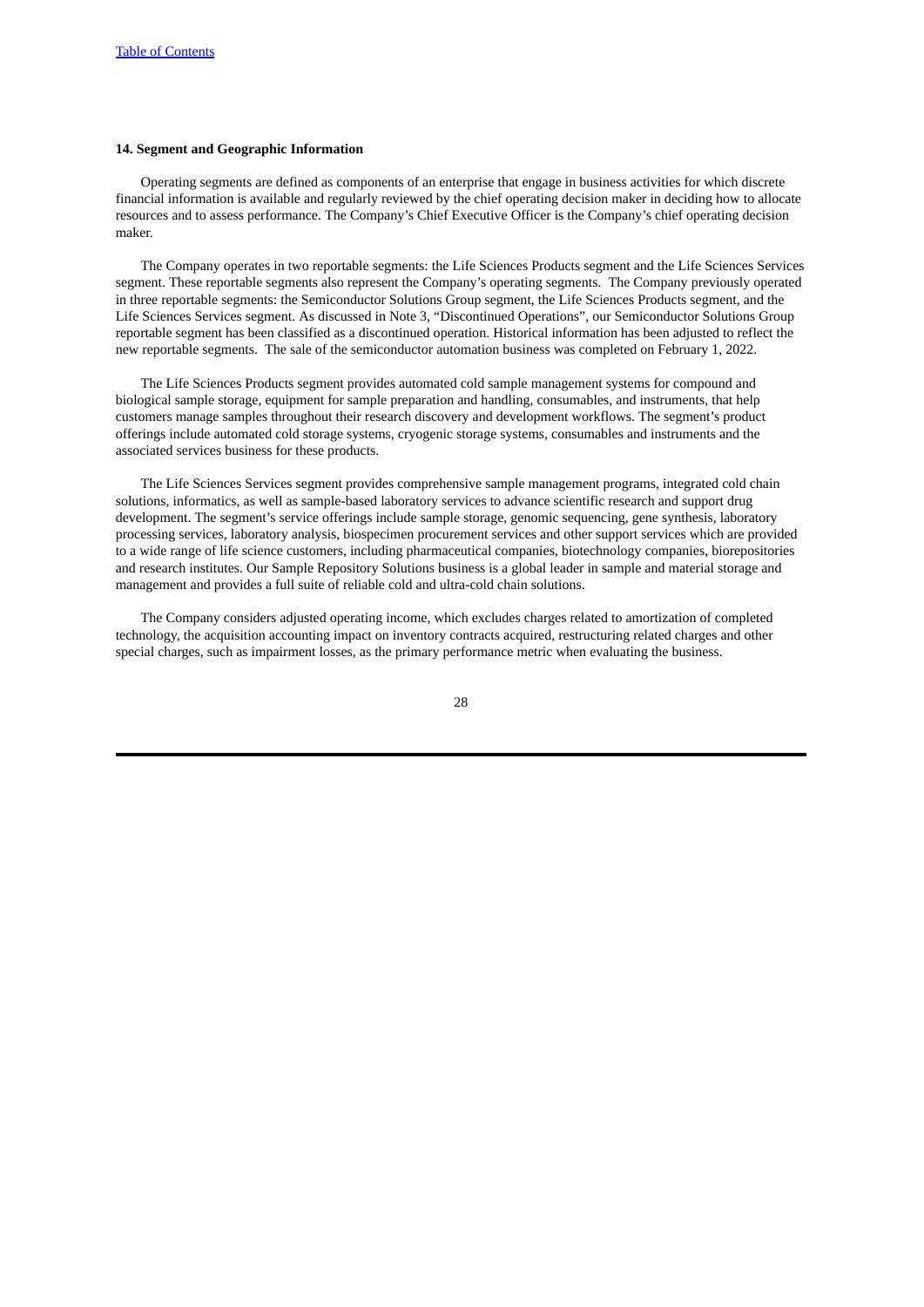# **14. Segment and Geographic Information**

Operating segments are defined as components of an enterprise that engage in business activities for which discrete financial information is available and regularly reviewed by the chief operating decision maker in deciding how to allocate resources and to assess performance. The Company's Chief Executive Officer is the Company's chief operating decision maker.

The Company operates in two reportable segments: the Life Sciences Products segment and the Life Sciences Services segment. These reportable segments also represent the Company's operating segments. The Company previously operated in three reportable segments: the Semiconductor Solutions Group segment, the Life Sciences Products segment, and the Life Sciences Services segment. As discussed in Note 3, "Discontinued Operations", our Semiconductor Solutions Group reportable segment has been classified as a discontinued operation. Historical information has been adjusted to reflect the new reportable segments. The sale of the semiconductor automation business was completed on February 1, 2022.

The Life Sciences Products segment provides automated cold sample management systems for compound and biological sample storage, equipment for sample preparation and handling, consumables, and instruments, that help customers manage samples throughout their research discovery and development workflows. The segment's product offerings include automated cold storage systems, cryogenic storage systems, consumables and instruments and the associated services business for these products.

The Life Sciences Services segment provides comprehensive sample management programs, integrated cold chain solutions, informatics, as well as sample-based laboratory services to advance scientific research and support drug development. The segment's service offerings include sample storage, genomic sequencing, gene synthesis, laboratory processing services, laboratory analysis, biospecimen procurement services and other support services which are provided to a wide range of life science customers, including pharmaceutical companies, biotechnology companies, biorepositories and research institutes. Our Sample Repository Solutions business is a global leader in sample and material storage and management and provides a full suite of reliable cold and ultra-cold chain solutions.

The Company considers adjusted operating income, which excludes charges related to amortization of completed technology, the acquisition accounting impact on inventory contracts acquired, restructuring related charges and other special charges, such as impairment losses, as the primary performance metric when evaluating the business.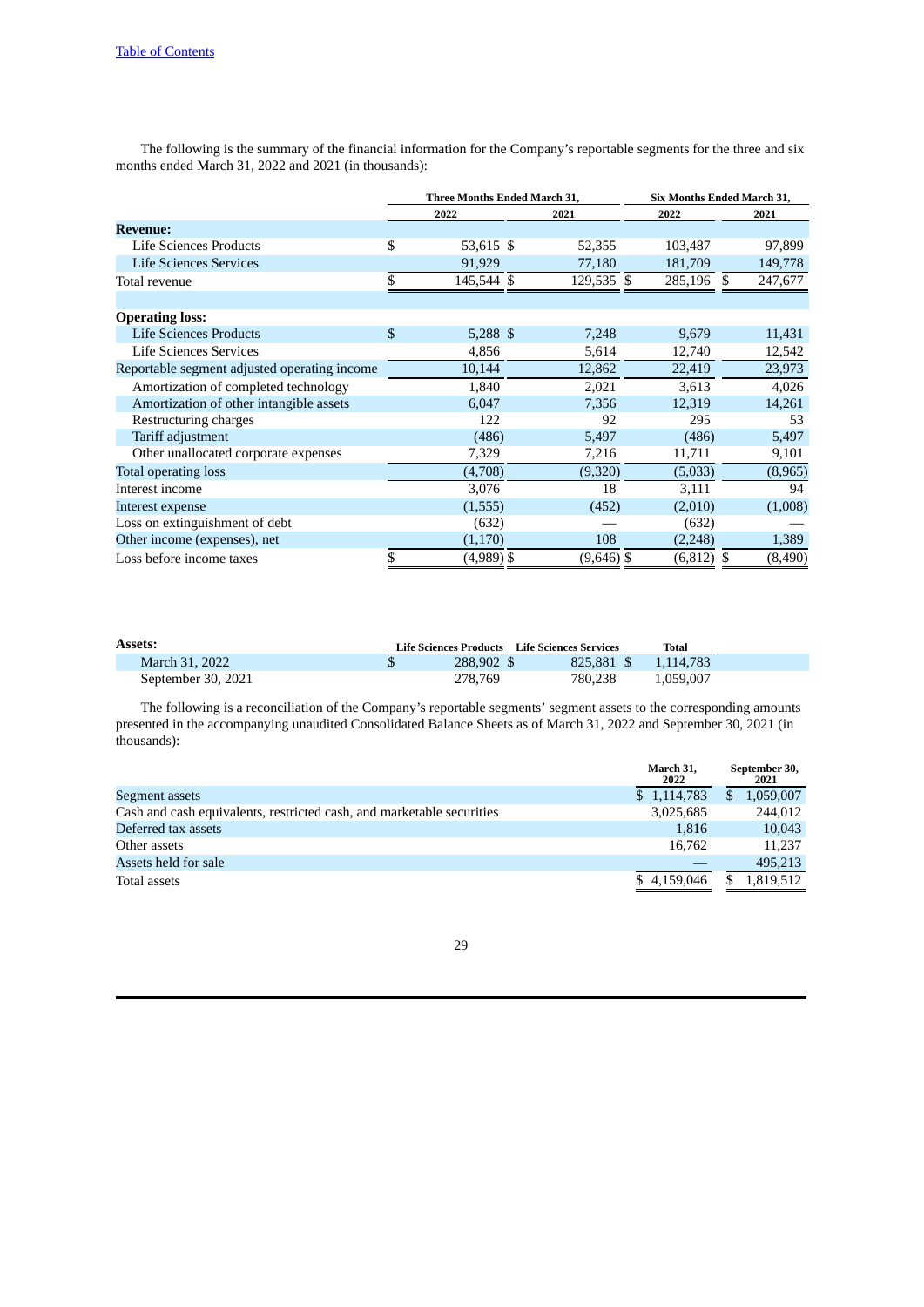The following is the summary of the financial information for the Company's reportable segments for the three and six months ended March 31, 2022 and 2021 (in thousands):

|                                              | Three Months Ended March 31, |              | Six Months Ended March 31, |         |
|----------------------------------------------|------------------------------|--------------|----------------------------|---------|
|                                              | 2022                         | 2021         | 2022                       | 2021    |
| <b>Revenue:</b>                              |                              |              |                            |         |
| <b>Life Sciences Products</b>                | \$<br>53,615 \$              | 52,355       | 103,487                    | 97,899  |
| <b>Life Sciences Services</b>                | 91,929                       | 77,180       | 181,709                    | 149,778 |
| Total revenue                                | \$<br>145,544 \$             | 129,535 \$   | 285,196 \$                 | 247,677 |
| <b>Operating loss:</b>                       |                              |              |                            |         |
| <b>Life Sciences Products</b>                | \$<br>$5,288$ \$             | 7,248        | 9,679                      | 11,431  |
| Life Sciences Services                       | 4,856                        | 5,614        | 12,740                     | 12,542  |
| Reportable segment adjusted operating income | 10,144                       | 12,862       | 22,419                     | 23,973  |
| Amortization of completed technology         | 1,840                        | 2,021        | 3,613                      | 4,026   |
| Amortization of other intangible assets      | 6,047                        | 7,356        | 12,319                     | 14,261  |
| Restructuring charges                        | 122                          | 92           | 295                        | 53      |
| Tariff adjustment                            | (486)                        | 5,497        | (486)                      | 5,497   |
| Other unallocated corporate expenses         | 7,329                        | 7,216        | 11,711                     | 9,101   |
| Total operating loss                         | (4,708)                      | (9,320)      | (5,033)                    | (8,965) |
| Interest income                              | 3,076                        | 18           | 3,111                      | 94      |
| Interest expense                             | (1, 555)                     | (452)        | (2,010)                    | (1,008) |
| Loss on extinguishment of debt               | (632)                        |              | (632)                      |         |
| Other income (expenses), net                 | (1, 170)                     | 108          | (2, 248)                   | 1,389   |
| Loss before income taxes                     | \$<br>(4,989) \$             | $(9,646)$ \$ | $(6, 812)$ \$              | (8,490) |

| <b>Assets:</b>     |            | Life Sciences Products Life Sciences Services | Total                |
|--------------------|------------|-----------------------------------------------|----------------------|
| March 31, 2022     | 288,902 \$ |                                               | 825.881 \$ 1.114.783 |
| September 30, 2021 | 278.769    | 780.238                                       | 1.059.007            |

The following is a reconciliation of the Company's reportable segments' segment assets to the corresponding amounts presented in the accompanying unaudited Consolidated Balance Sheets as of March 31, 2022 and September 30, 2021 (in thousands):

| March 31,<br>2022 | September 30,<br>2021 |
|-------------------|-----------------------|
| \$1,114,783       | 1,059,007             |
| 3,025,685         | 244,012               |
| 1,816             | 10,043                |
| 16.762            | 11,237                |
|                   | 495.213               |
| \$4,159,046       | 1,819,512             |
|                   |                       |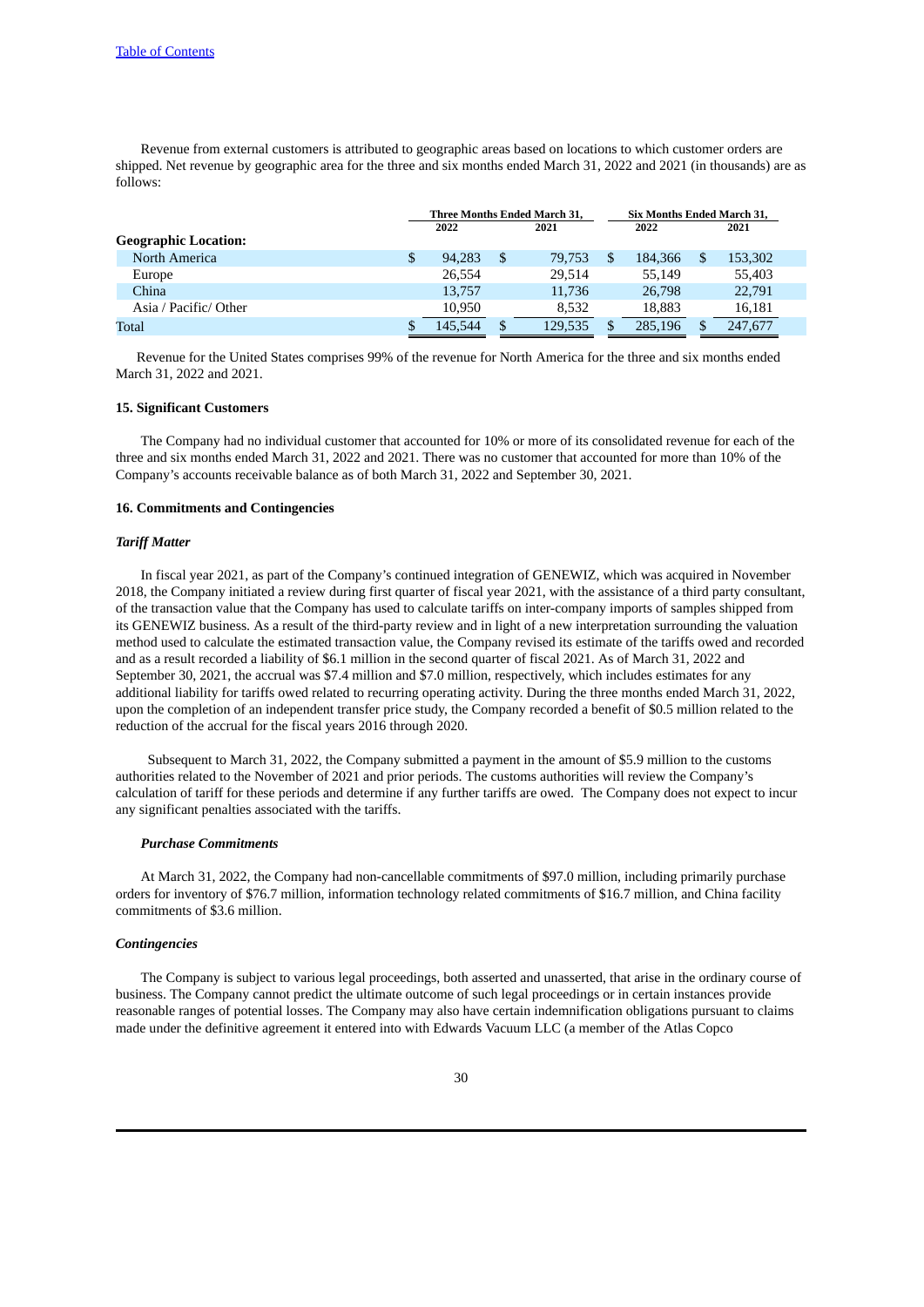Revenue from external customers is attributed to geographic areas based on locations to which customer orders are shipped. Net revenue by geographic area for the three and six months ended March 31, 2022 and 2021 (in thousands) are as follows:

|                             |              | <b>Three Months Ended March 31.</b> | Six Months Ended March 31. |               |  |
|-----------------------------|--------------|-------------------------------------|----------------------------|---------------|--|
|                             | 2022         | 2021                                | 2022                       | 2021          |  |
| <b>Geographic Location:</b> |              |                                     |                            |               |  |
| North America               | \$<br>94.283 | \$<br>79.753                        | 184.366                    | \$<br>153,302 |  |
| Europe                      | 26.554       | 29.514                              | 55,149                     | 55,403        |  |
| China                       | 13.757       | 11.736                              | 26,798                     | 22,791        |  |
| Asia / Pacific/ Other       | 10.950       | 8.532                               | 18,883                     | 16,181        |  |
| Total                       | 145,544      | \$<br>129.535                       | 285.196                    | 247,677       |  |

Revenue for the United States comprises 99% of the revenue for North America for the three and six months ended March 31, 2022 and 2021.

### **15. Significant Customers**

The Company had no individual customer that accounted for 10% or more of its consolidated revenue for each of the three and six months ended March 31, 2022 and 2021. There was no customer that accounted for more than 10% of the Company's accounts receivable balance as of both March 31, 2022 and September 30, 2021.

### **16. Commitments and Contingencies**

# *Tariff Matter*

In fiscal year 2021, as part of the Company's continued integration of GENEWIZ, which was acquired in November 2018, the Company initiated a review during first quarter of fiscal year 2021, with the assistance of a third party consultant, of the transaction value that the Company has used to calculate tariffs on inter-company imports of samples shipped from its GENEWIZ business. As a result of the third-party review and in light of a new interpretation surrounding the valuation method used to calculate the estimated transaction value, the Company revised its estimate of the tariffs owed and recorded and as a result recorded a liability of \$6.1 million in the second quarter of fiscal 2021. As of March 31, 2022 and September 30, 2021, the accrual was \$7.4 million and \$7.0 million, respectively, which includes estimates for any additional liability for tariffs owed related to recurring operating activity. During the three months ended March 31, 2022, upon the completion of an independent transfer price study, the Company recorded a benefit of \$0.5 million related to the reduction of the accrual for the fiscal years 2016 through 2020.

Subsequent to March 31, 2022, the Company submitted a payment in the amount of \$5.9 million to the customs authorities related to the November of 2021 and prior periods. The customs authorities will review the Company's calculation of tariff for these periods and determine if any further tariffs are owed. The Company does not expect to incur any significant penalties associated with the tariffs.

#### *Purchase Commitments*

At March 31, 2022, the Company had non-cancellable commitments of \$97.0 million, including primarily purchase orders for inventory of \$76.7 million, information technology related commitments of \$16.7 million, and China facility commitments of \$3.6 million.

### *Contingencies*

The Company is subject to various legal proceedings, both asserted and unasserted, that arise in the ordinary course of business. The Company cannot predict the ultimate outcome of such legal proceedings or in certain instances provide reasonable ranges of potential losses. The Company may also have certain indemnification obligations pursuant to claims made under the definitive agreement it entered into with Edwards Vacuum LLC (a member of the Atlas Copco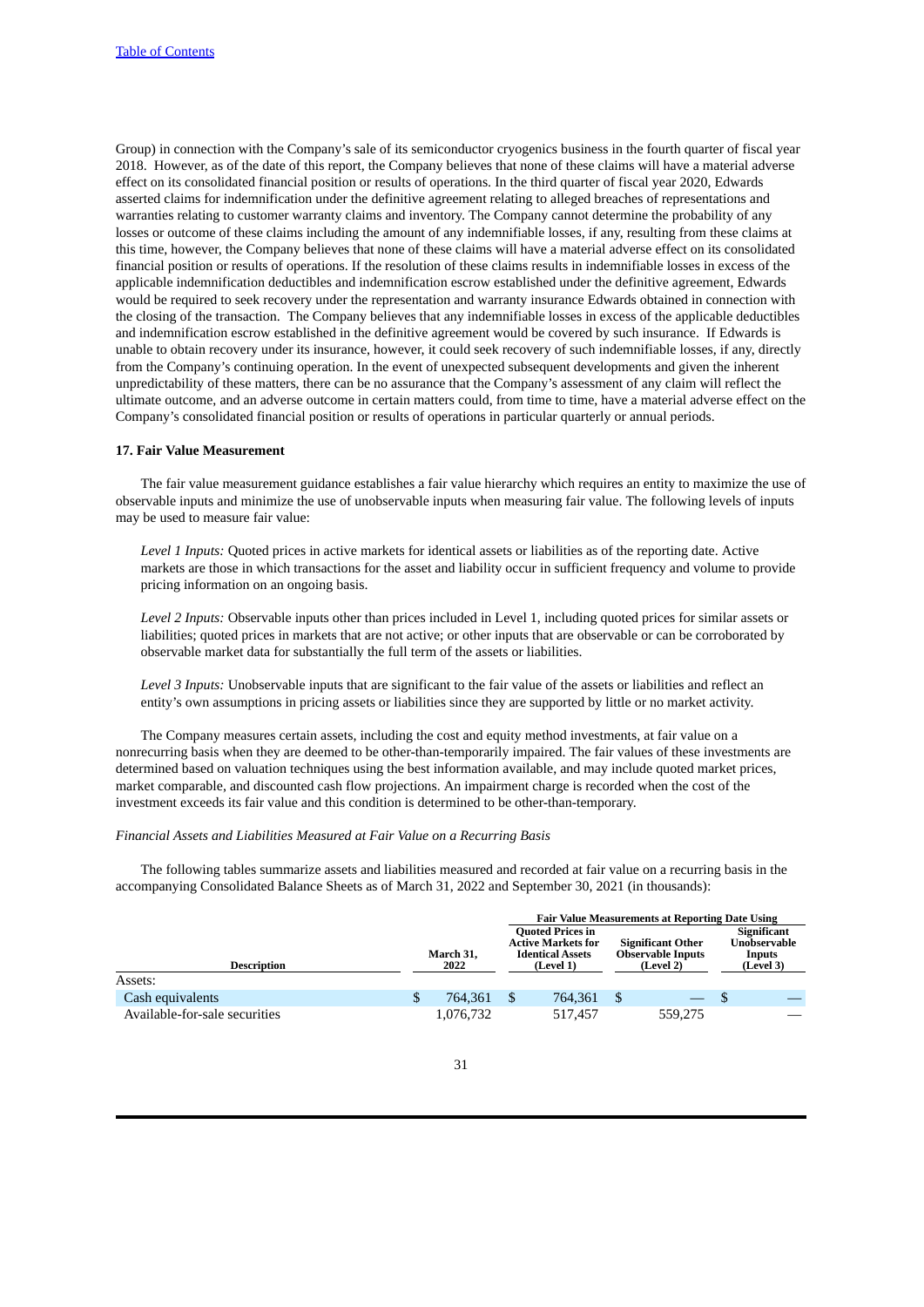Group) in connection with the Company's sale of its semiconductor cryogenics business in the fourth quarter of fiscal year 2018. However, as of the date of this report, the Company believes that none of these claims will have a material adverse effect on its consolidated financial position or results of operations. In the third quarter of fiscal year 2020, Edwards asserted claims for indemnification under the definitive agreement relating to alleged breaches of representations and warranties relating to customer warranty claims and inventory. The Company cannot determine the probability of any losses or outcome of these claims including the amount of any indemnifiable losses, if any, resulting from these claims at this time, however, the Company believes that none of these claims will have a material adverse effect on its consolidated financial position or results of operations. If the resolution of these claims results in indemnifiable losses in excess of the applicable indemnification deductibles and indemnification escrow established under the definitive agreement, Edwards would be required to seek recovery under the representation and warranty insurance Edwards obtained in connection with the closing of the transaction. The Company believes that any indemnifiable losses in excess of the applicable deductibles and indemnification escrow established in the definitive agreement would be covered by such insurance. If Edwards is unable to obtain recovery under its insurance, however, it could seek recovery of such indemnifiable losses, if any, directly from the Company's continuing operation. In the event of unexpected subsequent developments and given the inherent unpredictability of these matters, there can be no assurance that the Company's assessment of any claim will reflect the ultimate outcome, and an adverse outcome in certain matters could, from time to time, have a material adverse effect on the Company's consolidated financial position or results of operations in particular quarterly or annual periods.

### **17. Fair Value Measurement**

The fair value measurement guidance establishes a fair value hierarchy which requires an entity to maximize the use of observable inputs and minimize the use of unobservable inputs when measuring fair value. The following levels of inputs may be used to measure fair value:

*Level 1 Inputs:* Quoted prices in active markets for identical assets or liabilities as of the reporting date. Active markets are those in which transactions for the asset and liability occur in sufficient frequency and volume to provide pricing information on an ongoing basis.

*Level 2 Inputs:* Observable inputs other than prices included in Level 1, including quoted prices for similar assets or liabilities; quoted prices in markets that are not active; or other inputs that are observable or can be corroborated by observable market data for substantially the full term of the assets or liabilities.

*Level 3 Inputs:* Unobservable inputs that are significant to the fair value of the assets or liabilities and reflect an entity's own assumptions in pricing assets or liabilities since they are supported by little or no market activity.

The Company measures certain assets, including the cost and equity method investments, at fair value on a nonrecurring basis when they are deemed to be other-than-temporarily impaired. The fair values of these investments are determined based on valuation techniques using the best information available, and may include quoted market prices, market comparable, and discounted cash flow projections. An impairment charge is recorded when the cost of the investment exceeds its fair value and this condition is determined to be other-than-temporary.

### *Financial Assets and Liabilities Measured at Fair Value on a Recurring Basis*

The following tables summarize assets and liabilities measured and recorded at fair value on a recurring basis in the accompanying Consolidated Balance Sheets as of March 31, 2022 and September 30, 2021 (in thousands):

|                               |   |           |                                                      | <b>Fair Value Measurements at Reporting Date Using</b> |                        |
|-------------------------------|---|-----------|------------------------------------------------------|--------------------------------------------------------|------------------------|
|                               |   |           | <b>Quoted Prices in</b>                              |                                                        | <b>Significant</b>     |
|                               |   | March 31, | <b>Active Markets for</b><br><b>Identical Assets</b> | <b>Significant Other</b><br><b>Observable Inputs</b>   | Unobservable<br>Inputs |
| <b>Description</b>            |   | 2022      | (Level 1)                                            | (Level 2)                                              | (Level 3)              |
| Assets:                       |   |           |                                                      |                                                        |                        |
| Cash equivalents              | S | 764.361   | 764.361                                              |                                                        |                        |
| Available-for-sale securities |   | 1,076,732 | 517.457                                              | 559.275                                                |                        |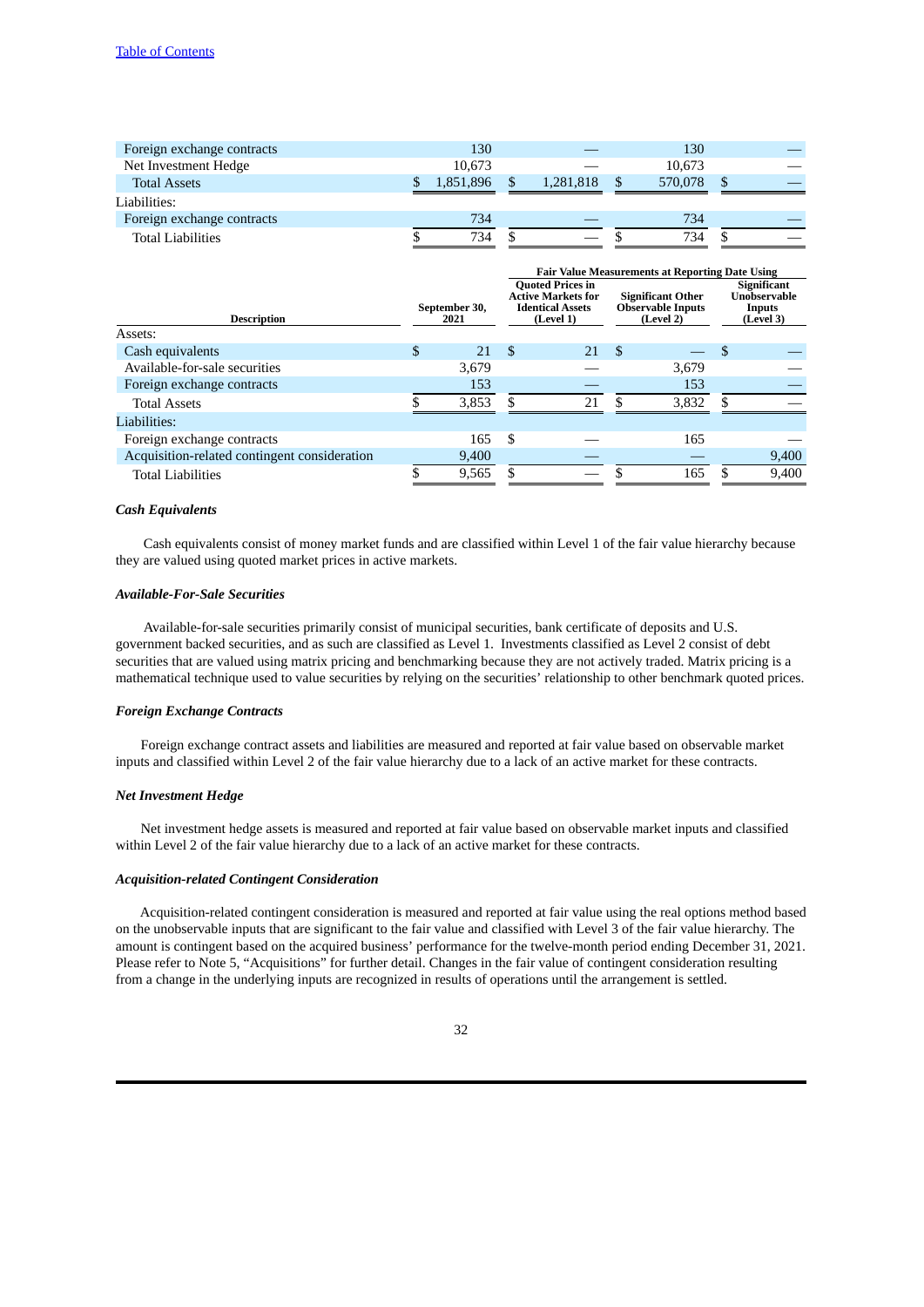| Foreign exchange contracts | 130       |           | 130     |               |  |
|----------------------------|-----------|-----------|---------|---------------|--|
| Net Investment Hedge       | 10.673    |           | 10.673  |               |  |
| <b>Total Assets</b>        | 1.851.896 | 1.281.818 | 570,078 | <sup>\$</sup> |  |
|                            |           |           |         |               |  |
| Liabilities:               |           |           |         |               |  |
| Foreign exchange contracts | 734       |           | 734     |               |  |

|                                              |                       |    |                                                                                              |     | <b>Fair Value Measurements at Reporting Date Using</b>            |                                                           |
|----------------------------------------------|-----------------------|----|----------------------------------------------------------------------------------------------|-----|-------------------------------------------------------------------|-----------------------------------------------------------|
| <b>Description</b>                           | September 30,<br>2021 |    | <b>Quoted Prices in</b><br><b>Active Markets for</b><br><b>Identical Assets</b><br>(Level 1) |     | <b>Significant Other</b><br><b>Observable Inputs</b><br>(Level 2) | <b>Significant</b><br>Unobservable<br>Inputs<br>(Level 3) |
| Assets:                                      |                       |    |                                                                                              |     |                                                                   |                                                           |
| Cash equivalents                             | \$<br>21              | \$ | 21                                                                                           | -\$ |                                                                   | \$                                                        |
| Available-for-sale securities                | 3,679                 |    |                                                                                              |     | 3,679                                                             |                                                           |
| Foreign exchange contracts                   | 153                   |    |                                                                                              |     | 153                                                               |                                                           |
| <b>Total Assets</b>                          | \$<br>3,853           |    | 21                                                                                           | £.  | 3,832                                                             | \$                                                        |
| Liabilities:                                 |                       |    |                                                                                              |     |                                                                   |                                                           |
| Foreign exchange contracts                   | 165                   | -S |                                                                                              |     | 165                                                               |                                                           |
| Acquisition-related contingent consideration | 9,400                 |    |                                                                                              |     |                                                                   | 9,400                                                     |
| <b>Total Liabilities</b>                     | \$<br>9,565           |    |                                                                                              |     | 165                                                               | \$<br>9,400                                               |

# *Cash Equivalents*

Cash equivalents consist of money market funds and are classified within Level 1 of the fair value hierarchy because they are valued using quoted market prices in active markets.

# *Available-For-Sale Securities*

Available-for-sale securities primarily consist of municipal securities, bank certificate of deposits and U.S. government backed securities, and as such are classified as Level 1. Investments classified as Level 2 consist of debt securities that are valued using matrix pricing and benchmarking because they are not actively traded. Matrix pricing is a mathematical technique used to value securities by relying on the securities' relationship to other benchmark quoted prices.

# *Foreign Exchange Contracts*

Foreign exchange contract assets and liabilities are measured and reported at fair value based on observable market inputs and classified within Level 2 of the fair value hierarchy due to a lack of an active market for these contracts.

# *Net Investment Hedge*

Net investment hedge assets is measured and reported at fair value based on observable market inputs and classified within Level 2 of the fair value hierarchy due to a lack of an active market for these contracts.

#### *Acquisition-related Contingent Consideration*

Acquisition-related contingent consideration is measured and reported at fair value using the real options method based on the unobservable inputs that are significant to the fair value and classified with Level 3 of the fair value hierarchy. The amount is contingent based on the acquired business' performance for the twelve-month period ending December 31, 2021. Please refer to Note 5, "Acquisitions" for further detail. Changes in the fair value of contingent consideration resulting from a change in the underlying inputs are recognized in results of operations until the arrangement is settled.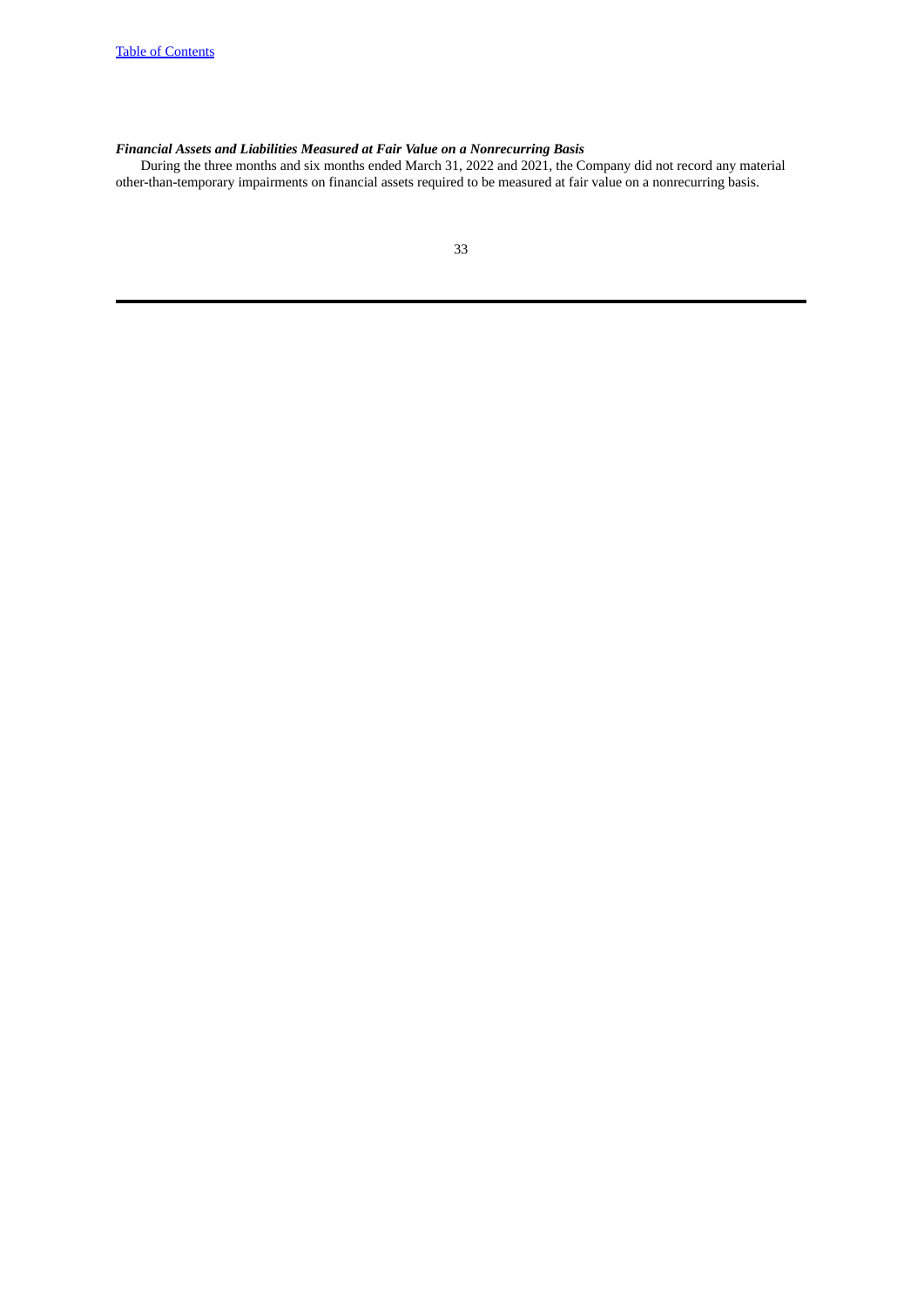# *Financial Assets and Liabilities Measured at Fair Value on a Nonrecurring Basis*

During the three months and six months ended March 31, 2022 and 2021, the Company did not record any material other-than-temporary impairments on financial assets required to be measured at fair value on a nonrecurring basis.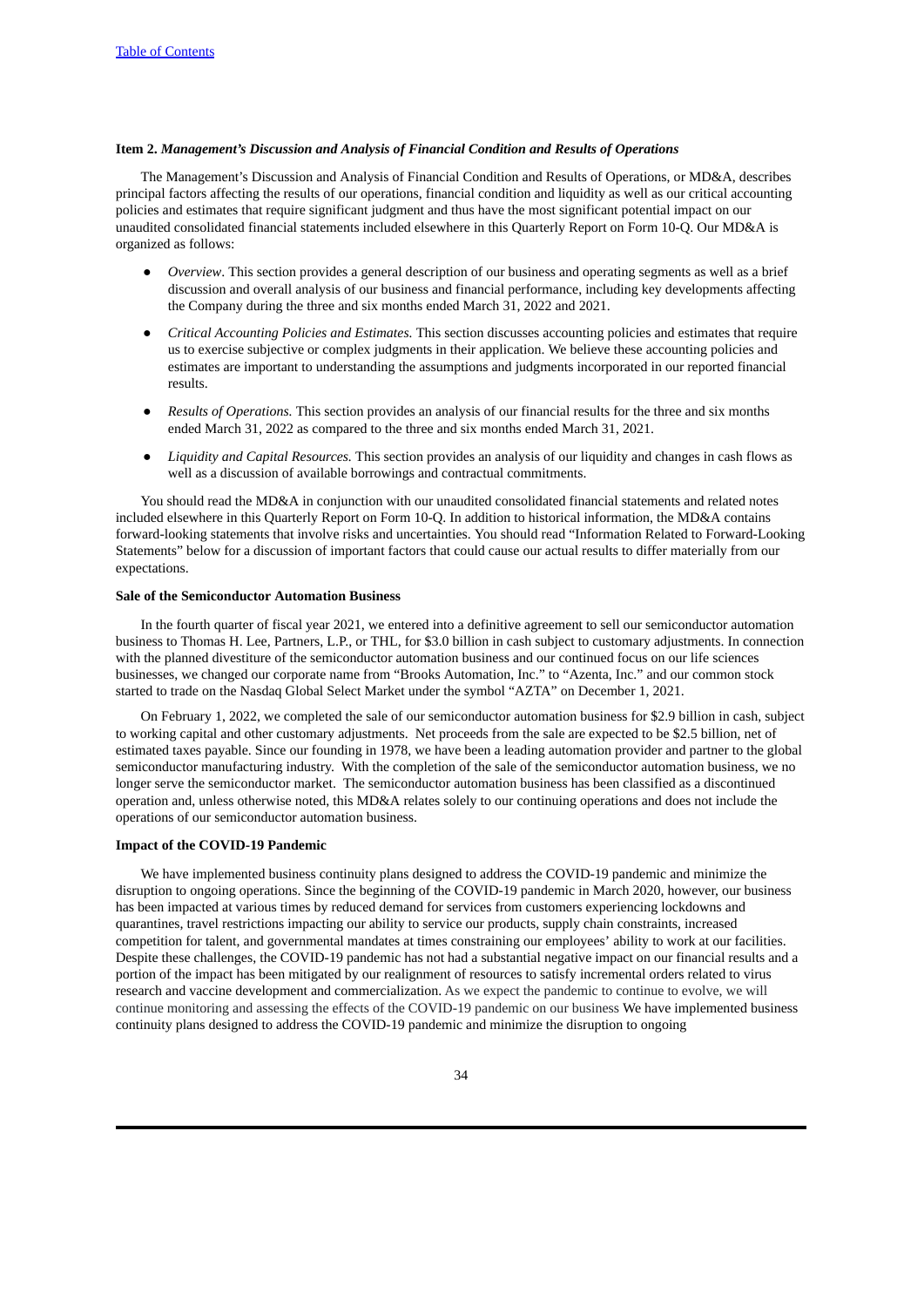# <span id="page-33-0"></span>**Item 2.** *Management's Discussion and Analysis of Financial Condition and Results of Operations*

The Management's Discussion and Analysis of Financial Condition and Results of Operations, or MD&A, describes principal factors affecting the results of our operations, financial condition and liquidity as well as our critical accounting policies and estimates that require significant judgment and thus have the most significant potential impact on our unaudited consolidated financial statements included elsewhere in this Quarterly Report on Form 10-Q. Our MD&A is organized as follows:

- *Overview*. This section provides a general description of our business and operating segments as well as a brief discussion and overall analysis of our business and financial performance, including key developments affecting the Company during the three and six months ended March 31, 2022 and 2021.
- *Critical Accounting Policies and Estimates.* This section discusses accounting policies and estimates that require us to exercise subjective or complex judgments in their application. We believe these accounting policies and estimates are important to understanding the assumptions and judgments incorporated in our reported financial results.
- *Results of Operations.* This section provides an analysis of our financial results for the three and six months ended March 31, 2022 as compared to the three and six months ended March 31, 2021.
- *Liquidity and Capital Resources.* This section provides an analysis of our liquidity and changes in cash flows as well as a discussion of available borrowings and contractual commitments.

You should read the MD&A in conjunction with our unaudited consolidated financial statements and related notes included elsewhere in this Quarterly Report on Form 10-Q. In addition to historical information, the MD&A contains forward-looking statements that involve risks and uncertainties. You should read "Information Related to Forward-Looking Statements" below for a discussion of important factors that could cause our actual results to differ materially from our expectations.

### **Sale of the Semiconductor Automation Business**

In the fourth quarter of fiscal year 2021, we entered into a definitive agreement to sell our semiconductor automation business to Thomas H. Lee, Partners, L.P., or THL, for \$3.0 billion in cash subject to customary adjustments. In connection with the planned divestiture of the semiconductor automation business and our continued focus on our life sciences businesses, we changed our corporate name from "Brooks Automation, Inc." to "Azenta, Inc." and our common stock started to trade on the Nasdaq Global Select Market under the symbol "AZTA" on December 1, 2021.

On February 1, 2022, we completed the sale of our semiconductor automation business for \$2.9 billion in cash, subject to working capital and other customary adjustments. Net proceeds from the sale are expected to be \$2.5 billion, net of estimated taxes payable. Since our founding in 1978, we have been a leading automation provider and partner to the global semiconductor manufacturing industry. With the completion of the sale of the semiconductor automation business, we no longer serve the semiconductor market. The semiconductor automation business has been classified as a discontinued operation and, unless otherwise noted, this MD&A relates solely to our continuing operations and does not include the operations of our semiconductor automation business.

# **Impact of the COVID-19 Pandemic**

We have implemented business continuity plans designed to address the COVID-19 pandemic and minimize the disruption to ongoing operations. Since the beginning of the COVID-19 pandemic in March 2020, however, our business has been impacted at various times by reduced demand for services from customers experiencing lockdowns and quarantines, travel restrictions impacting our ability to service our products, supply chain constraints, increased competition for talent, and governmental mandates at times constraining our employees' ability to work at our facilities. Despite these challenges, the COVID-19 pandemic has not had a substantial negative impact on our financial results and a portion of the impact has been mitigated by our realignment of resources to satisfy incremental orders related to virus research and vaccine development and commercialization. As we expect the pandemic to continue to evolve, we will continue monitoring and assessing the effects of the COVID-19 pandemic on our business We have implemented business continuity plans designed to address the COVID-19 pandemic and minimize the disruption to ongoing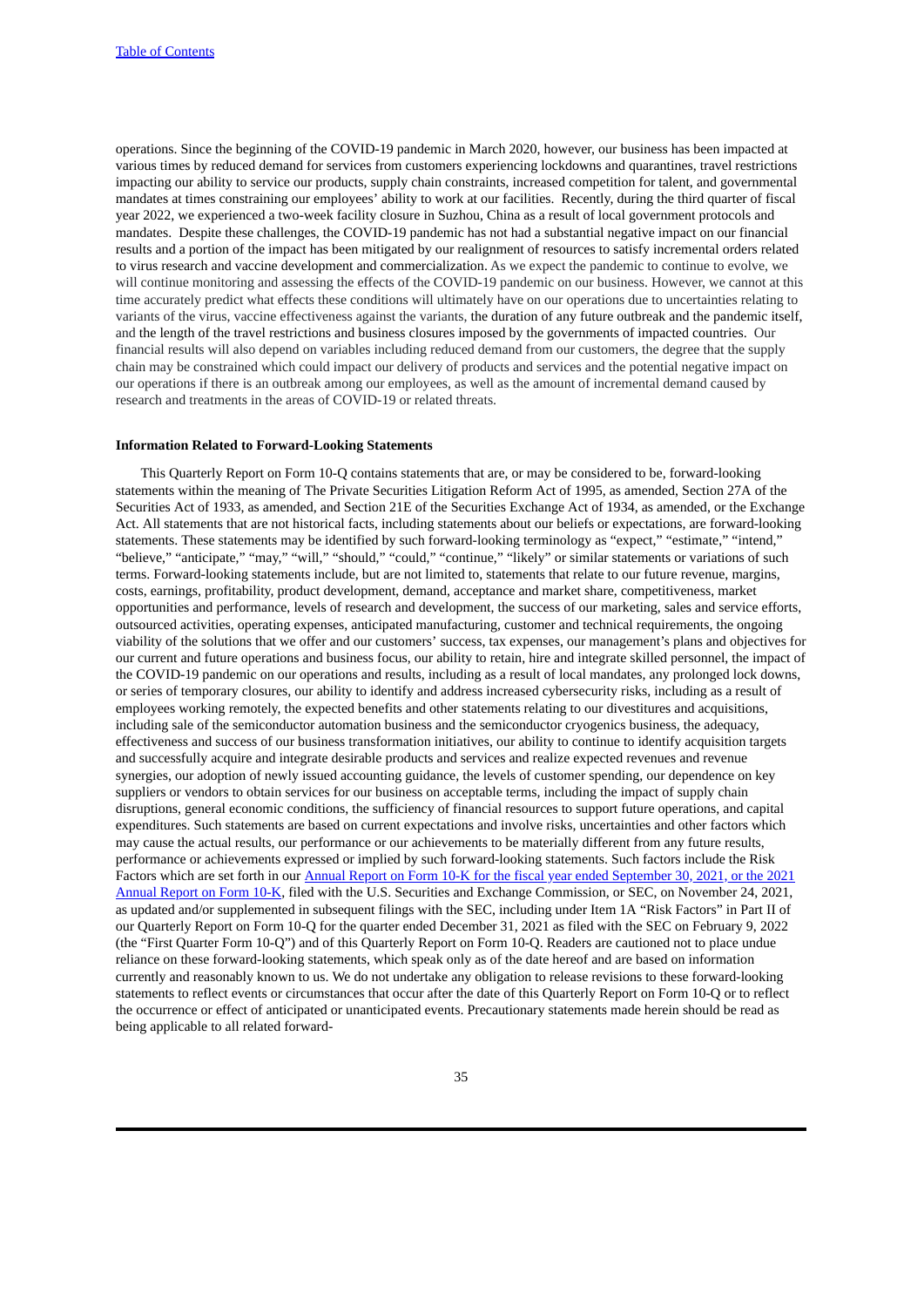operations. Since the beginning of the COVID-19 pandemic in March 2020, however, our business has been impacted at various times by reduced demand for services from customers experiencing lockdowns and quarantines, travel restrictions impacting our ability to service our products, supply chain constraints, increased competition for talent, and governmental mandates at times constraining our employees' ability to work at our facilities. Recently, during the third quarter of fiscal year 2022, we experienced a two-week facility closure in Suzhou, China as a result of local government protocols and mandates. Despite these challenges, the COVID-19 pandemic has not had a substantial negative impact on our financial results and a portion of the impact has been mitigated by our realignment of resources to satisfy incremental orders related to virus research and vaccine development and commercialization. As we expect the pandemic to continue to evolve, we will continue monitoring and assessing the effects of the COVID-19 pandemic on our business. However, we cannot at this time accurately predict what effects these conditions will ultimately have on our operations due to uncertainties relating to variants of the virus, vaccine effectiveness against the variants, the duration of any future outbreak and the pandemic itself, and the length of the travel restrictions and business closures imposed by the governments of impacted countries. Our financial results will also depend on variables including reduced demand from our customers, the degree that the supply chain may be constrained which could impact our delivery of products and services and the potential negative impact on our operations if there is an outbreak among our employees, as well as the amount of incremental demand caused by research and treatments in the areas of COVID-19 or related threats.

# **Information Related to Forward-Looking Statements**

This Quarterly Report on Form 10-Q contains statements that are, or may be considered to be, forward-looking statements within the meaning of The Private Securities Litigation Reform Act of 1995, as amended, Section 27A of the Securities Act of 1933, as amended, and Section 21E of the Securities Exchange Act of 1934, as amended, or the Exchange Act. All statements that are not historical facts, including statements about our beliefs or expectations, are forward-looking statements. These statements may be identified by such forward-looking terminology as "expect," "estimate," "intend," "believe," "anticipate," "may," "will," "should," "could," "continue," "likely" or similar statements or variations of such terms. Forward-looking statements include, but are not limited to, statements that relate to our future revenue, margins, costs, earnings, profitability, product development, demand, acceptance and market share, competitiveness, market opportunities and performance, levels of research and development, the success of our marketing, sales and service efforts, outsourced activities, operating expenses, anticipated manufacturing, customer and technical requirements, the ongoing viability of the solutions that we offer and our customers' success, tax expenses, our management's plans and objectives for our current and future operations and business focus, our ability to retain, hire and integrate skilled personnel, the impact of the COVID-19 pandemic on our operations and results, including as a result of local mandates, any prolonged lock downs, or series of temporary closures, our ability to identify and address increased cybersecurity risks, including as a result of employees working remotely, the expected benefits and other statements relating to our divestitures and acquisitions, including sale of the semiconductor automation business and the semiconductor cryogenics business, the adequacy, effectiveness and success of our business transformation initiatives, our ability to continue to identify acquisition targets and successfully acquire and integrate desirable products and services and realize expected revenues and revenue synergies, our adoption of newly issued accounting guidance, the levels of customer spending, our dependence on key suppliers or vendors to obtain services for our business on acceptable terms, including the impact of supply chain disruptions, general economic conditions, the sufficiency of financial resources to support future operations, and capital expenditures. Such statements are based on current expectations and involve risks, uncertainties and other factors which may cause the actual results, our performance or our achievements to be materially different from any future results, performance or achievements expressed or implied by such forward-looking statements. Such factors include the Risk Factors which are set forth in our Annual Report on Form 10-K for the fiscal year ended September 30, 2021, or the 2021 Annual Report on Form 10-K, filed with the U.S. Securities and Exchange [Commission,](https://www.sec.gov/ix?doc=/Archives/edgar/data/0000933974/000155837021016314/brks-20210930x10k.htm) or SEC, on November 24, 2021, as updated and/or supplemented in subsequent filings with the SEC, including under Item 1A "Risk Factors" in Part II of our Quarterly Report on Form 10-Q for the quarter ended December 31, 2021 as filed with the SEC on February 9, 2022 (the "First Quarter Form 10-Q") and of this Quarterly Report on Form 10-Q. Readers are cautioned not to place undue reliance on these forward-looking statements, which speak only as of the date hereof and are based on information currently and reasonably known to us. We do not undertake any obligation to release revisions to these forward-looking statements to reflect events or circumstances that occur after the date of this Quarterly Report on Form 10-Q or to reflect the occurrence or effect of anticipated or unanticipated events. Precautionary statements made herein should be read as being applicable to all related forward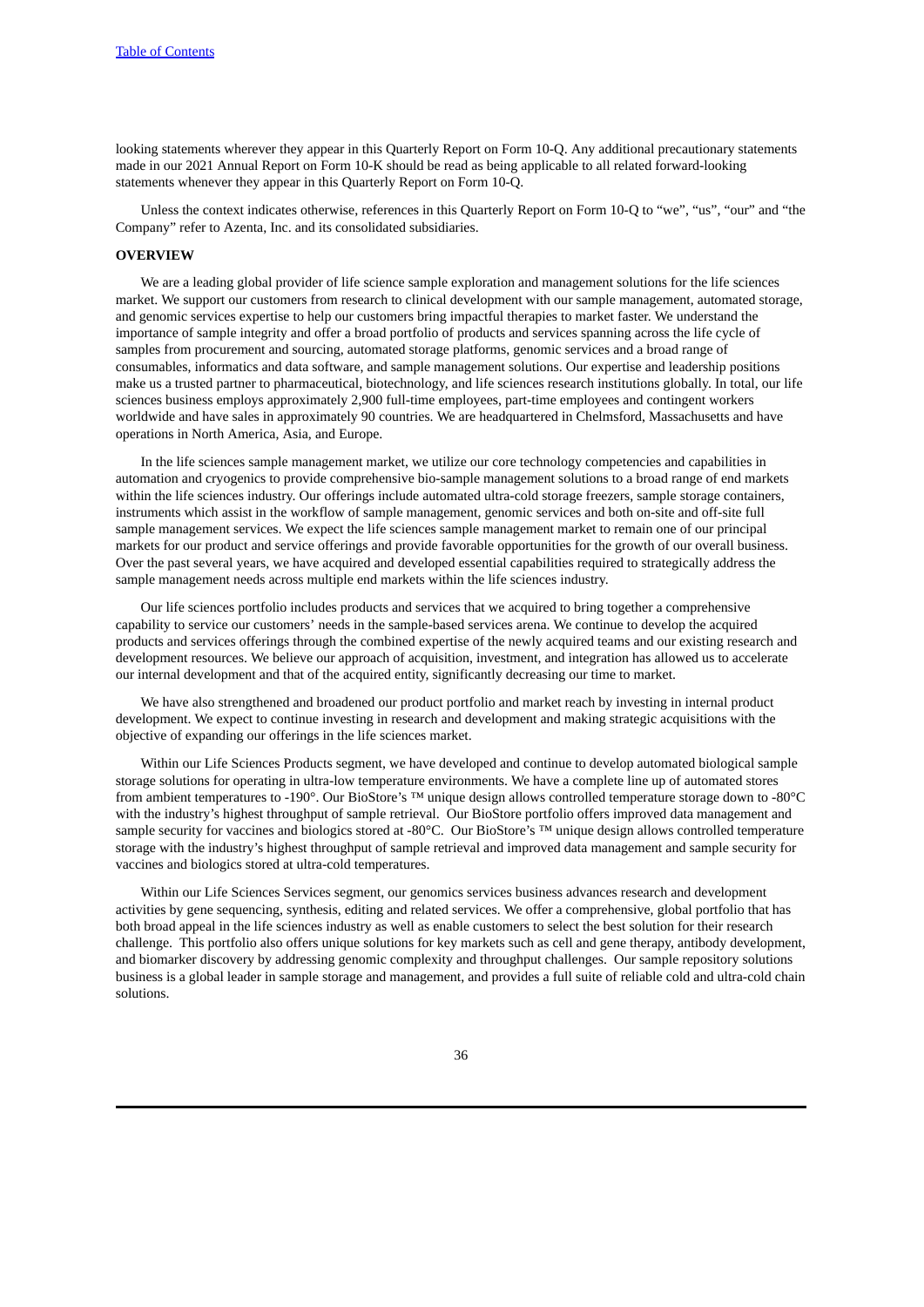looking statements wherever they appear in this Quarterly Report on Form 10-Q. Any additional precautionary statements made in our 2021 Annual Report on Form 10-K should be read as being applicable to all related forward-looking statements whenever they appear in this Quarterly Report on Form 10-Q.

Unless the context indicates otherwise, references in this Quarterly Report on Form 10-Q to "we", "us", "our" and "the Company" refer to Azenta, Inc. and its consolidated subsidiaries.

### **OVERVIEW**

We are a leading global provider of life science sample exploration and management solutions for the life sciences market. We support our customers from research to clinical development with our sample management, automated storage, and genomic services expertise to help our customers bring impactful therapies to market faster. We understand the importance of sample integrity and offer a broad portfolio of products and services spanning across the life cycle of samples from procurement and sourcing, automated storage platforms, genomic services and a broad range of consumables, informatics and data software, and sample management solutions. Our expertise and leadership positions make us a trusted partner to pharmaceutical, biotechnology, and life sciences research institutions globally. In total, our life sciences business employs approximately 2,900 full-time employees, part-time employees and contingent workers worldwide and have sales in approximately 90 countries. We are headquartered in Chelmsford, Massachusetts and have operations in North America, Asia, and Europe.

In the life sciences sample management market, we utilize our core technology competencies and capabilities in automation and cryogenics to provide comprehensive bio-sample management solutions to a broad range of end markets within the life sciences industry. Our offerings include automated ultra-cold storage freezers, sample storage containers, instruments which assist in the workflow of sample management, genomic services and both on-site and off-site full sample management services. We expect the life sciences sample management market to remain one of our principal markets for our product and service offerings and provide favorable opportunities for the growth of our overall business. Over the past several years, we have acquired and developed essential capabilities required to strategically address the sample management needs across multiple end markets within the life sciences industry.

Our life sciences portfolio includes products and services that we acquired to bring together a comprehensive capability to service our customers' needs in the sample-based services arena. We continue to develop the acquired products and services offerings through the combined expertise of the newly acquired teams and our existing research and development resources. We believe our approach of acquisition, investment, and integration has allowed us to accelerate our internal development and that of the acquired entity, significantly decreasing our time to market.

We have also strengthened and broadened our product portfolio and market reach by investing in internal product development. We expect to continue investing in research and development and making strategic acquisitions with the objective of expanding our offerings in the life sciences market.

Within our Life Sciences Products segment, we have developed and continue to develop automated biological sample storage solutions for operating in ultra-low temperature environments. We have a complete line up of automated stores from ambient temperatures to -190°. Our BioStore's ™ unique design allows controlled temperature storage down to -80°C with the industry's highest throughput of sample retrieval. Our BioStore portfolio offers improved data management and sample security for vaccines and biologics stored at -80°C. Our BioStore's ™ unique design allows controlled temperature storage with the industry's highest throughput of sample retrieval and improved data management and sample security for vaccines and biologics stored at ultra-cold temperatures.

Within our Life Sciences Services segment, our genomics services business advances research and development activities by gene sequencing, synthesis, editing and related services. We offer a comprehensive, global portfolio that has both broad appeal in the life sciences industry as well as enable customers to select the best solution for their research challenge. This portfolio also offers unique solutions for key markets such as cell and gene therapy, antibody development, and biomarker discovery by addressing genomic complexity and throughput challenges. Our sample repository solutions business is a global leader in sample storage and management, and provides a full suite of reliable cold and ultra-cold chain solutions.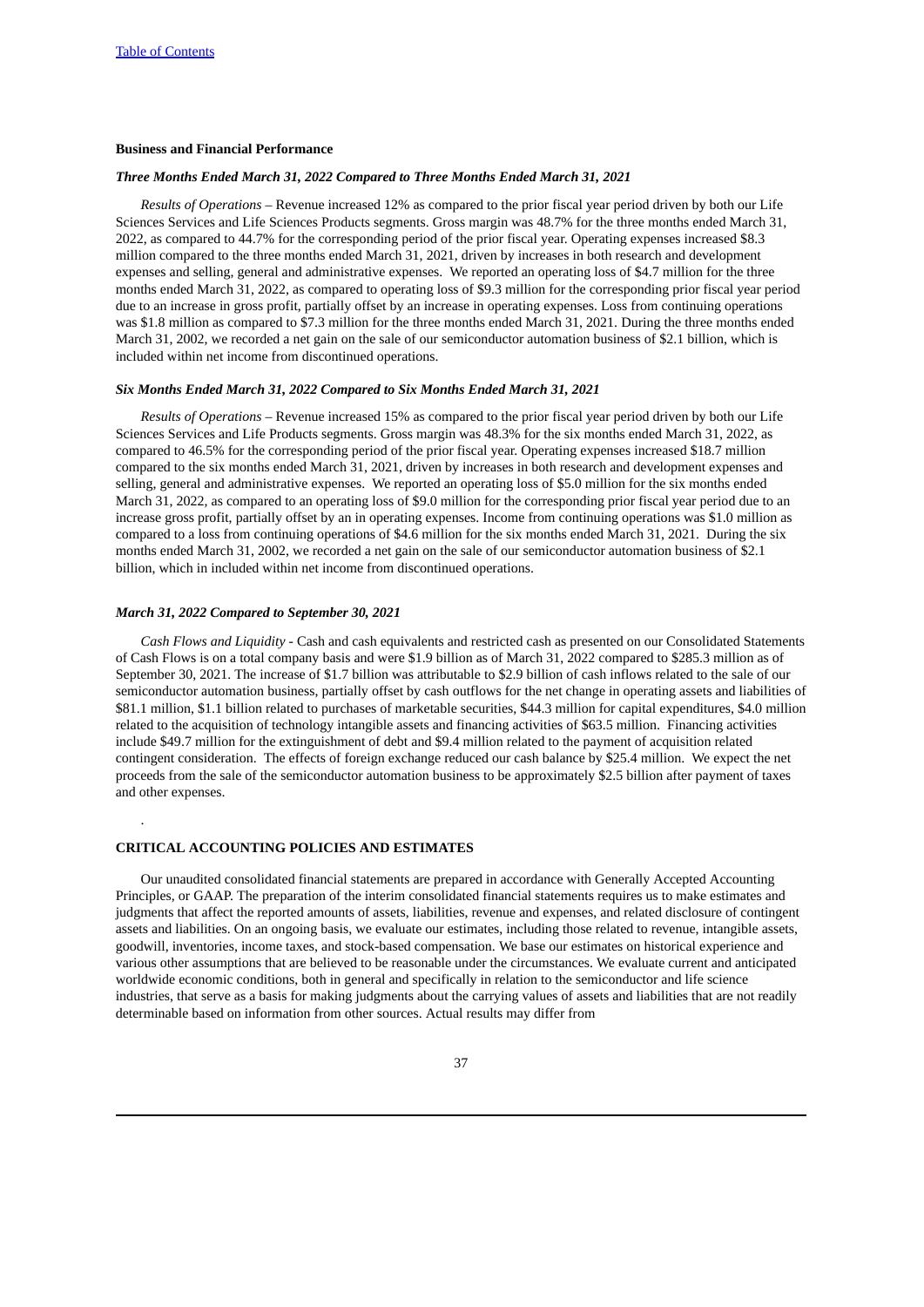### **Business and Financial Performance**

### *Three Months Ended March 31, 2022 Compared to Three Months Ended March 31, 2021*

*Results of Operations –* Revenue increased 12% as compared to the prior fiscal year period driven by both our Life Sciences Services and Life Sciences Products segments. Gross margin was 48.7% for the three months ended March 31, 2022, as compared to 44.7% for the corresponding period of the prior fiscal year. Operating expenses increased \$8.3 million compared to the three months ended March 31, 2021, driven by increases in both research and development expenses and selling, general and administrative expenses. We reported an operating loss of \$4.7 million for the three months ended March 31, 2022, as compared to operating loss of \$9.3 million for the corresponding prior fiscal year period due to an increase in gross profit, partially offset by an increase in operating expenses. Loss from continuing operations was \$1.8 million as compared to \$7.3 million for the three months ended March 31, 2021. During the three months ended March 31, 2002, we recorded a net gain on the sale of our semiconductor automation business of \$2.1 billion, which is included within net income from discontinued operations.

#### *Six Months Ended March 31, 2022 Compared to Six Months Ended March 31, 2021*

*Results of Operations –* Revenue increased 15% as compared to the prior fiscal year period driven by both our Life Sciences Services and Life Products segments. Gross margin was 48.3% for the six months ended March 31, 2022, as compared to 46.5% for the corresponding period of the prior fiscal year. Operating expenses increased \$18.7 million compared to the six months ended March 31, 2021, driven by increases in both research and development expenses and selling, general and administrative expenses. We reported an operating loss of \$5.0 million for the six months ended March 31, 2022, as compared to an operating loss of \$9.0 million for the corresponding prior fiscal year period due to an increase gross profit, partially offset by an in operating expenses. Income from continuing operations was \$1.0 million as compared to a loss from continuing operations of \$4.6 million for the six months ended March 31, 2021. During the six months ended March 31, 2002, we recorded a net gain on the sale of our semiconductor automation business of \$2.1 billion, which in included within net income from discontinued operations.

#### *March 31, 2022 Compared to September 30, 2021*

.

*Cash Flows and Liquidity -* Cash and cash equivalents and restricted cash as presented on our Consolidated Statements of Cash Flows is on a total company basis and were \$1.9 billion as of March 31, 2022 compared to \$285.3 million as of September 30, 2021. The increase of \$1.7 billion was attributable to \$2.9 billion of cash inflows related to the sale of our semiconductor automation business, partially offset by cash outflows for the net change in operating assets and liabilities of \$81.1 million, \$1.1 billion related to purchases of marketable securities, \$44.3 million for capital expenditures, \$4.0 million related to the acquisition of technology intangible assets and financing activities of \$63.5 million. Financing activities include \$49.7 million for the extinguishment of debt and \$9.4 million related to the payment of acquisition related contingent consideration. The effects of foreign exchange reduced our cash balance by \$25.4 million. We expect the net proceeds from the sale of the semiconductor automation business to be approximately \$2.5 billion after payment of taxes and other expenses.

# **CRITICAL ACCOUNTING POLICIES AND ESTIMATES**

Our unaudited consolidated financial statements are prepared in accordance with Generally Accepted Accounting Principles, or GAAP. The preparation of the interim consolidated financial statements requires us to make estimates and judgments that affect the reported amounts of assets, liabilities, revenue and expenses, and related disclosure of contingent assets and liabilities. On an ongoing basis, we evaluate our estimates, including those related to revenue, intangible assets, goodwill, inventories, income taxes, and stock-based compensation. We base our estimates on historical experience and various other assumptions that are believed to be reasonable under the circumstances. We evaluate current and anticipated worldwide economic conditions, both in general and specifically in relation to the semiconductor and life science industries, that serve as a basis for making judgments about the carrying values of assets and liabilities that are not readily determinable based on information from other sources. Actual results may differ from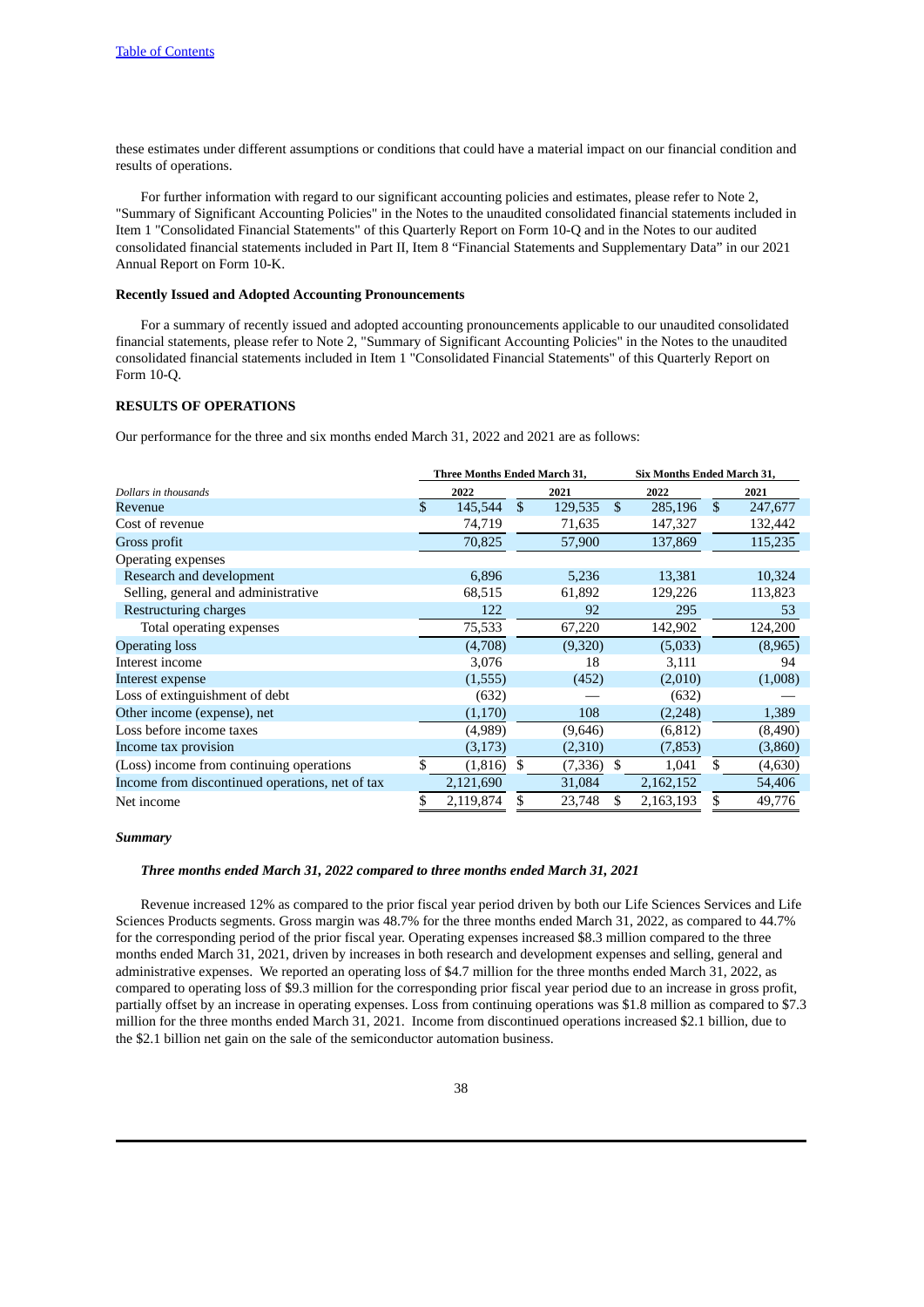these estimates under different assumptions or conditions that could have a material impact on our financial condition and results of operations.

For further information with regard to our significant accounting policies and estimates, please refer to Note 2, "Summary of Significant Accounting Policies" in the Notes to the unaudited consolidated financial statements included in Item 1 "Consolidated Financial Statements" of this Quarterly Report on Form 10-Q and in the Notes to our audited consolidated financial statements included in Part II, Item 8 "Financial Statements and Supplementary Data" in our 2021 Annual Report on Form 10-K.

# **Recently Issued and Adopted Accounting Pronouncements**

For a summary of recently issued and adopted accounting pronouncements applicable to our unaudited consolidated financial statements, please refer to Note 2, "Summary of Significant Accounting Policies" in the Notes to the unaudited consolidated financial statements included in Item 1 "Consolidated Financial Statements" of this Quarterly Report on Form 10-Q.

# **RESULTS OF OPERATIONS**

Our performance for the three and six months ended March 31, 2022 and 2021 are as follows:

|                                                 | Three Months Ended March 31, |               |         | Six Months Ended March 31, |     |         |
|-------------------------------------------------|------------------------------|---------------|---------|----------------------------|-----|---------|
| Dollars in thousands                            | 2022                         |               | 2021    | 2022                       |     | 2021    |
| Revenue                                         | \$<br>145,544                | $\mathbf{\$}$ | 129,535 | \$<br>285,196              | \$. | 247,677 |
| Cost of revenue                                 | 74,719                       |               | 71,635  | 147,327                    |     | 132,442 |
| Gross profit                                    | 70,825                       |               | 57,900  | 137,869                    |     | 115,235 |
| Operating expenses                              |                              |               |         |                            |     |         |
| Research and development                        | 6,896                        |               | 5,236   | 13,381                     |     | 10,324  |
| Selling, general and administrative             | 68,515                       |               | 61,892  | 129,226                    |     | 113,823 |
| Restructuring charges                           | 122                          |               | 92      | 295                        |     | 53      |
| Total operating expenses                        | 75,533                       |               | 67,220  | 142,902                    |     | 124,200 |
| <b>Operating loss</b>                           | (4,708)                      |               | (9,320) | (5,033)                    |     | (8,965) |
| Interest income                                 | 3,076                        |               | 18      | 3,111                      |     | 94      |
| Interest expense                                | (1,555)                      |               | (452)   | (2,010)                    |     | (1,008) |
| Loss of extinguishment of debt                  | (632)                        |               |         | (632)                      |     |         |
| Other income (expense), net                     | (1,170)                      |               | 108     | (2,248)                    |     | 1,389   |
| Loss before income taxes                        | (4,989)                      |               | (9,646) | (6, 812)                   |     | (8,490) |
| Income tax provision                            | (3, 173)                     |               | (2,310) | (7, 853)                   |     | (3,860) |
| (Loss) income from continuing operations        | \$<br>(1, 816)               | S.            | (7,336) | \$<br>1,041                | \$  | (4,630) |
| Income from discontinued operations, net of tax | 2,121,690                    |               | 31,084  | 2,162,152                  |     | 54,406  |
| Net income                                      | \$<br>2,119,874              | \$            | 23,748  | \$<br>2,163,193            | \$  | 49,776  |

### *Summary*

#### *Three months ended March 31, 2022 compared to three months ended March 31, 2021*

Revenue increased 12% as compared to the prior fiscal year period driven by both our Life Sciences Services and Life Sciences Products segments. Gross margin was 48.7% for the three months ended March 31, 2022, as compared to 44.7% for the corresponding period of the prior fiscal year. Operating expenses increased \$8.3 million compared to the three months ended March 31, 2021, driven by increases in both research and development expenses and selling, general and administrative expenses. We reported an operating loss of \$4.7 million for the three months ended March 31, 2022, as compared to operating loss of \$9.3 million for the corresponding prior fiscal year period due to an increase in gross profit, partially offset by an increase in operating expenses. Loss from continuing operations was \$1.8 million as compared to \$7.3 million for the three months ended March 31, 2021. Income from discontinued operations increased \$2.1 billion, due to the \$2.1 billion net gain on the sale of the semiconductor automation business.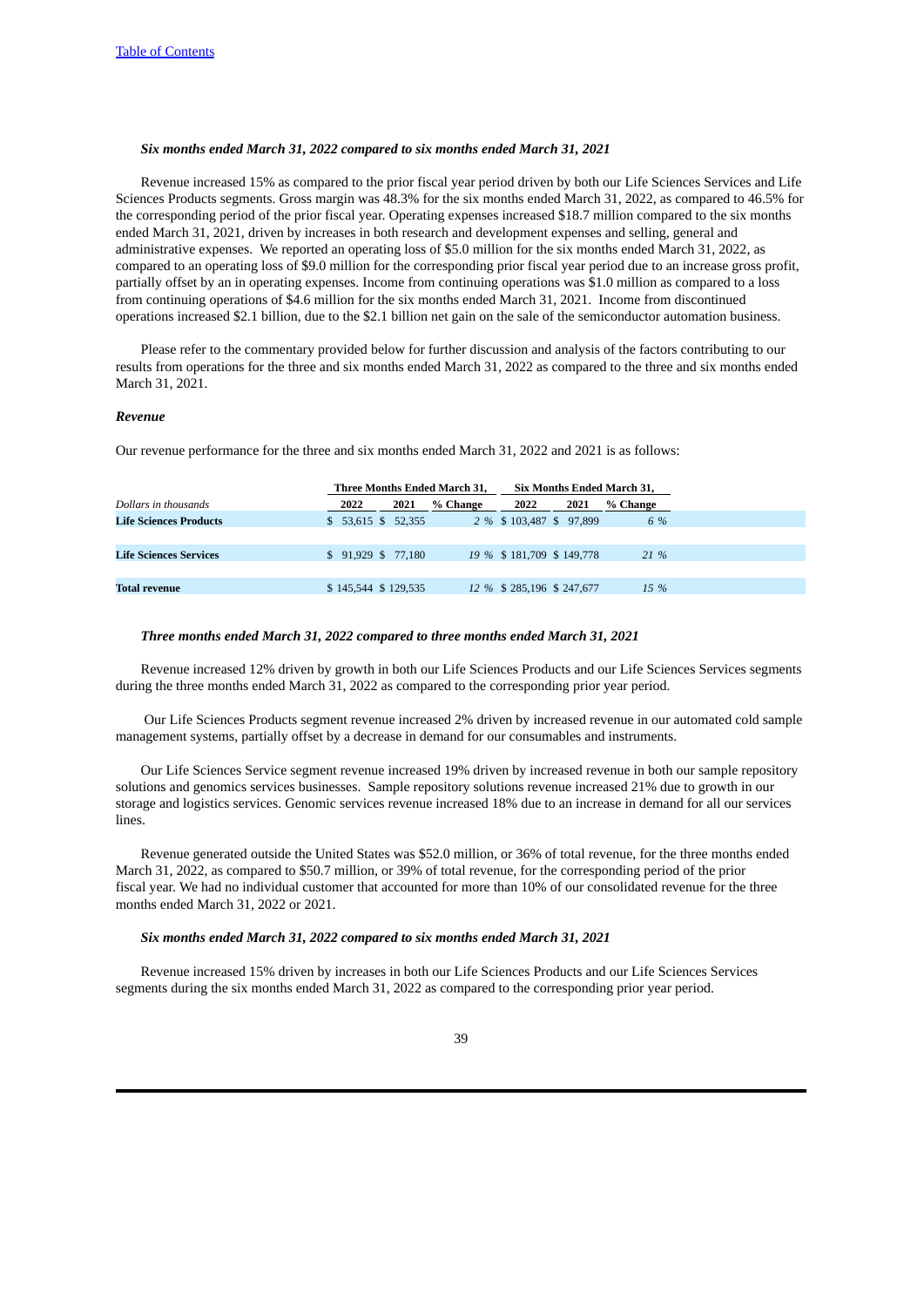# *Six months ended March 31, 2022 compared to six months ended March 31, 2021*

Revenue increased 15% as compared to the prior fiscal year period driven by both our Life Sciences Services and Life Sciences Products segments. Gross margin was 48.3% for the six months ended March 31, 2022, as compared to 46.5% for the corresponding period of the prior fiscal year. Operating expenses increased \$18.7 million compared to the six months ended March 31, 2021, driven by increases in both research and development expenses and selling, general and administrative expenses. We reported an operating loss of \$5.0 million for the six months ended March 31, 2022, as compared to an operating loss of \$9.0 million for the corresponding prior fiscal year period due to an increase gross profit, partially offset by an in operating expenses. Income from continuing operations was \$1.0 million as compared to a loss from continuing operations of \$4.6 million for the six months ended March 31, 2021. Income from discontinued operations increased \$2.1 billion, due to the \$2.1 billion net gain on the sale of the semiconductor automation business.

Please refer to the commentary provided below for further discussion and analysis of the factors contributing to our results from operations for the three and six months ended March 31, 2022 as compared to the three and six months ended March 31, 2021.

### *Revenue*

Our revenue performance for the three and six months ended March 31, 2022 and 2021 is as follows:

|                               |                     |      | Three Months Ended March 31, |                            |      | Six Months Ended March 31. |
|-------------------------------|---------------------|------|------------------------------|----------------------------|------|----------------------------|
| Dollars in thousands          | 2022                | 2021 | % Change                     | 2022                       | 2021 | % Change                   |
| <b>Life Sciences Products</b> | $$53,615$ $$52,355$ |      |                              | 2 % \$ 103,487 \$ 97,899   |      | 6 %                        |
|                               |                     |      |                              |                            |      |                            |
| Life Sciences Services        | \$91.929\$77.180    |      |                              | 19 % \$181,709 \$149,778   |      | 21 %                       |
|                               |                     |      |                              |                            |      |                            |
| <b>Total revenue</b>          | \$145,544 \$129,535 |      |                              | 12 % \$ 285,196 \$ 247,677 |      | 15 %                       |
|                               |                     |      |                              |                            |      |                            |

### *Three months ended March 31, 2022 compared to three months ended March 31, 2021*

Revenue increased 12% driven by growth in both our Life Sciences Products and our Life Sciences Services segments during the three months ended March 31, 2022 as compared to the corresponding prior year period.

Our Life Sciences Products segment revenue increased 2% driven by increased revenue in our automated cold sample management systems, partially offset by a decrease in demand for our consumables and instruments.

Our Life Sciences Service segment revenue increased 19% driven by increased revenue in both our sample repository solutions and genomics services businesses. Sample repository solutions revenue increased 21% due to growth in our storage and logistics services. Genomic services revenue increased 18% due to an increase in demand for all our services lines.

Revenue generated outside the United States was \$52.0 million, or 36% of total revenue, for the three months ended March 31, 2022, as compared to \$50.7 million, or 39% of total revenue, for the corresponding period of the prior fiscal year. We had no individual customer that accounted for more than 10% of our consolidated revenue for the three months ended March 31, 2022 or 2021.

### *Six months ended March 31, 2022 compared to six months ended March 31, 2021*

Revenue increased 15% driven by increases in both our Life Sciences Products and our Life Sciences Services segments during the six months ended March 31, 2022 as compared to the corresponding prior year period.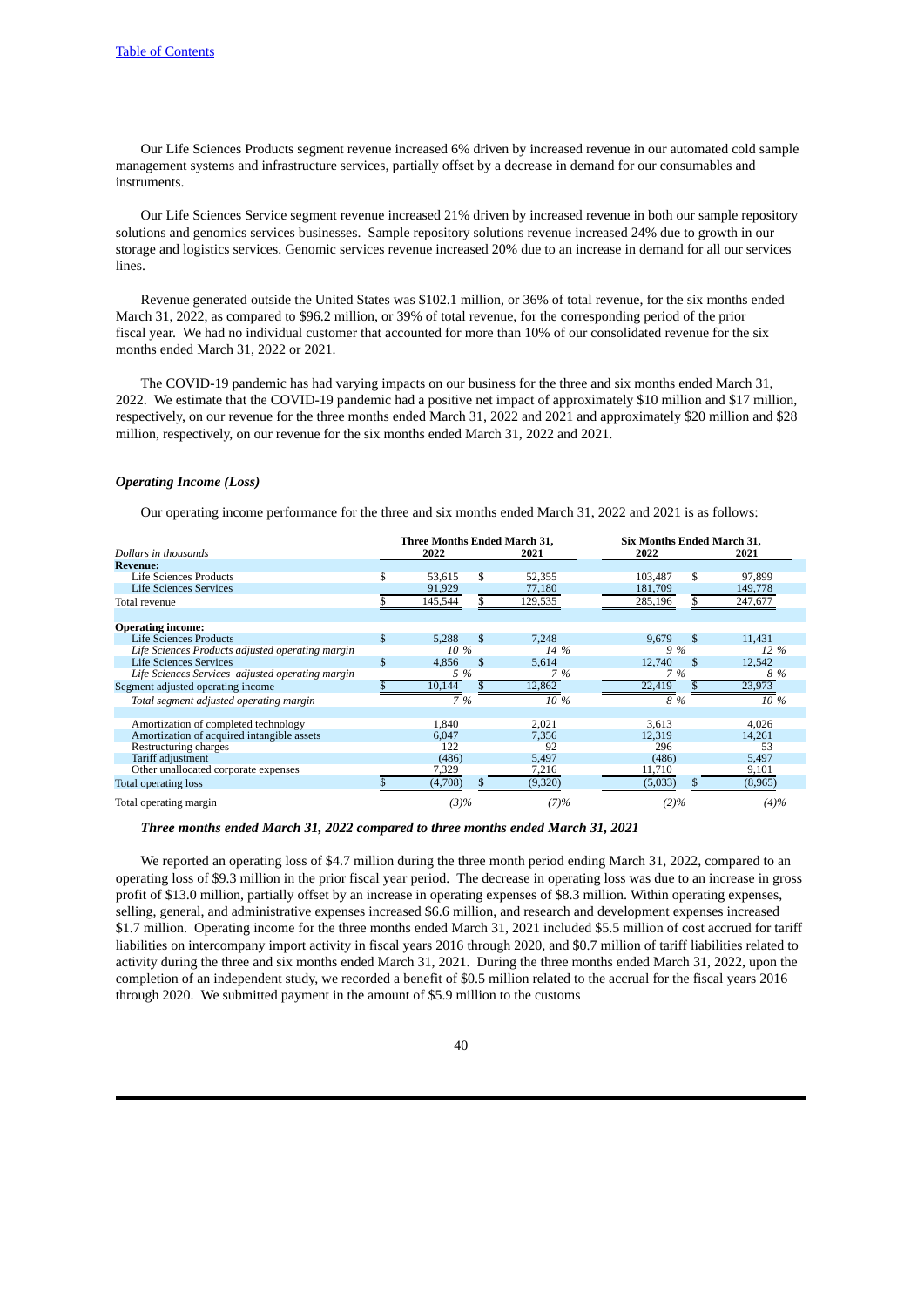Our Life Sciences Products segment revenue increased 6% driven by increased revenue in our automated cold sample management systems and infrastructure services, partially offset by a decrease in demand for our consumables and instruments.

Our Life Sciences Service segment revenue increased 21% driven by increased revenue in both our sample repository solutions and genomics services businesses. Sample repository solutions revenue increased 24% due to growth in our storage and logistics services. Genomic services revenue increased 20% due to an increase in demand for all our services lines.

Revenue generated outside the United States was \$102.1 million, or 36% of total revenue, for the six months ended March 31, 2022, as compared to \$96.2 million, or 39% of total revenue, for the corresponding period of the prior fiscal year. We had no individual customer that accounted for more than 10% of our consolidated revenue for the six months ended March 31, 2022 or 2021.

The COVID-19 pandemic has had varying impacts on our business for the three and six months ended March 31, 2022. We estimate that the COVID-19 pandemic had a positive net impact of approximately \$10 million and \$17 million, respectively, on our revenue for the three months ended March 31, 2022 and 2021 and approximately \$20 million and \$28 million, respectively, on our revenue for the six months ended March 31, 2022 and 2021.

# *Operating Income (Loss)*

Our operating income performance for the three and six months ended March 31, 2022 and 2021 is as follows:

|                                                  | <b>Three Months Ended March 31.</b> |     |         | <b>Six Months Ended March 31.</b> |     |         |  |  |  |
|--------------------------------------------------|-------------------------------------|-----|---------|-----------------------------------|-----|---------|--|--|--|
| Dollars in thousands                             | 2022                                |     | 2021    | 2022                              |     | 2021    |  |  |  |
| <b>Revenue:</b>                                  |                                     |     |         |                                   |     |         |  |  |  |
| <b>Life Sciences Products</b>                    | \$<br>53,615                        | \$  | 52,355  | 103.487                           | \$  | 97,899  |  |  |  |
| Life Sciences Services                           | 91,929                              |     | 77,180  | 181,709                           |     | 149,778 |  |  |  |
| Total revenue                                    | 145,544                             | \$  | 129,535 | 285,196                           | \$  | 247,677 |  |  |  |
| <b>Operating income:</b>                         |                                     |     |         |                                   |     |         |  |  |  |
| <b>Life Sciences Products</b>                    | \$<br>5.288                         | \$  | 7.248   | 9.679                             | \$  | 11.431  |  |  |  |
| Life Sciences Products adjusted operating margin | 10 %                                |     | 14 %    | 9 %                               |     | 12 %    |  |  |  |
| Life Sciences Services                           | \$<br>4,856                         | \$  | 5,614   | 12,740                            | \$. | 12,542  |  |  |  |
| Life Sciences Services adjusted operating margin | 5 %                                 |     | 7 %     | 7 %                               |     | 8 %     |  |  |  |
| Segment adjusted operating income                | 10,144                              |     | 12,862  | 22,419                            |     | 23,973  |  |  |  |
| Total segment adjusted operating margin          | 7 %                                 |     | 10 %    | 8 %                               |     | 10 %    |  |  |  |
| Amortization of completed technology             | 1,840                               |     | 2,021   | 3,613                             |     | 4,026   |  |  |  |
| Amortization of acquired intangible assets       | 6.047                               |     | 7,356   | 12,319                            |     | 14,261  |  |  |  |
| Restructuring charges                            | 122                                 |     | 92      | 296                               |     | 53      |  |  |  |
| Tariff adjustment                                | (486)                               |     | 5,497   | (486)                             |     | 5,497   |  |  |  |
| Other unallocated corporate expenses             | 7,329                               |     | 7,216   | 11,710                            |     | 9,101   |  |  |  |
| Total operating loss                             | (4,708)                             | SS. | (9,320) | (5,033)                           |     | (8,965) |  |  |  |
| Total operating margin                           | (3)%                                |     | (7)%    | $(2)\%$                           |     | $(4)\%$ |  |  |  |

### *Three months ended March 31, 2022 compared to three months ended March 31, 2021*

We reported an operating loss of \$4.7 million during the three month period ending March 31, 2022, compared to an operating loss of \$9.3 million in the prior fiscal year period. The decrease in operating loss was due to an increase in gross profit of \$13.0 million, partially offset by an increase in operating expenses of \$8.3 million. Within operating expenses, selling, general, and administrative expenses increased \$6.6 million, and research and development expenses increased \$1.7 million. Operating income for the three months ended March 31, 2021 included \$5.5 million of cost accrued for tariff liabilities on intercompany import activity in fiscal years 2016 through 2020, and \$0.7 million of tariff liabilities related to activity during the three and six months ended March 31, 2021. During the three months ended March 31, 2022, upon the completion of an independent study, we recorded a benefit of \$0.5 million related to the accrual for the fiscal years 2016 through 2020. We submitted payment in the amount of \$5.9 million to the customs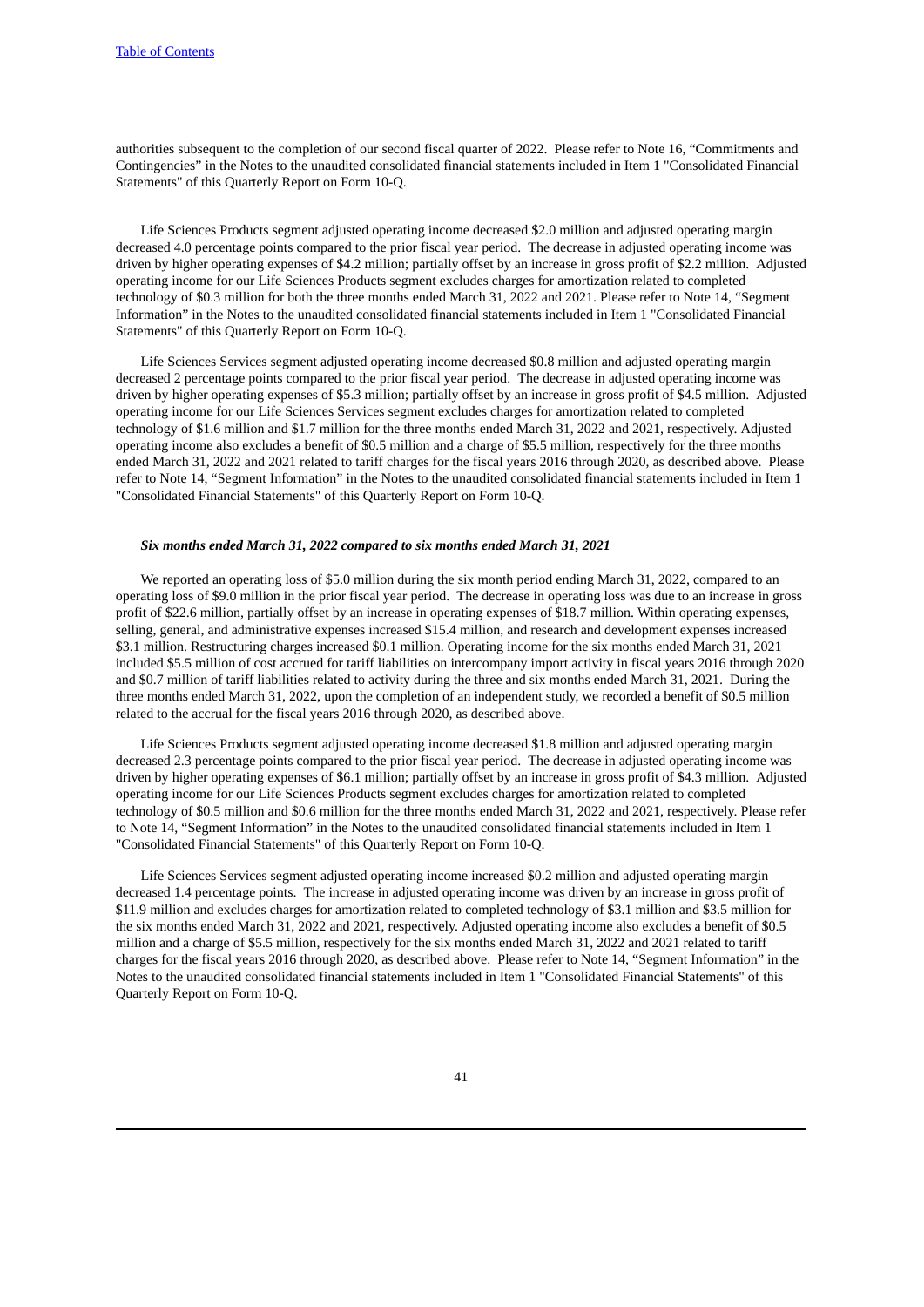authorities subsequent to the completion of our second fiscal quarter of 2022. Please refer to Note 16, "Commitments and Contingencies" in the Notes to the unaudited consolidated financial statements included in Item 1 "Consolidated Financial Statements" of this Quarterly Report on Form 10-Q.

Life Sciences Products segment adjusted operating income decreased \$2.0 million and adjusted operating margin decreased 4.0 percentage points compared to the prior fiscal year period. The decrease in adjusted operating income was driven by higher operating expenses of \$4.2 million; partially offset by an increase in gross profit of \$2.2 million. Adjusted operating income for our Life Sciences Products segment excludes charges for amortization related to completed technology of \$0.3 million for both the three months ended March 31, 2022 and 2021. Please refer to Note 14, "Segment Information" in the Notes to the unaudited consolidated financial statements included in Item 1 "Consolidated Financial Statements" of this Quarterly Report on Form 10-Q.

Life Sciences Services segment adjusted operating income decreased \$0.8 million and adjusted operating margin decreased 2 percentage points compared to the prior fiscal year period. The decrease in adjusted operating income was driven by higher operating expenses of \$5.3 million; partially offset by an increase in gross profit of \$4.5 million. Adjusted operating income for our Life Sciences Services segment excludes charges for amortization related to completed technology of \$1.6 million and \$1.7 million for the three months ended March 31, 2022 and 2021, respectively. Adjusted operating income also excludes a benefit of \$0.5 million and a charge of \$5.5 million, respectively for the three months ended March 31, 2022 and 2021 related to tariff charges for the fiscal years 2016 through 2020, as described above. Please refer to Note 14, "Segment Information" in the Notes to the unaudited consolidated financial statements included in Item 1 "Consolidated Financial Statements" of this Quarterly Report on Form 10-Q.

# *Six months ended March 31, 2022 compared to six months ended March 31, 2021*

We reported an operating loss of \$5.0 million during the six month period ending March 31, 2022, compared to an operating loss of \$9.0 million in the prior fiscal year period. The decrease in operating loss was due to an increase in gross profit of \$22.6 million, partially offset by an increase in operating expenses of \$18.7 million. Within operating expenses, selling, general, and administrative expenses increased \$15.4 million, and research and development expenses increased \$3.1 million. Restructuring charges increased \$0.1 million. Operating income for the six months ended March 31, 2021 included \$5.5 million of cost accrued for tariff liabilities on intercompany import activity in fiscal years 2016 through 2020 and \$0.7 million of tariff liabilities related to activity during the three and six months ended March 31, 2021. During the three months ended March 31, 2022, upon the completion of an independent study, we recorded a benefit of \$0.5 million related to the accrual for the fiscal years 2016 through 2020, as described above.

Life Sciences Products segment adjusted operating income decreased \$1.8 million and adjusted operating margin decreased 2.3 percentage points compared to the prior fiscal year period. The decrease in adjusted operating income was driven by higher operating expenses of \$6.1 million; partially offset by an increase in gross profit of \$4.3 million. Adjusted operating income for our Life Sciences Products segment excludes charges for amortization related to completed technology of \$0.5 million and \$0.6 million for the three months ended March 31, 2022 and 2021, respectively. Please refer to Note 14, "Segment Information" in the Notes to the unaudited consolidated financial statements included in Item 1 "Consolidated Financial Statements" of this Quarterly Report on Form 10-Q.

Life Sciences Services segment adjusted operating income increased \$0.2 million and adjusted operating margin decreased 1.4 percentage points. The increase in adjusted operating income was driven by an increase in gross profit of \$11.9 million and excludes charges for amortization related to completed technology of \$3.1 million and \$3.5 million for the six months ended March 31, 2022 and 2021, respectively. Adjusted operating income also excludes a benefit of \$0.5 million and a charge of \$5.5 million, respectively for the six months ended March 31, 2022 and 2021 related to tariff charges for the fiscal years 2016 through 2020, as described above. Please refer to Note 14, "Segment Information" in the Notes to the unaudited consolidated financial statements included in Item 1 "Consolidated Financial Statements" of this Quarterly Report on Form 10-Q.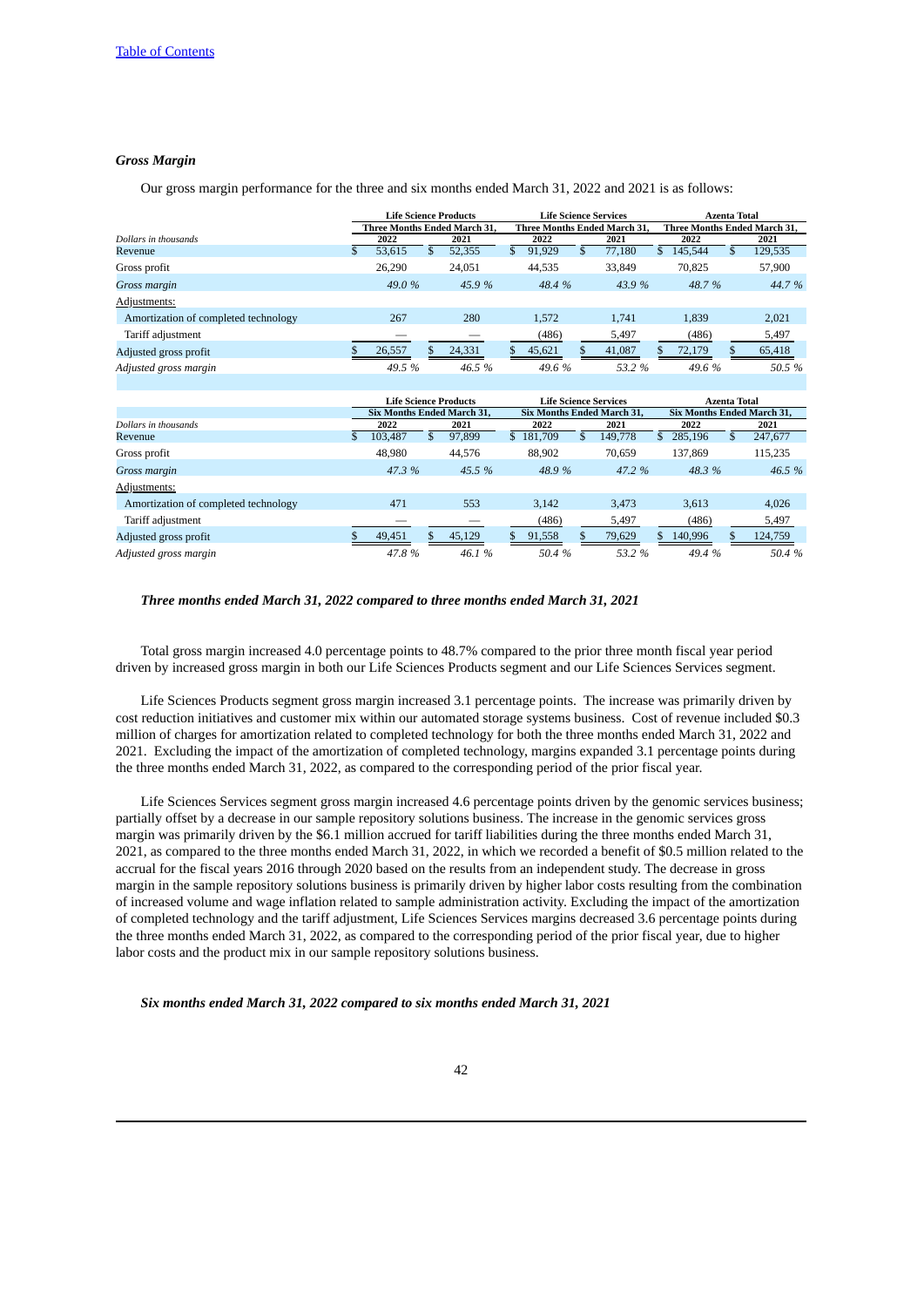# *Gross Margin*

Our gross margin performance for the three and six months ended March 31, 2022 and 2021 is as follows:

|                                      |               | <b>Life Science Products</b>      |    |                                   | <b>Life Science Services</b> |           |                                   |                              | <b>Azenta Total</b> |           |               |         |
|--------------------------------------|---------------|-----------------------------------|----|-----------------------------------|------------------------------|-----------|-----------------------------------|------------------------------|---------------------|-----------|---------------|---------|
|                                      |               | Three Months Ended March 31,      |    | Three Months Ended March 31,      |                              |           |                                   | Three Months Ended March 31, |                     |           |               |         |
| Dollars in thousands                 |               | 2022<br>2021                      |    |                                   | 2022                         |           |                                   | 2021                         |                     | 2022      |               | 2021    |
| Revenue                              | $\mathcal{S}$ | 53,615                            | \$ | 52,355                            | \$                           | 91,929    | \$                                | 77,180                       |                     | \$145,544 | \$            | 129,535 |
| Gross profit                         |               | 26,290                            |    | 24,051                            |                              | 44,535    |                                   | 33,849                       |                     | 70,825    |               | 57,900  |
| Gross margin                         |               | 49.0 %                            |    | 45.9%                             |                              | 48.4 %    |                                   | 43.9 %                       |                     | 48.7%     |               | 44.7%   |
| Adjustments:                         |               |                                   |    |                                   |                              |           |                                   |                              |                     |           |               |         |
| Amortization of completed technology |               | 267                               |    | 280                               |                              | 1,572     |                                   | 1,741                        |                     | 1,839     |               | 2,021   |
| Tariff adjustment                    |               |                                   |    |                                   |                              | (486)     |                                   | 5,497                        |                     | (486)     |               | 5,497   |
| Adjusted gross profit                | \$            | 26,557                            |    | 24,331                            | \$                           | 45,621    | \$                                | 41,087                       | \$                  | 72,179    | \$            | 65,418  |
| Adjusted gross margin                |               | 49.5 %                            |    | 46.5%                             |                              | 49.6%     |                                   | 53.2 %                       |                     | 49.6%     |               | 50.5 %  |
|                                      |               |                                   |    |                                   |                              |           |                                   |                              |                     |           |               |         |
|                                      |               | <b>Life Science Products</b>      |    |                                   | <b>Life Science Services</b> |           |                                   | <b>Azenta Total</b>          |                     |           |               |         |
|                                      |               | <b>Six Months Ended March 31,</b> |    | <b>Six Months Ended March 31,</b> |                              |           | <b>Six Months Ended March 31,</b> |                              |                     |           |               |         |
| Dollars in thousands                 |               | 2022                              |    | 2021                              |                              | 2022      |                                   | 2021                         |                     | 2022      |               | 2021    |
| Revenue                              |               | 103,487                           | \$ | 97,899                            |                              | \$181,709 | $\mathcal{S}$                     | 149,778                      | $\mathcal{S}$       | 285,196   | $\mathcal{S}$ | 247,677 |
| Gross profit                         |               | 48,980                            |    | 44,576                            |                              | 88,902    |                                   | 70,659                       |                     | 137,869   |               | 115,235 |
| Gross margin                         |               | 47.3 %                            |    | 45.5 %                            |                              | 48.9%     |                                   | 47.2 %                       |                     | 48.3%     |               | 46.5 %  |
| Adjustments:                         |               |                                   |    |                                   |                              |           |                                   |                              |                     |           |               |         |
| Amortization of completed technology |               | 471                               |    | 553                               |                              | 3,142     |                                   | 3,473                        |                     | 3.613     |               | 4,026   |
| Tariff adjustment                    |               |                                   |    |                                   |                              | (486)     |                                   | 5,497                        |                     | (486)     |               | 5,497   |
| Adjusted gross profit                | \$            | 49,451                            |    | 45,129                            | \$                           | 91,558    |                                   | 79,629                       | $\mathbf{s}$        | 140,996   |               | 124,759 |
| Adjusted gross margin                |               | 47.8%                             |    | 46.1%                             |                              | 50.4 %    |                                   | 53.2 %                       |                     | 49.4 %    |               | 50.4 %  |

# *Three months ended March 31, 2022 compared to three months ended March 31, 2021*

Total gross margin increased 4.0 percentage points to 48.7% compared to the prior three month fiscal year period driven by increased gross margin in both our Life Sciences Products segment and our Life Sciences Services segment.

Life Sciences Products segment gross margin increased 3.1 percentage points. The increase was primarily driven by cost reduction initiatives and customer mix within our automated storage systems business. Cost of revenue included \$0.3 million of charges for amortization related to completed technology for both the three months ended March 31, 2022 and 2021. Excluding the impact of the amortization of completed technology, margins expanded 3.1 percentage points during the three months ended March 31, 2022, as compared to the corresponding period of the prior fiscal year.

Life Sciences Services segment gross margin increased 4.6 percentage points driven by the genomic services business; partially offset by a decrease in our sample repository solutions business. The increase in the genomic services gross margin was primarily driven by the \$6.1 million accrued for tariff liabilities during the three months ended March 31, 2021, as compared to the three months ended March 31, 2022, in which we recorded a benefit of \$0.5 million related to the accrual for the fiscal years 2016 through 2020 based on the results from an independent study. The decrease in gross margin in the sample repository solutions business is primarily driven by higher labor costs resulting from the combination of increased volume and wage inflation related to sample administration activity. Excluding the impact of the amortization of completed technology and the tariff adjustment, Life Sciences Services margins decreased 3.6 percentage points during the three months ended March 31, 2022, as compared to the corresponding period of the prior fiscal year, due to higher labor costs and the product mix in our sample repository solutions business.

*Six months ended March 31, 2022 compared to six months ended March 31, 2021*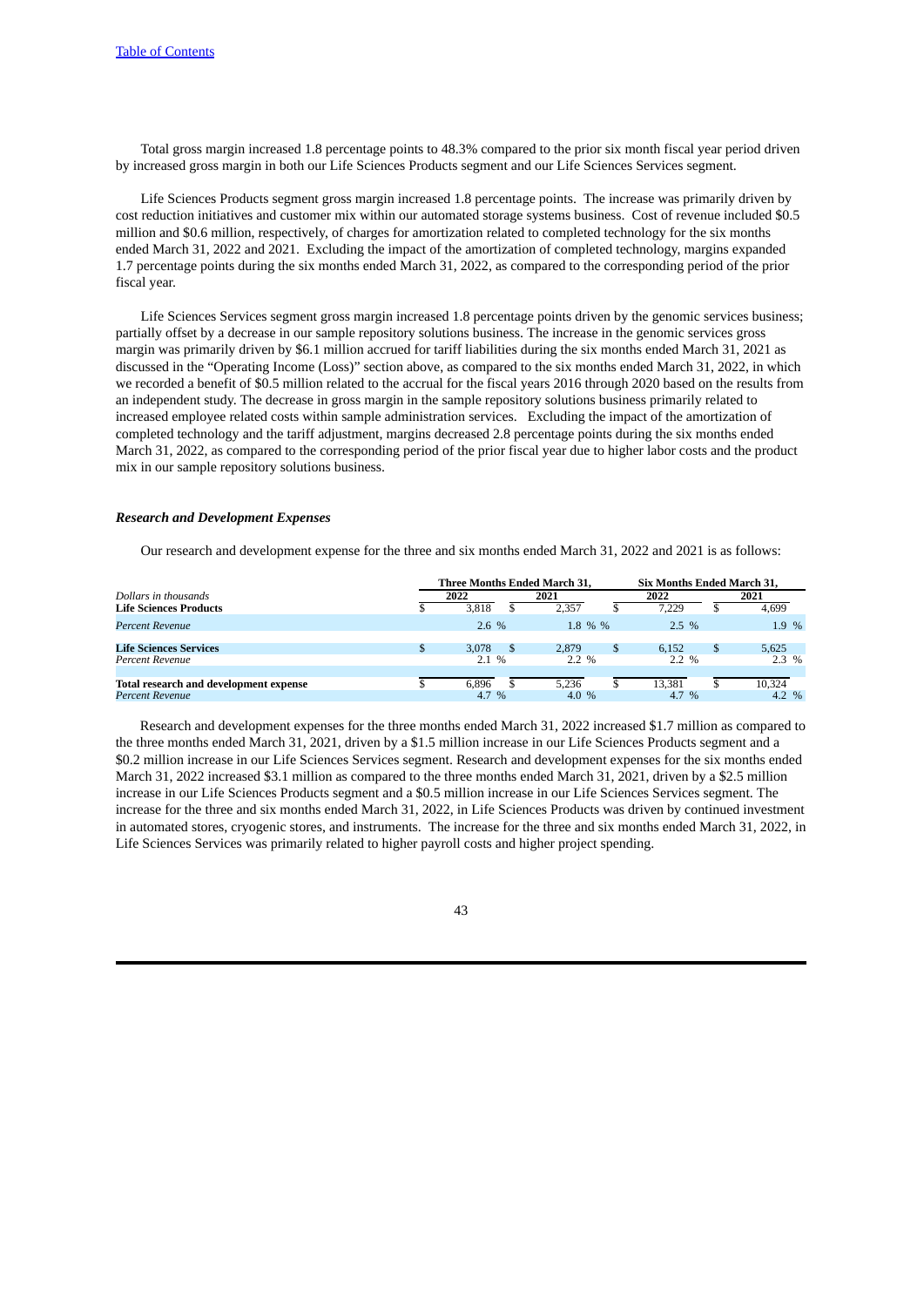Total gross margin increased 1.8 percentage points to 48.3% compared to the prior six month fiscal year period driven by increased gross margin in both our Life Sciences Products segment and our Life Sciences Services segment.

Life Sciences Products segment gross margin increased 1.8 percentage points. The increase was primarily driven by cost reduction initiatives and customer mix within our automated storage systems business. Cost of revenue included \$0.5 million and \$0.6 million, respectively, of charges for amortization related to completed technology for the six months ended March 31, 2022 and 2021. Excluding the impact of the amortization of completed technology, margins expanded 1.7 percentage points during the six months ended March 31, 2022, as compared to the corresponding period of the prior fiscal year.

Life Sciences Services segment gross margin increased 1.8 percentage points driven by the genomic services business; partially offset by a decrease in our sample repository solutions business. The increase in the genomic services gross margin was primarily driven by \$6.1 million accrued for tariff liabilities during the six months ended March 31, 2021 as discussed in the "Operating Income (Loss)" section above, as compared to the six months ended March 31, 2022, in which we recorded a benefit of \$0.5 million related to the accrual for the fiscal years 2016 through 2020 based on the results from an independent study. The decrease in gross margin in the sample repository solutions business primarily related to increased employee related costs within sample administration services. Excluding the impact of the amortization of completed technology and the tariff adjustment, margins decreased 2.8 percentage points during the six months ended March 31, 2022, as compared to the corresponding period of the prior fiscal year due to higher labor costs and the product mix in our sample repository solutions business.

# *Research and Development Expenses*

Our research and development expense for the three and six months ended March 31, 2022 and 2021 is as follows:

|                                        |         | Three Months Ended March 31. |   | Six Months Ended March 31. |         |
|----------------------------------------|---------|------------------------------|---|----------------------------|---------|
| Dollars in thousands                   | 2022    | 2021                         |   | 2022                       | 2021    |
| <b>Life Sciences Products</b>          | 3.818   | 2.357                        |   | 7.229                      | 4.699   |
| Percent Revenue                        | $2.6\%$ | 1.8 % %                      |   | $2.5\%$                    | 1.9%    |
| <b>Life Sciences Services</b>          | 3.078   | 2.879                        | S | 6.152                      | 5.625   |
| Percent Revenue                        | 2.1%    | $2.2\%$                      |   | $2.2\%$                    | $2.3\%$ |
|                                        |         |                              |   |                            |         |
| Total research and development expense | 6.896   | 5.236                        |   | 13.381                     | 10.324  |
| Percent Revenue                        | 4.7 %   | 4.0 $%$                      |   | 4.7 %                      | 4.2 $%$ |

Research and development expenses for the three months ended March 31, 2022 increased \$1.7 million as compared to the three months ended March 31, 2021, driven by a \$1.5 million increase in our Life Sciences Products segment and a \$0.2 million increase in our Life Sciences Services segment. Research and development expenses for the six months ended March 31, 2022 increased \$3.1 million as compared to the three months ended March 31, 2021, driven by a \$2.5 million increase in our Life Sciences Products segment and a \$0.5 million increase in our Life Sciences Services segment. The increase for the three and six months ended March 31, 2022, in Life Sciences Products was driven by continued investment in automated stores, cryogenic stores, and instruments. The increase for the three and six months ended March 31, 2022, in Life Sciences Services was primarily related to higher payroll costs and higher project spending.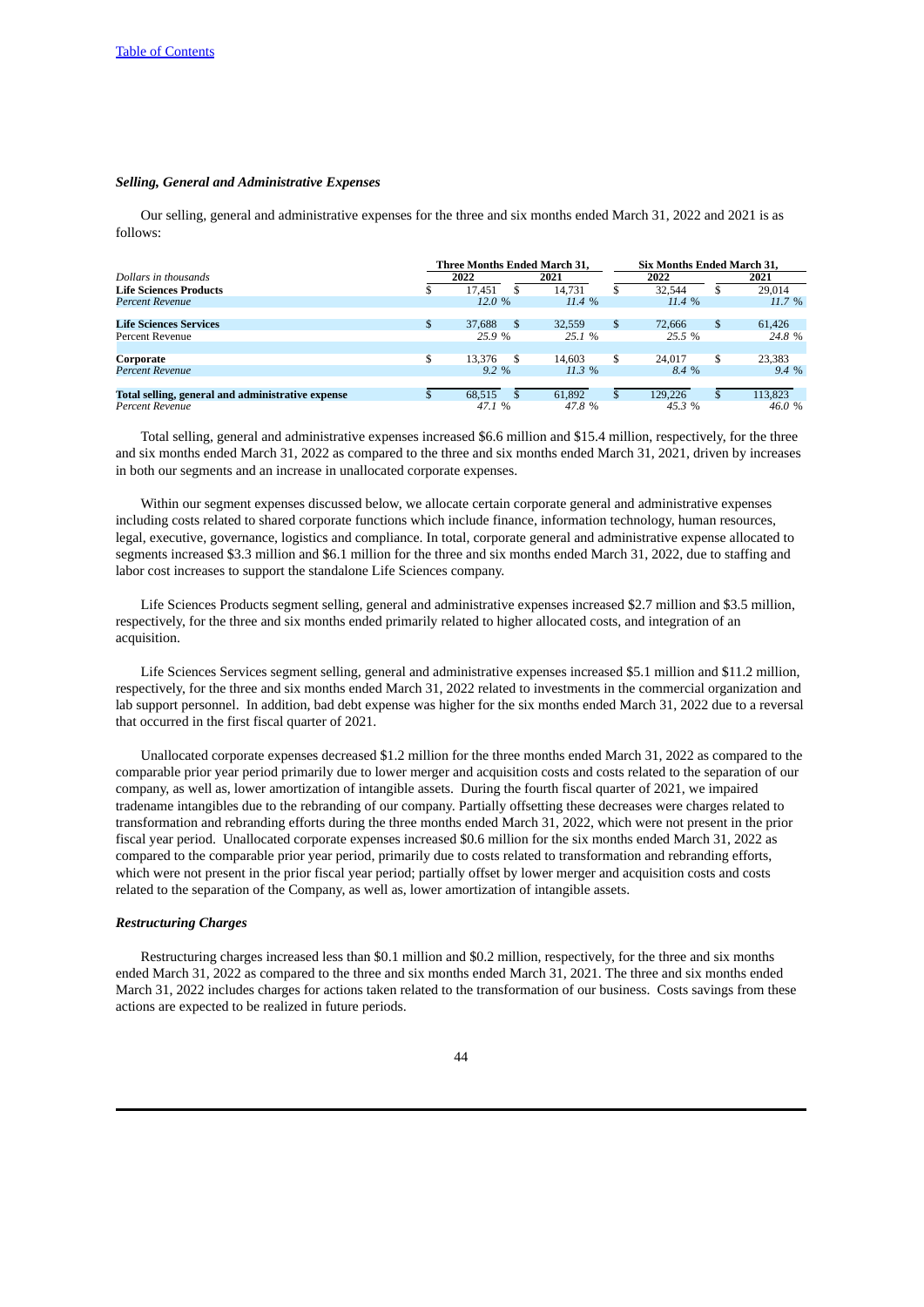# *Selling, General and Administrative Expenses*

Our selling, general and administrative expenses for the three and six months ended March 31, 2022 and 2021 is as follows:

|                                                   | <b>Three Months Ended March 31.</b> |               |        |     | <b>Six Months Ended March 31.</b> |  |          |  |  |
|---------------------------------------------------|-------------------------------------|---------------|--------|-----|-----------------------------------|--|----------|--|--|
| Dollars in thousands                              |                                     | 2022          | 2021   |     | 2022                              |  | 2021     |  |  |
| <b>Life Sciences Products</b>                     |                                     | 17.451        | 14.731 | S   | 32.544                            |  | 29.014   |  |  |
| Percent Revenue                                   |                                     | 12.0%         | 11.4%  |     | $11.4\%$                          |  | $11.7\%$ |  |  |
|                                                   |                                     |               |        |     |                                   |  |          |  |  |
| <b>Life Sciences Services</b>                     | \$                                  | 37,688<br>\$. | 32.559 | \$  | 72,666                            |  | 61,426   |  |  |
| Percent Revenue                                   |                                     | 25.9 %        | 25.1 % |     | 25.5 %                            |  | 24.8 %   |  |  |
|                                                   |                                     |               |        |     |                                   |  |          |  |  |
| Corporate                                         | \$                                  | 13.376<br>\$. | 14.603 | \$  | 24,017                            |  | 23,383   |  |  |
| Percent Revenue                                   |                                     | $9.2\%$       | 11.3 % |     | 8.4 %                             |  | $9.4\%$  |  |  |
|                                                   |                                     |               |        |     |                                   |  |          |  |  |
| Total selling, general and administrative expense |                                     | 68.515        | 61.892 | \$. | 129.226                           |  | 113,823  |  |  |
| Percent Revenue                                   |                                     | 47.1 %        | 47.8%  |     | 45.3 %                            |  | 46.0 %   |  |  |

Total selling, general and administrative expenses increased \$6.6 million and \$15.4 million, respectively, for the three and six months ended March 31, 2022 as compared to the three and six months ended March 31, 2021, driven by increases in both our segments and an increase in unallocated corporate expenses.

Within our segment expenses discussed below, we allocate certain corporate general and administrative expenses including costs related to shared corporate functions which include finance, information technology, human resources, legal, executive, governance, logistics and compliance. In total, corporate general and administrative expense allocated to segments increased \$3.3 million and \$6.1 million for the three and six months ended March 31, 2022, due to staffing and labor cost increases to support the standalone Life Sciences company.

Life Sciences Products segment selling, general and administrative expenses increased \$2.7 million and \$3.5 million, respectively, for the three and six months ended primarily related to higher allocated costs, and integration of an acquisition.

Life Sciences Services segment selling, general and administrative expenses increased \$5.1 million and \$11.2 million, respectively, for the three and six months ended March 31, 2022 related to investments in the commercial organization and lab support personnel. In addition, bad debt expense was higher for the six months ended March 31, 2022 due to a reversal that occurred in the first fiscal quarter of 2021.

Unallocated corporate expenses decreased \$1.2 million for the three months ended March 31, 2022 as compared to the comparable prior year period primarily due to lower merger and acquisition costs and costs related to the separation of our company, as well as, lower amortization of intangible assets. During the fourth fiscal quarter of 2021, we impaired tradename intangibles due to the rebranding of our company. Partially offsetting these decreases were charges related to transformation and rebranding efforts during the three months ended March 31, 2022, which were not present in the prior fiscal year period. Unallocated corporate expenses increased \$0.6 million for the six months ended March 31, 2022 as compared to the comparable prior year period, primarily due to costs related to transformation and rebranding efforts, which were not present in the prior fiscal year period; partially offset by lower merger and acquisition costs and costs related to the separation of the Company, as well as, lower amortization of intangible assets.

# *Restructuring Charges*

Restructuring charges increased less than \$0.1 million and \$0.2 million, respectively, for the three and six months ended March 31, 2022 as compared to the three and six months ended March 31, 2021. The three and six months ended March 31, 2022 includes charges for actions taken related to the transformation of our business. Costs savings from these actions are expected to be realized in future periods.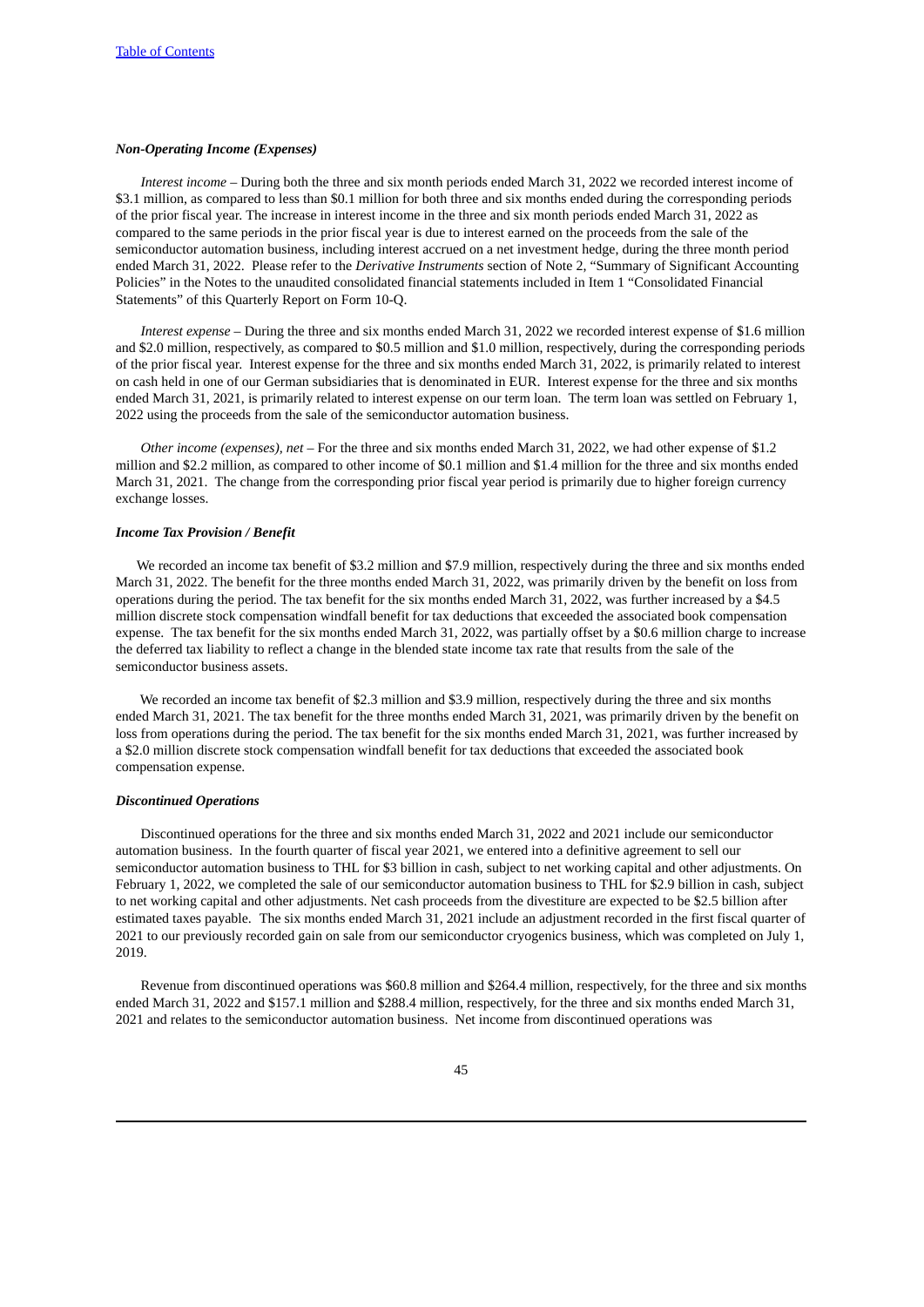### *Non-Operating Income (Expenses)*

*Interest income –* During both the three and six month periods ended March 31, 2022 we recorded interest income of \$3.1 million, as compared to less than \$0.1 million for both three and six months ended during the corresponding periods of the prior fiscal year. The increase in interest income in the three and six month periods ended March 31, 2022 as compared to the same periods in the prior fiscal year is due to interest earned on the proceeds from the sale of the semiconductor automation business, including interest accrued on a net investment hedge, during the three month period ended March 31, 2022. Please refer to the *Derivative Instruments* section of Note 2, "Summary of Significant Accounting Policies" in the Notes to the unaudited consolidated financial statements included in Item 1 "Consolidated Financial Statements" of this Quarterly Report on Form 10-Q.

*Interest expense –* During the three and six months ended March 31, 2022 we recorded interest expense of \$1.6 million and \$2.0 million, respectively, as compared to \$0.5 million and \$1.0 million, respectively, during the corresponding periods of the prior fiscal year. Interest expense for the three and six months ended March 31, 2022, is primarily related to interest on cash held in one of our German subsidiaries that is denominated in EUR. Interest expense for the three and six months ended March 31, 2021, is primarily related to interest expense on our term loan. The term loan was settled on February 1, 2022 using the proceeds from the sale of the semiconductor automation business.

*Other income (expenses), net –* For the three and six months ended March 31, 2022, we had other expense of \$1.2 million and \$2.2 million, as compared to other income of \$0.1 million and \$1.4 million for the three and six months ended March 31, 2021. The change from the corresponding prior fiscal year period is primarily due to higher foreign currency exchange losses.

#### *Income Tax Provision / Benefit*

We recorded an income tax benefit of \$3.2 million and \$7.9 million, respectively during the three and six months ended March 31, 2022. The benefit for the three months ended March 31, 2022, was primarily driven by the benefit on loss from operations during the period. The tax benefit for the six months ended March 31, 2022, was further increased by a \$4.5 million discrete stock compensation windfall benefit for tax deductions that exceeded the associated book compensation expense. The tax benefit for the six months ended March 31, 2022, was partially offset by a \$0.6 million charge to increase the deferred tax liability to reflect a change in the blended state income tax rate that results from the sale of the semiconductor business assets.

We recorded an income tax benefit of \$2.3 million and \$3.9 million, respectively during the three and six months ended March 31, 2021. The tax benefit for the three months ended March 31, 2021, was primarily driven by the benefit on loss from operations during the period. The tax benefit for the six months ended March 31, 2021, was further increased by a \$2.0 million discrete stock compensation windfall benefit for tax deductions that exceeded the associated book compensation expense.

### *Discontinued Operations*

Discontinued operations for the three and six months ended March 31, 2022 and 2021 include our semiconductor automation business. In the fourth quarter of fiscal year 2021, we entered into a definitive agreement to sell our semiconductor automation business to THL for \$3 billion in cash, subject to net working capital and other adjustments. On February 1, 2022, we completed the sale of our semiconductor automation business to THL for \$2.9 billion in cash, subject to net working capital and other adjustments. Net cash proceeds from the divestiture are expected to be \$2.5 billion after estimated taxes payable. The six months ended March 31, 2021 include an adjustment recorded in the first fiscal quarter of 2021 to our previously recorded gain on sale from our semiconductor cryogenics business, which was completed on July 1, 2019.

Revenue from discontinued operations was \$60.8 million and \$264.4 million, respectively, for the three and six months ended March 31, 2022 and \$157.1 million and \$288.4 million, respectively, for the three and six months ended March 31, 2021 and relates to the semiconductor automation business. Net income from discontinued operations was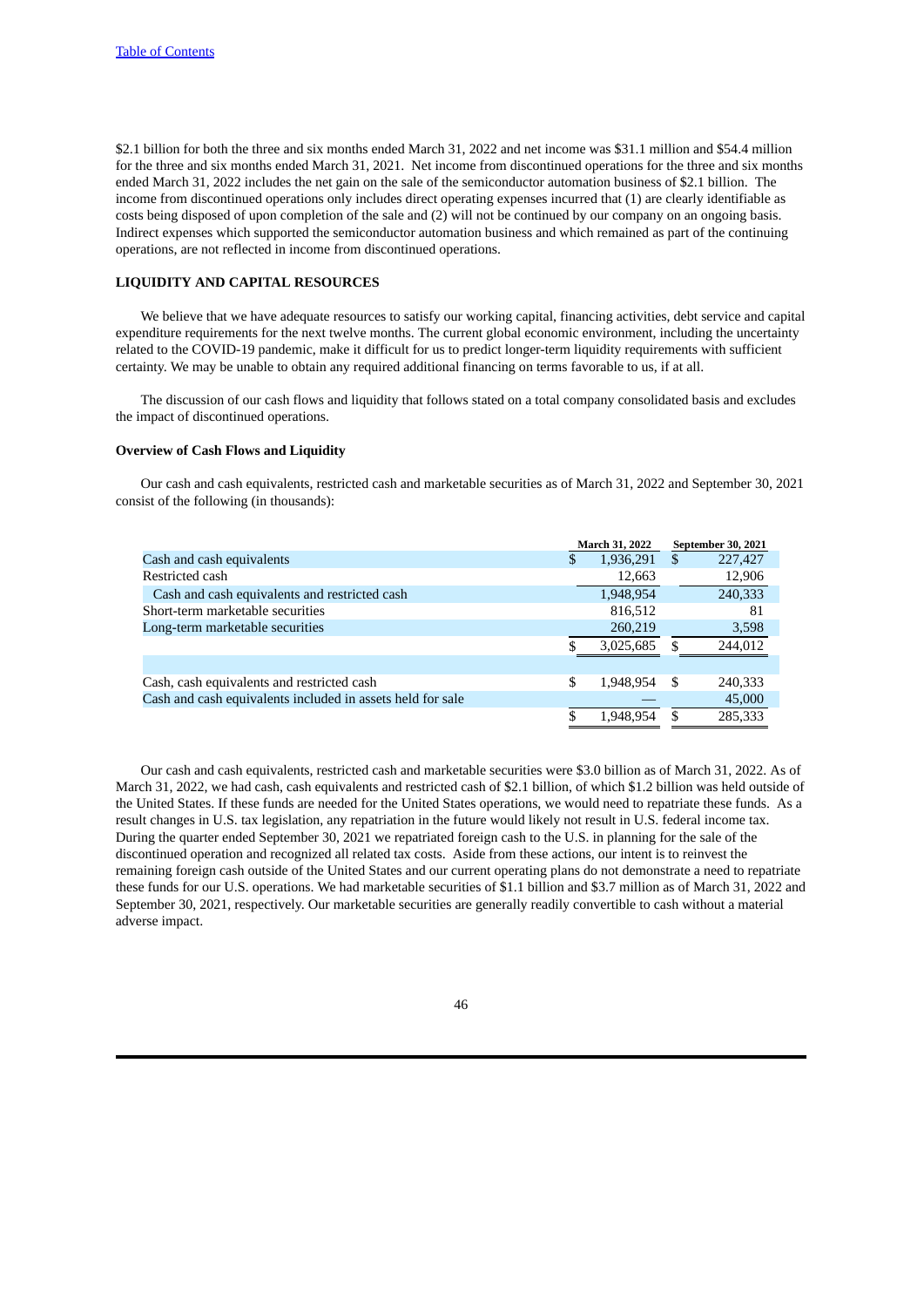\$2.1 billion for both the three and six months ended March 31, 2022 and net income was \$31.1 million and \$54.4 million for the three and six months ended March 31, 2021. Net income from discontinued operations for the three and six months ended March 31, 2022 includes the net gain on the sale of the semiconductor automation business of \$2.1 billion. The income from discontinued operations only includes direct operating expenses incurred that (1) are clearly identifiable as costs being disposed of upon completion of the sale and (2) will not be continued by our company on an ongoing basis. Indirect expenses which supported the semiconductor automation business and which remained as part of the continuing operations, are not reflected in income from discontinued operations.

# **LIQUIDITY AND CAPITAL RESOURCES**

We believe that we have adequate resources to satisfy our working capital, financing activities, debt service and capital expenditure requirements for the next twelve months. The current global economic environment, including the uncertainty related to the COVID-19 pandemic, make it difficult for us to predict longer-term liquidity requirements with sufficient certainty. We may be unable to obtain any required additional financing on terms favorable to us, if at all.

The discussion of our cash flows and liquidity that follows stated on a total company consolidated basis and excludes the impact of discontinued operations.

# **Overview of Cash Flows and Liquidity**

Our cash and cash equivalents, restricted cash and marketable securities as of March 31, 2022 and September 30, 2021 consist of the following (in thousands):

|                                                            |   | March 31, 2022 |     | <b>September 30, 2021</b> |
|------------------------------------------------------------|---|----------------|-----|---------------------------|
| Cash and cash equivalents                                  | S | 1,936,291      | \$  | 227,427                   |
| Restricted cash                                            |   | 12,663         |     | 12,906                    |
| Cash and cash equivalents and restricted cash              |   | 1,948,954      |     | 240,333                   |
| Short-term marketable securities                           |   | 816,512        |     | 81                        |
| Long-term marketable securities                            |   | 260,219        |     | 3,598                     |
|                                                            |   | 3,025,685      | \$. | 244,012                   |
|                                                            |   |                |     |                           |
| Cash, cash equivalents and restricted cash                 | S | 1,948,954      | S   | 240,333                   |
| Cash and cash equivalents included in assets held for sale |   |                |     | 45,000                    |
|                                                            | S | 1.948.954      | S   | 285,333                   |

Our cash and cash equivalents, restricted cash and marketable securities were \$3.0 billion as of March 31, 2022. As of March 31, 2022, we had cash, cash equivalents and restricted cash of \$2.1 billion, of which \$1.2 billion was held outside of the United States. If these funds are needed for the United States operations, we would need to repatriate these funds. As a result changes in U.S. tax legislation, any repatriation in the future would likely not result in U.S. federal income tax. During the quarter ended September 30, 2021 we repatriated foreign cash to the U.S. in planning for the sale of the discontinued operation and recognized all related tax costs. Aside from these actions, our intent is to reinvest the remaining foreign cash outside of the United States and our current operating plans do not demonstrate a need to repatriate these funds for our U.S. operations. We had marketable securities of \$1.1 billion and \$3.7 million as of March 31, 2022 and September 30, 2021, respectively. Our marketable securities are generally readily convertible to cash without a material adverse impact.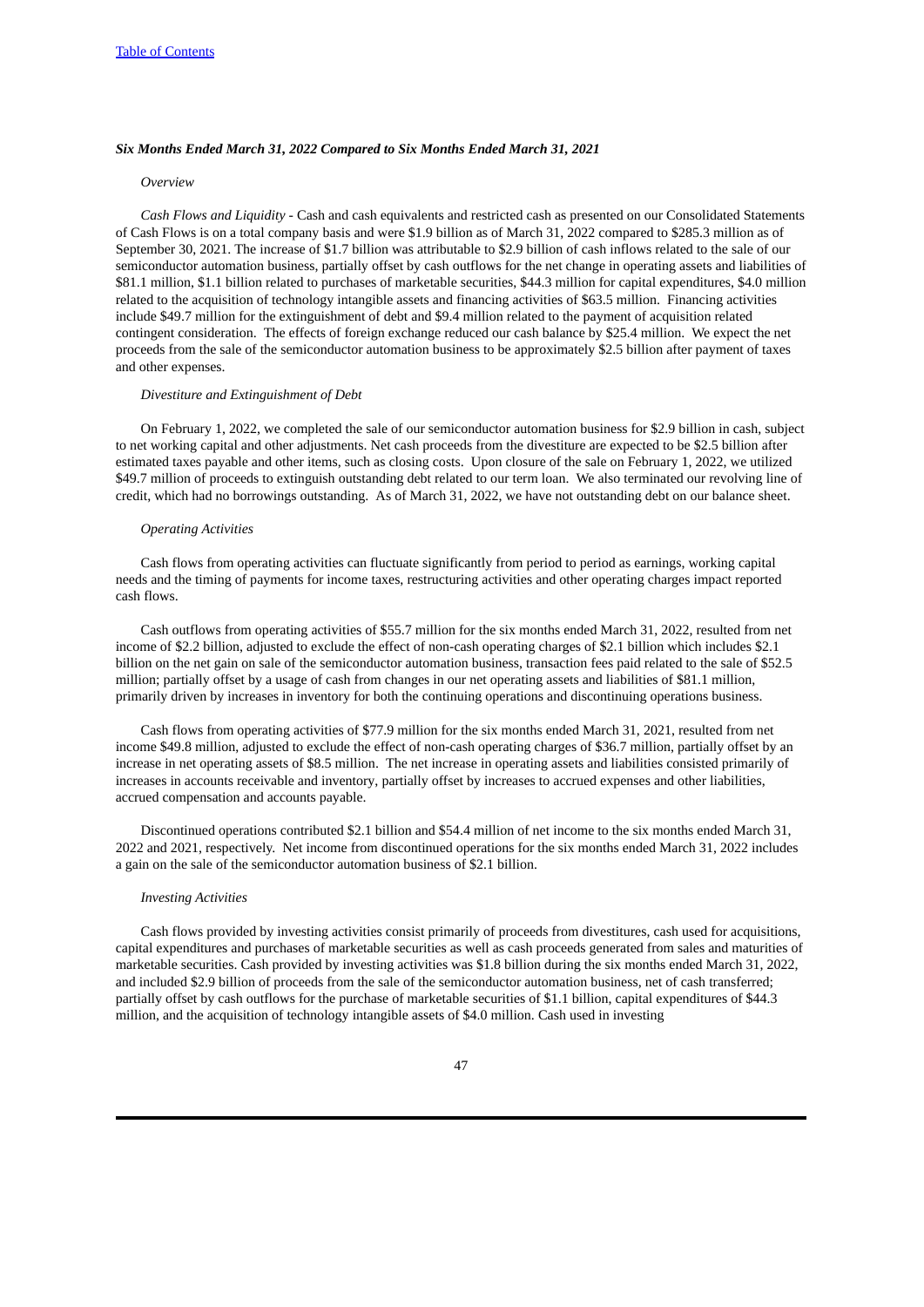### *Six Months Ended March 31, 2022 Compared to Six Months Ended March 31, 2021*

### *Overview*

*Cash Flows and Liquidity -* Cash and cash equivalents and restricted cash as presented on our Consolidated Statements of Cash Flows is on a total company basis and were \$1.9 billion as of March 31, 2022 compared to \$285.3 million as of September 30, 2021. The increase of \$1.7 billion was attributable to \$2.9 billion of cash inflows related to the sale of our semiconductor automation business, partially offset by cash outflows for the net change in operating assets and liabilities of \$81.1 million, \$1.1 billion related to purchases of marketable securities, \$44.3 million for capital expenditures, \$4.0 million related to the acquisition of technology intangible assets and financing activities of \$63.5 million. Financing activities include \$49.7 million for the extinguishment of debt and \$9.4 million related to the payment of acquisition related contingent consideration. The effects of foreign exchange reduced our cash balance by \$25.4 million. We expect the net proceeds from the sale of the semiconductor automation business to be approximately \$2.5 billion after payment of taxes and other expenses.

### *Divestiture and Extinguishment of Debt*

On February 1, 2022, we completed the sale of our semiconductor automation business for \$2.9 billion in cash, subject to net working capital and other adjustments. Net cash proceeds from the divestiture are expected to be \$2.5 billion after estimated taxes payable and other items, such as closing costs. Upon closure of the sale on February 1, 2022, we utilized \$49.7 million of proceeds to extinguish outstanding debt related to our term loan. We also terminated our revolving line of credit, which had no borrowings outstanding. As of March 31, 2022, we have not outstanding debt on our balance sheet.

#### *Operating Activities*

Cash flows from operating activities can fluctuate significantly from period to period as earnings, working capital needs and the timing of payments for income taxes, restructuring activities and other operating charges impact reported cash flows.

Cash outflows from operating activities of \$55.7 million for the six months ended March 31, 2022, resulted from net income of \$2.2 billion, adjusted to exclude the effect of non-cash operating charges of \$2.1 billion which includes \$2.1 billion on the net gain on sale of the semiconductor automation business, transaction fees paid related to the sale of \$52.5 million; partially offset by a usage of cash from changes in our net operating assets and liabilities of \$81.1 million, primarily driven by increases in inventory for both the continuing operations and discontinuing operations business.

Cash flows from operating activities of \$77.9 million for the six months ended March 31, 2021, resulted from net income \$49.8 million, adjusted to exclude the effect of non-cash operating charges of \$36.7 million, partially offset by an increase in net operating assets of \$8.5 million. The net increase in operating assets and liabilities consisted primarily of increases in accounts receivable and inventory, partially offset by increases to accrued expenses and other liabilities, accrued compensation and accounts payable.

Discontinued operations contributed \$2.1 billion and \$54.4 million of net income to the six months ended March 31, 2022 and 2021, respectively. Net income from discontinued operations for the six months ended March 31, 2022 includes a gain on the sale of the semiconductor automation business of \$2.1 billion.

### *Investing Activities*

Cash flows provided by investing activities consist primarily of proceeds from divestitures, cash used for acquisitions, capital expenditures and purchases of marketable securities as well as cash proceeds generated from sales and maturities of marketable securities. Cash provided by investing activities was \$1.8 billion during the six months ended March 31, 2022, and included \$2.9 billion of proceeds from the sale of the semiconductor automation business, net of cash transferred; partially offset by cash outflows for the purchase of marketable securities of \$1.1 billion, capital expenditures of \$44.3 million, and the acquisition of technology intangible assets of \$4.0 million. Cash used in investing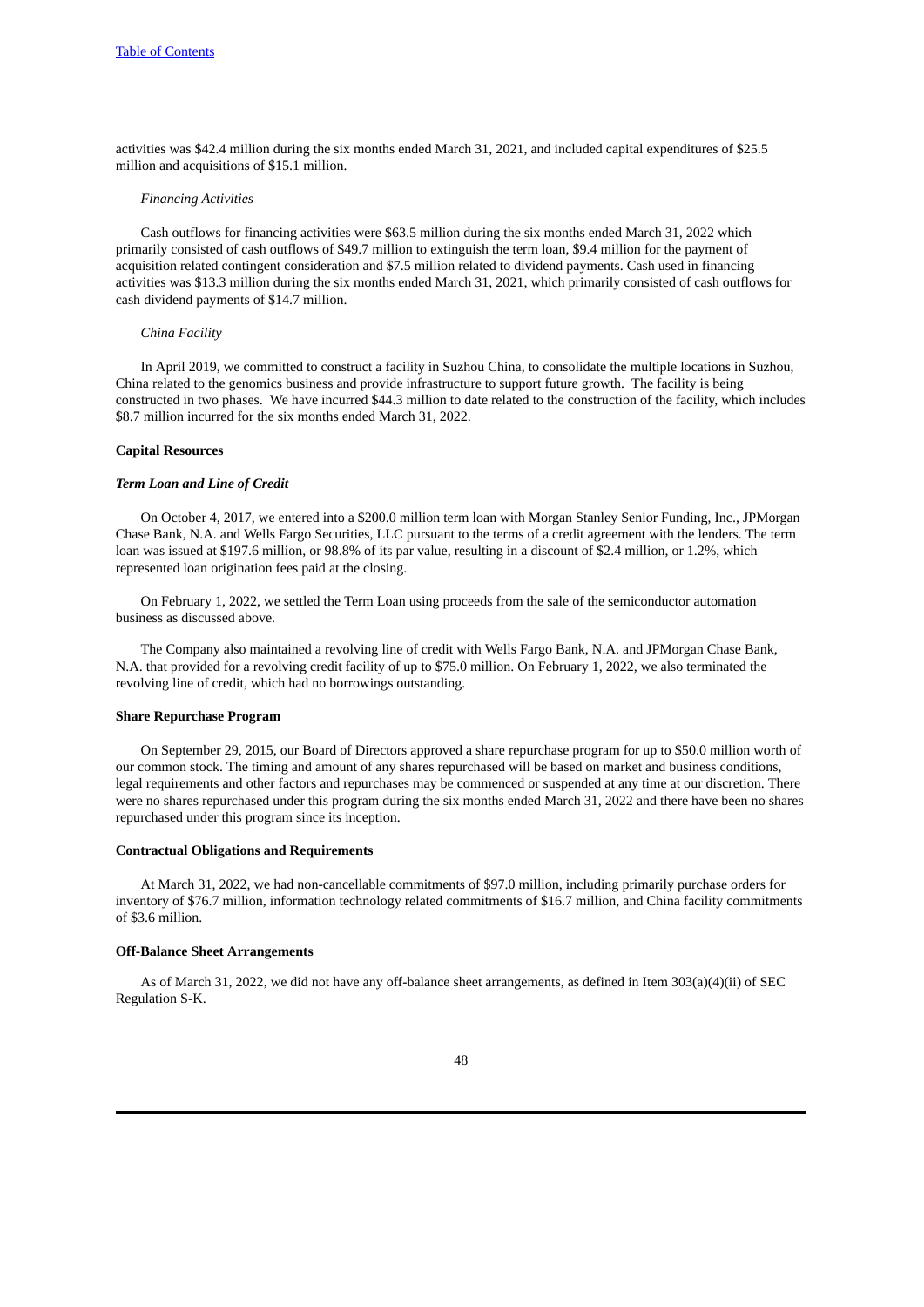activities was \$42.4 million during the six months ended March 31, 2021, and included capital expenditures of \$25.5 million and acquisitions of \$15.1 million.

#### *Financing Activities*

Cash outflows for financing activities were \$63.5 million during the six months ended March 31, 2022 which primarily consisted of cash outflows of \$49.7 million to extinguish the term loan, \$9.4 million for the payment of acquisition related contingent consideration and \$7.5 million related to dividend payments. Cash used in financing activities was \$13.3 million during the six months ended March 31, 2021, which primarily consisted of cash outflows for cash dividend payments of \$14.7 million.

### *China Facility*

In April 2019, we committed to construct a facility in Suzhou China, to consolidate the multiple locations in Suzhou, China related to the genomics business and provide infrastructure to support future growth. The facility is being constructed in two phases. We have incurred \$44.3 million to date related to the construction of the facility, which includes \$8.7 million incurred for the six months ended March 31, 2022.

### **Capital Resources**

### *Term Loan and Line of Credit*

On October 4, 2017, we entered into a \$200.0 million term loan with Morgan Stanley Senior Funding, Inc., JPMorgan Chase Bank, N.A. and Wells Fargo Securities, LLC pursuant to the terms of a credit agreement with the lenders. The term loan was issued at \$197.6 million, or 98.8% of its par value, resulting in a discount of \$2.4 million, or 1.2%, which represented loan origination fees paid at the closing.

On February 1, 2022, we settled the Term Loan using proceeds from the sale of the semiconductor automation business as discussed above.

The Company also maintained a revolving line of credit with Wells Fargo Bank, N.A. and JPMorgan Chase Bank, N.A. that provided for a revolving credit facility of up to \$75.0 million. On February 1, 2022, we also terminated the revolving line of credit, which had no borrowings outstanding.

#### **Share Repurchase Program**

On September 29, 2015, our Board of Directors approved a share repurchase program for up to \$50.0 million worth of our common stock. The timing and amount of any shares repurchased will be based on market and business conditions, legal requirements and other factors and repurchases may be commenced or suspended at any time at our discretion. There were no shares repurchased under this program during the six months ended March 31, 2022 and there have been no shares repurchased under this program since its inception.

### **Contractual Obligations and Requirements**

At March 31, 2022, we had non-cancellable commitments of \$97.0 million, including primarily purchase orders for inventory of \$76.7 million, information technology related commitments of \$16.7 million, and China facility commitments of \$3.6 million.

# **Off-Balance Sheet Arrangements**

As of March 31, 2022, we did not have any off-balance sheet arrangements, as defined in Item 303(a)(4)(ii) of SEC Regulation S-K.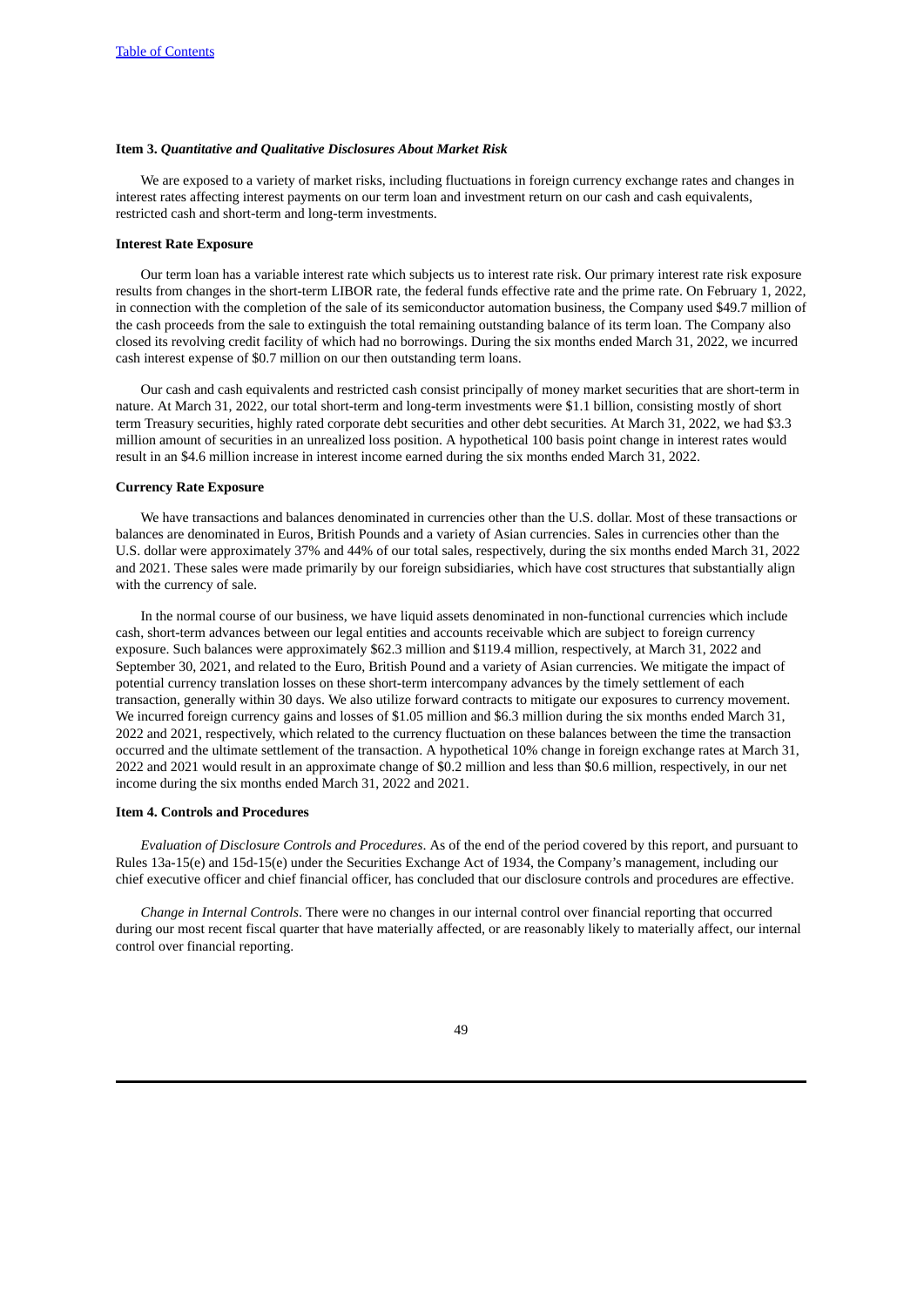### <span id="page-48-0"></span>**Item 3.** *Quantitative and Qualitative Disclosures About Market Risk*

We are exposed to a variety of market risks, including fluctuations in foreign currency exchange rates and changes in interest rates affecting interest payments on our term loan and investment return on our cash and cash equivalents, restricted cash and short-term and long-term investments.

# **Interest Rate Exposure**

Our term loan has a variable interest rate which subjects us to interest rate risk. Our primary interest rate risk exposure results from changes in the short-term LIBOR rate, the federal funds effective rate and the prime rate. On February 1, 2022, in connection with the completion of the sale of its semiconductor automation business, the Company used \$49.7 million of the cash proceeds from the sale to extinguish the total remaining outstanding balance of its term loan. The Company also closed its revolving credit facility of which had no borrowings. During the six months ended March 31, 2022, we incurred cash interest expense of \$0.7 million on our then outstanding term loans.

Our cash and cash equivalents and restricted cash consist principally of money market securities that are short-term in nature. At March 31, 2022, our total short-term and long-term investments were \$1.1 billion, consisting mostly of short term Treasury securities, highly rated corporate debt securities and other debt securities. At March 31, 2022, we had \$3.3 million amount of securities in an unrealized loss position. A hypothetical 100 basis point change in interest rates would result in an \$4.6 million increase in interest income earned during the six months ended March 31, 2022.

### **Currency Rate Exposure**

We have transactions and balances denominated in currencies other than the U.S. dollar. Most of these transactions or balances are denominated in Euros, British Pounds and a variety of Asian currencies. Sales in currencies other than the U.S. dollar were approximately 37% and 44% of our total sales, respectively, during the six months ended March 31, 2022 and 2021. These sales were made primarily by our foreign subsidiaries, which have cost structures that substantially align with the currency of sale.

In the normal course of our business, we have liquid assets denominated in non-functional currencies which include cash, short-term advances between our legal entities and accounts receivable which are subject to foreign currency exposure. Such balances were approximately \$62.3 million and \$119.4 million, respectively, at March 31, 2022 and September 30, 2021, and related to the Euro, British Pound and a variety of Asian currencies. We mitigate the impact of potential currency translation losses on these short-term intercompany advances by the timely settlement of each transaction, generally within 30 days. We also utilize forward contracts to mitigate our exposures to currency movement. We incurred foreign currency gains and losses of \$1.05 million and \$6.3 million during the six months ended March 31, 2022 and 2021, respectively, which related to the currency fluctuation on these balances between the time the transaction occurred and the ultimate settlement of the transaction. A hypothetical 10% change in foreign exchange rates at March 31, 2022 and 2021 would result in an approximate change of \$0.2 million and less than \$0.6 million, respectively, in our net income during the six months ended March 31, 2022 and 2021.

### <span id="page-48-1"></span>**Item 4. Controls and Procedures**

*Evaluation of Disclosure Controls and Procedures*. As of the end of the period covered by this report, and pursuant to Rules 13a-15(e) and 15d-15(e) under the Securities Exchange Act of 1934, the Company's management, including our chief executive officer and chief financial officer, has concluded that our disclosure controls and procedures are effective.

*Change in Internal Controls*. There were no changes in our internal control over financial reporting that occurred during our most recent fiscal quarter that have materially affected, or are reasonably likely to materially affect, our internal control over financial reporting.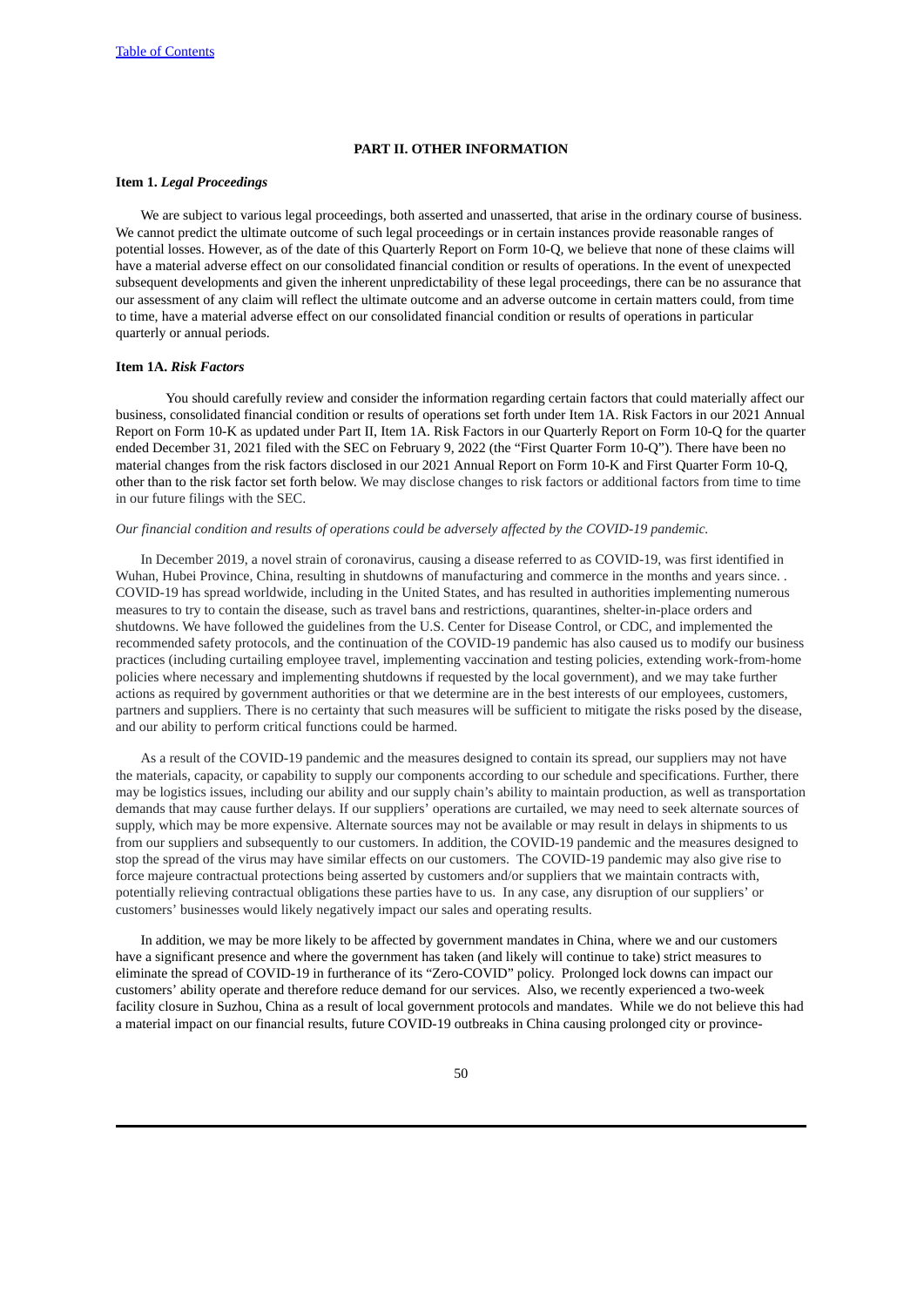# **PART II. OTHER INFORMATION**

# <span id="page-49-1"></span><span id="page-49-0"></span>**Item 1.** *Legal Proceedings*

We are subject to various legal proceedings, both asserted and unasserted, that arise in the ordinary course of business. We cannot predict the ultimate outcome of such legal proceedings or in certain instances provide reasonable ranges of potential losses. However, as of the date of this Quarterly Report on Form 10-Q, we believe that none of these claims will have a material adverse effect on our consolidated financial condition or results of operations. In the event of unexpected subsequent developments and given the inherent unpredictability of these legal proceedings, there can be no assurance that our assessment of any claim will reflect the ultimate outcome and an adverse outcome in certain matters could, from time to time, have a material adverse effect on our consolidated financial condition or results of operations in particular quarterly or annual periods.

# <span id="page-49-2"></span>**Item 1A.** *Risk Factors*

You should carefully review and consider the information regarding certain factors that could materially affect our business, consolidated financial condition or results of operations set forth under Item 1A. Risk Factors in our 2021 Annual Report on Form 10-K as updated under Part II, Item 1A. Risk Factors in our Quarterly Report on Form 10-Q for the quarter ended December 31, 2021 filed with the SEC on February 9, 2022 (the "First Quarter Form 10-Q"). There have been no material changes from the risk factors disclosed in our 2021 Annual Report on Form 10-K and First Quarter Form 10-Q, other than to the risk factor set forth below. We may disclose changes to risk factors or additional factors from time to time in our future filings with the SEC.

### *Our financial condition and results of operations could be adversely affected by the COVID-19 pandemic.*

In December 2019, a novel strain of coronavirus, causing a disease referred to as COVID-19, was first identified in Wuhan, Hubei Province, China, resulting in shutdowns of manufacturing and commerce in the months and years since. . COVID-19 has spread worldwide, including in the United States, and has resulted in authorities implementing numerous measures to try to contain the disease, such as travel bans and restrictions, quarantines, shelter-in-place orders and shutdowns. We have followed the guidelines from the U.S. Center for Disease Control, or CDC, and implemented the recommended safety protocols, and the continuation of the COVID-19 pandemic has also caused us to modify our business practices (including curtailing employee travel, implementing vaccination and testing policies, extending work-from-home policies where necessary and implementing shutdowns if requested by the local government), and we may take further actions as required by government authorities or that we determine are in the best interests of our employees, customers, partners and suppliers. There is no certainty that such measures will be sufficient to mitigate the risks posed by the disease, and our ability to perform critical functions could be harmed.

As a result of the COVID-19 pandemic and the measures designed to contain its spread, our suppliers may not have the materials, capacity, or capability to supply our components according to our schedule and specifications. Further, there may be logistics issues, including our ability and our supply chain's ability to maintain production, as well as transportation demands that may cause further delays. If our suppliers' operations are curtailed, we may need to seek alternate sources of supply, which may be more expensive. Alternate sources may not be available or may result in delays in shipments to us from our suppliers and subsequently to our customers. In addition, the COVID-19 pandemic and the measures designed to stop the spread of the virus may have similar effects on our customers. The COVID-19 pandemic may also give rise to force majeure contractual protections being asserted by customers and/or suppliers that we maintain contracts with, potentially relieving contractual obligations these parties have to us. In any case, any disruption of our suppliers' or customers' businesses would likely negatively impact our sales and operating results.

In addition, we may be more likely to be affected by government mandates in China, where we and our customers have a significant presence and where the government has taken (and likely will continue to take) strict measures to eliminate the spread of COVID-19 in furtherance of its "Zero-COVID" policy. Prolonged lock downs can impact our customers' ability operate and therefore reduce demand for our services. Also, we recently experienced a two-week facility closure in Suzhou, China as a result of local government protocols and mandates. While we do not believe this had a material impact on our financial results, future COVID-19 outbreaks in China causing prolonged city or province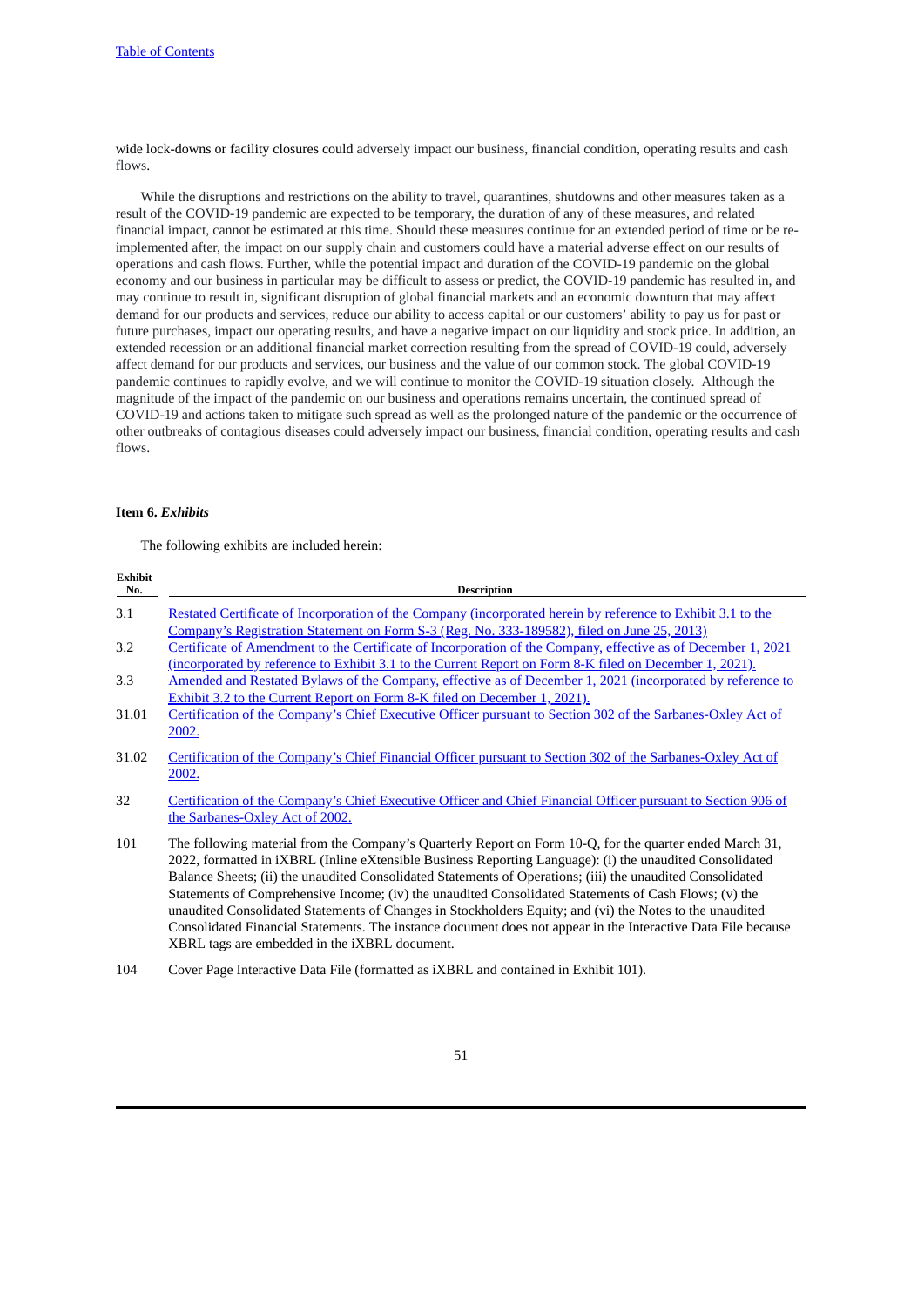wide lock-downs or facility closures could adversely impact our business, financial condition, operating results and cash flows.

While the disruptions and restrictions on the ability to travel, quarantines, shutdowns and other measures taken as a result of the COVID-19 pandemic are expected to be temporary, the duration of any of these measures, and related financial impact, cannot be estimated at this time. Should these measures continue for an extended period of time or be reimplemented after, the impact on our supply chain and customers could have a material adverse effect on our results of operations and cash flows. Further, while the potential impact and duration of the COVID-19 pandemic on the global economy and our business in particular may be difficult to assess or predict, the COVID-19 pandemic has resulted in, and may continue to result in, significant disruption of global financial markets and an economic downturn that may affect demand for our products and services, reduce our ability to access capital or our customers' ability to pay us for past or future purchases, impact our operating results, and have a negative impact on our liquidity and stock price. In addition, an extended recession or an additional financial market correction resulting from the spread of COVID-19 could, adversely affect demand for our products and services, our business and the value of our common stock. The global COVID-19 pandemic continues to rapidly evolve, and we will continue to monitor the COVID-19 situation closely. Although the magnitude of the impact of the pandemic on our business and operations remains uncertain, the continued spread of COVID-19 and actions taken to mitigate such spread as well as the prolonged nature of the pandemic or the occurrence of other outbreaks of contagious diseases could adversely impact our business, financial condition, operating results and cash flows.

# <span id="page-50-0"></span>**Item 6.** *Exhibits*

**Exhibit**

The following exhibits are included herein:

| Exhibit<br>No. | <b>Description</b>                                                                                                                                                                                                                                                                                                                                                                                                                                                                                                                                                                                                                                                                                                        |
|----------------|---------------------------------------------------------------------------------------------------------------------------------------------------------------------------------------------------------------------------------------------------------------------------------------------------------------------------------------------------------------------------------------------------------------------------------------------------------------------------------------------------------------------------------------------------------------------------------------------------------------------------------------------------------------------------------------------------------------------------|
| 3.1            | Restated Certificate of Incorporation of the Company (incorporated herein by reference to Exhibit 3.1 to the                                                                                                                                                                                                                                                                                                                                                                                                                                                                                                                                                                                                              |
| 3.2            | <u>Company's Registration Statement on Form S-3 (Reg. No. 333-189582), filed on June 25, 2013)</u><br>Certificate of Amendment to the Certificate of Incorporation of the Company, effective as of December 1, 2021                                                                                                                                                                                                                                                                                                                                                                                                                                                                                                       |
| 3.3            | <u>(incorporated by reference to Exhibit 3.1 to the Current Report on Form 8-K filed on December 1, 2021).</u><br>Amended and Restated Bylaws of the Company, effective as of December 1, 2021 (incorporated by reference to<br>Exhibit 3.2 to the Current Report on Form 8-K filed on December 1, 2021).                                                                                                                                                                                                                                                                                                                                                                                                                 |
| 31.01          | Certification of the Company's Chief Executive Officer pursuant to Section 302 of the Sarbanes-Oxley Act of<br>2002.                                                                                                                                                                                                                                                                                                                                                                                                                                                                                                                                                                                                      |
| 31.02          | Certification of the Company's Chief Financial Officer pursuant to Section 302 of the Sarbanes-Oxley Act of<br>2002.                                                                                                                                                                                                                                                                                                                                                                                                                                                                                                                                                                                                      |
| 32             | Certification of the Company's Chief Executive Officer and Chief Financial Officer pursuant to Section 906 of<br>the Sarbanes-Oxley Act of 2002.                                                                                                                                                                                                                                                                                                                                                                                                                                                                                                                                                                          |
| 101            | The following material from the Company's Quarterly Report on Form 10-Q, for the quarter ended March 31,<br>2022, formatted in iXBRL (Inline eXtensible Business Reporting Language): (i) the unaudited Consolidated<br>Balance Sheets; (ii) the unaudited Consolidated Statements of Operations; (iii) the unaudited Consolidated<br>Statements of Comprehensive Income; (iv) the unaudited Consolidated Statements of Cash Flows; (v) the<br>unaudited Consolidated Statements of Changes in Stockholders Equity; and (vi) the Notes to the unaudited<br>Consolidated Financial Statements. The instance document does not appear in the Interactive Data File because<br>XBRL tags are embedded in the iXBRL document. |

104 Cover Page Interactive Data File (formatted as iXBRL and contained in Exhibit 101).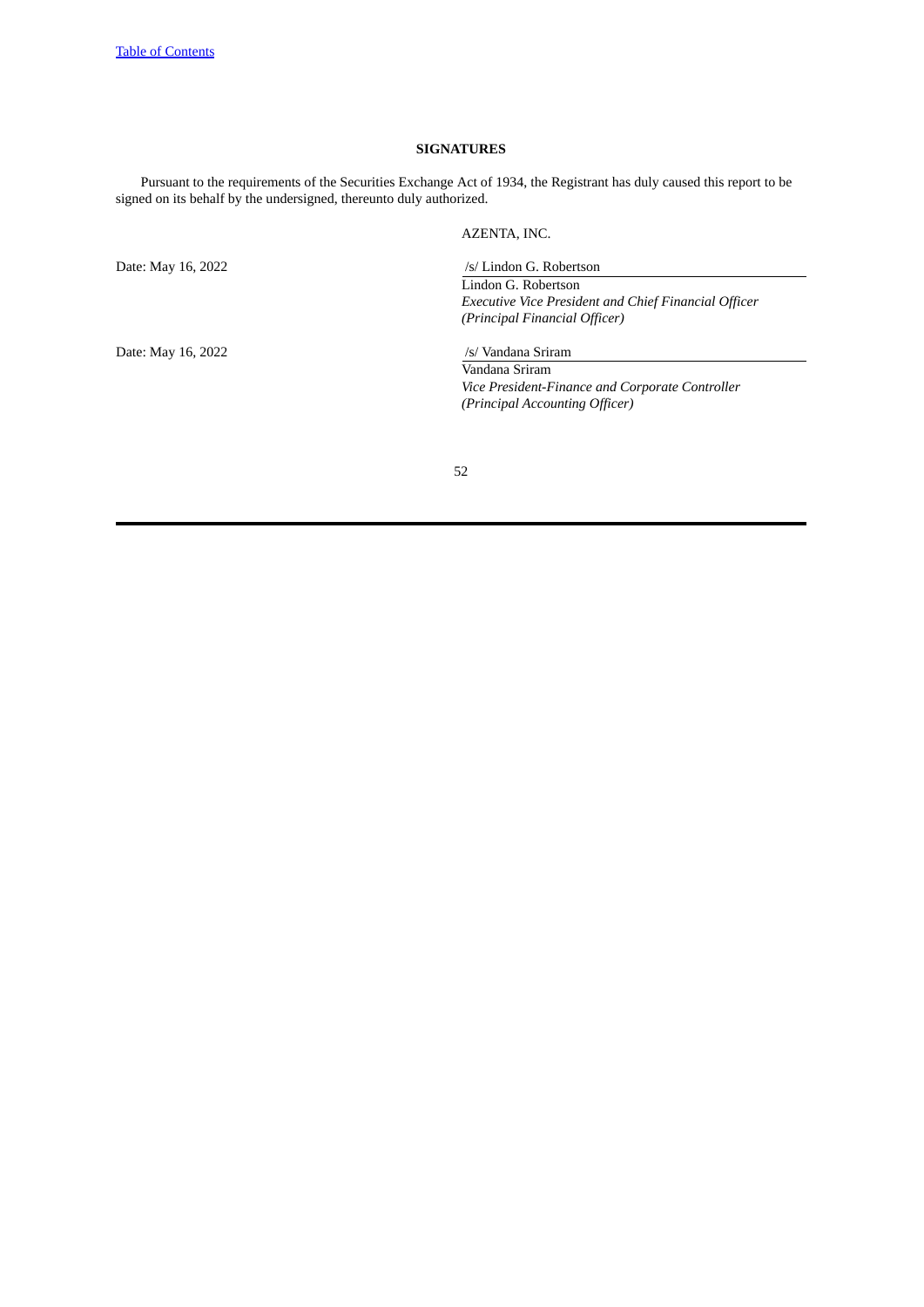# **SIGNATURES**

<span id="page-51-0"></span>Pursuant to the requirements of the Securities Exchange Act of 1934, the Registrant has duly caused this report to be signed on its behalf by the undersigned, thereunto duly authorized.

AZENTA, INC.

Date: May 16, 2022 /s/ Vandana Sriram

Date: May 16, 2022 /s/ Lindon G. Robertson

Lindon G. Robertson *Executive Vice President and Chief Financial Officer (Principal Financial Officer)*

Vandana Sriram *Vice President-Finance and Corporate Controller (Principal Accounting Officer)*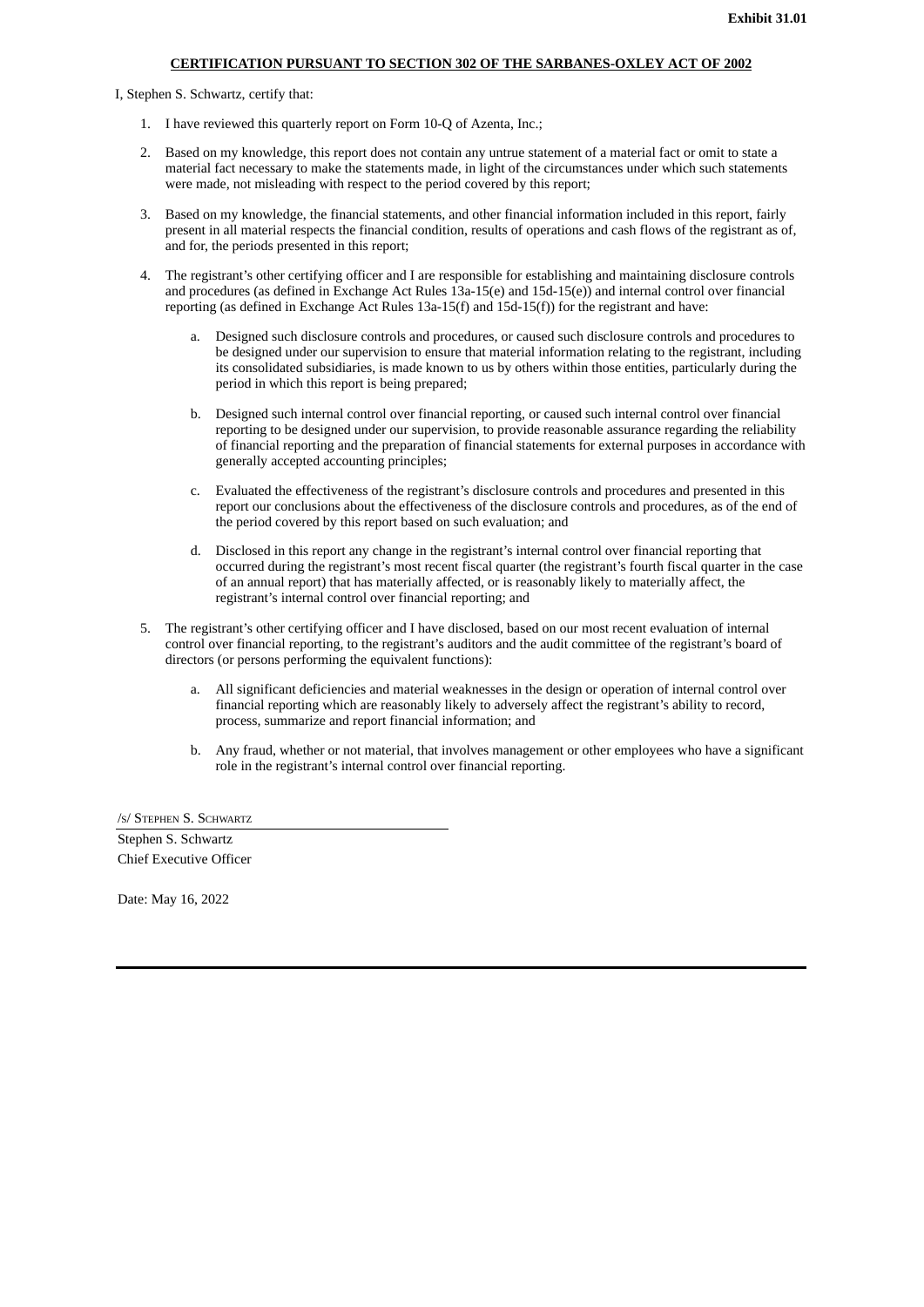# **CERTIFICATION PURSUANT TO SECTION 302 OF THE SARBANES-OXLEY ACT OF 2002**

<span id="page-52-0"></span>I, Stephen S. Schwartz, certify that:

- 1. I have reviewed this quarterly report on Form 10-Q of Azenta, Inc.;
- 2. Based on my knowledge, this report does not contain any untrue statement of a material fact or omit to state a material fact necessary to make the statements made, in light of the circumstances under which such statements were made, not misleading with respect to the period covered by this report;
- 3. Based on my knowledge, the financial statements, and other financial information included in this report, fairly present in all material respects the financial condition, results of operations and cash flows of the registrant as of, and for, the periods presented in this report;
- 4. The registrant's other certifying officer and I are responsible for establishing and maintaining disclosure controls and procedures (as defined in Exchange Act Rules 13a-15(e) and 15d-15(e)) and internal control over financial reporting (as defined in Exchange Act Rules 13a-15(f) and 15d-15(f)) for the registrant and have:
	- a. Designed such disclosure controls and procedures, or caused such disclosure controls and procedures to be designed under our supervision to ensure that material information relating to the registrant, including its consolidated subsidiaries, is made known to us by others within those entities, particularly during the period in which this report is being prepared;
	- b. Designed such internal control over financial reporting, or caused such internal control over financial reporting to be designed under our supervision, to provide reasonable assurance regarding the reliability of financial reporting and the preparation of financial statements for external purposes in accordance with generally accepted accounting principles;
	- c. Evaluated the effectiveness of the registrant's disclosure controls and procedures and presented in this report our conclusions about the effectiveness of the disclosure controls and procedures, as of the end of the period covered by this report based on such evaluation; and
	- d. Disclosed in this report any change in the registrant's internal control over financial reporting that occurred during the registrant's most recent fiscal quarter (the registrant's fourth fiscal quarter in the case of an annual report) that has materially affected, or is reasonably likely to materially affect, the registrant's internal control over financial reporting; and
- 5. The registrant's other certifying officer and I have disclosed, based on our most recent evaluation of internal control over financial reporting, to the registrant's auditors and the audit committee of the registrant's board of directors (or persons performing the equivalent functions):
	- a. All significant deficiencies and material weaknesses in the design or operation of internal control over financial reporting which are reasonably likely to adversely affect the registrant's ability to record, process, summarize and report financial information; and
	- b. Any fraud, whether or not material, that involves management or other employees who have a significant role in the registrant's internal control over financial reporting.

/S/ STEPHEN S. SCHWARTZ

Stephen S. Schwartz Chief Executive Officer

Date: May 16, 2022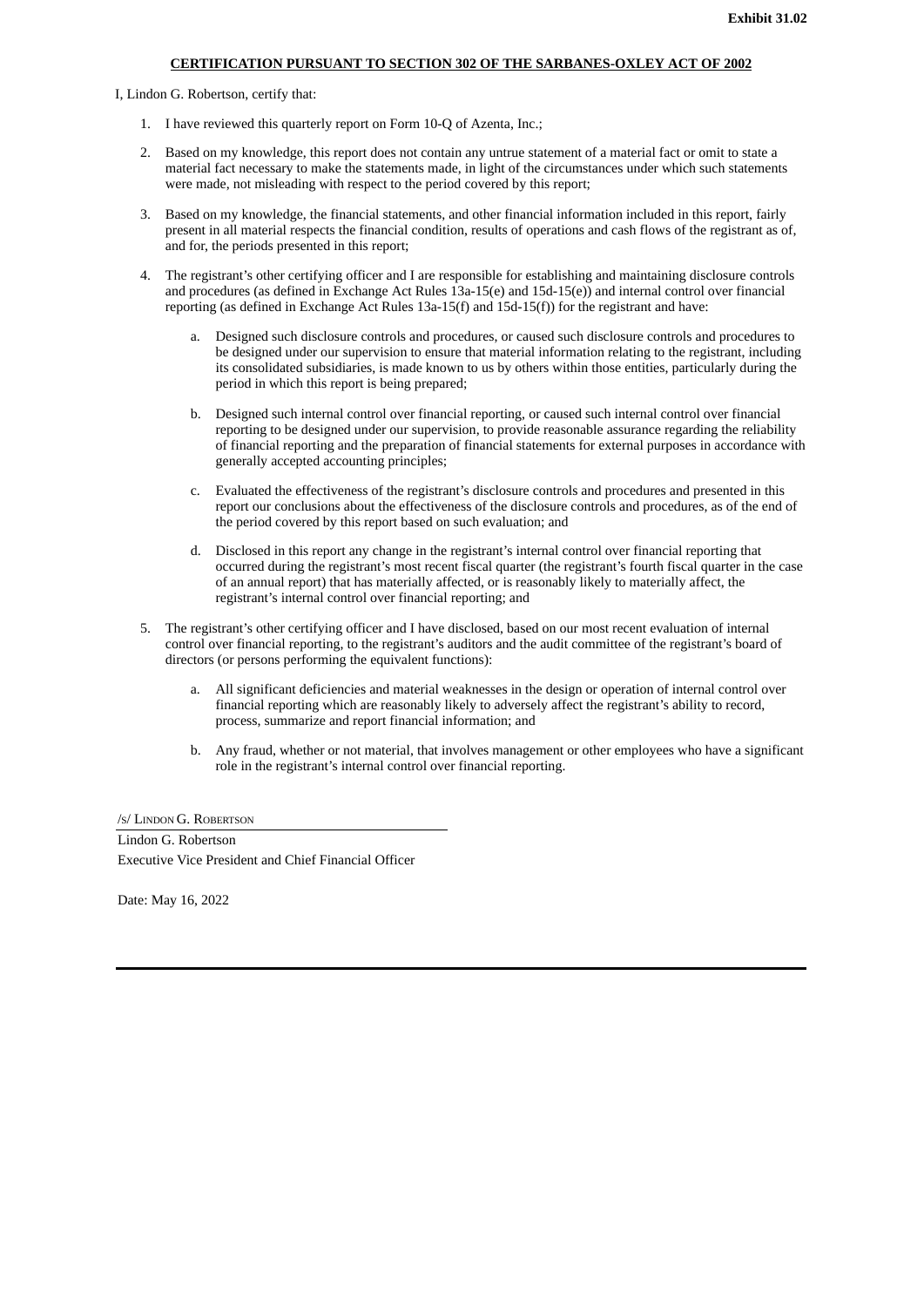# **CERTIFICATION PURSUANT TO SECTION 302 OF THE SARBANES-OXLEY ACT OF 2002**

<span id="page-53-0"></span>I, Lindon G. Robertson, certify that:

- 1. I have reviewed this quarterly report on Form 10-Q of Azenta, Inc.;
- 2. Based on my knowledge, this report does not contain any untrue statement of a material fact or omit to state a material fact necessary to make the statements made, in light of the circumstances under which such statements were made, not misleading with respect to the period covered by this report;
- 3. Based on my knowledge, the financial statements, and other financial information included in this report, fairly present in all material respects the financial condition, results of operations and cash flows of the registrant as of, and for, the periods presented in this report;
- 4. The registrant's other certifying officer and I are responsible for establishing and maintaining disclosure controls and procedures (as defined in Exchange Act Rules 13a-15(e) and 15d-15(e)) and internal control over financial reporting (as defined in Exchange Act Rules 13a-15(f) and 15d-15(f)) for the registrant and have:
	- a. Designed such disclosure controls and procedures, or caused such disclosure controls and procedures to be designed under our supervision to ensure that material information relating to the registrant, including its consolidated subsidiaries, is made known to us by others within those entities, particularly during the period in which this report is being prepared;
	- b. Designed such internal control over financial reporting, or caused such internal control over financial reporting to be designed under our supervision, to provide reasonable assurance regarding the reliability of financial reporting and the preparation of financial statements for external purposes in accordance with generally accepted accounting principles;
	- c. Evaluated the effectiveness of the registrant's disclosure controls and procedures and presented in this report our conclusions about the effectiveness of the disclosure controls and procedures, as of the end of the period covered by this report based on such evaluation; and
	- d. Disclosed in this report any change in the registrant's internal control over financial reporting that occurred during the registrant's most recent fiscal quarter (the registrant's fourth fiscal quarter in the case of an annual report) that has materially affected, or is reasonably likely to materially affect, the registrant's internal control over financial reporting; and
- 5. The registrant's other certifying officer and I have disclosed, based on our most recent evaluation of internal control over financial reporting, to the registrant's auditors and the audit committee of the registrant's board of directors (or persons performing the equivalent functions):
	- a. All significant deficiencies and material weaknesses in the design or operation of internal control over financial reporting which are reasonably likely to adversely affect the registrant's ability to record, process, summarize and report financial information; and
	- b. Any fraud, whether or not material, that involves management or other employees who have a significant role in the registrant's internal control over financial reporting.

/S/ LINDON G. ROBERTSON Lindon G. Robertson

Executive Vice President and Chief Financial Officer

Date: May 16, 2022